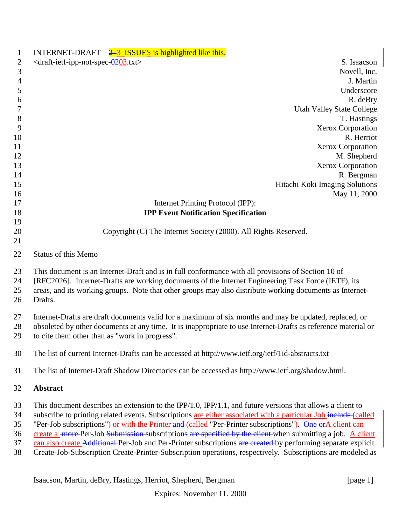| $\mathbf{1}$                     | INTERNET-DRAFT $2\frac{3}{5}$ ISSUES is highlighted like this.                                                                                                                                                                                                                                                                                                                                                                                                                                                                                                                                                                                                                        |
|----------------------------------|---------------------------------------------------------------------------------------------------------------------------------------------------------------------------------------------------------------------------------------------------------------------------------------------------------------------------------------------------------------------------------------------------------------------------------------------------------------------------------------------------------------------------------------------------------------------------------------------------------------------------------------------------------------------------------------|
| $\mathbf{2}$                     | <draft-ietf-ipp-not-spec-0203.txt><br/>S. Isaacson</draft-ietf-ipp-not-spec-0203.txt>                                                                                                                                                                                                                                                                                                                                                                                                                                                                                                                                                                                                 |
| 3                                | Novell, Inc.                                                                                                                                                                                                                                                                                                                                                                                                                                                                                                                                                                                                                                                                          |
| $\overline{4}$                   | J. Martin                                                                                                                                                                                                                                                                                                                                                                                                                                                                                                                                                                                                                                                                             |
| 5                                | Underscore                                                                                                                                                                                                                                                                                                                                                                                                                                                                                                                                                                                                                                                                            |
| 6                                | R. deBry                                                                                                                                                                                                                                                                                                                                                                                                                                                                                                                                                                                                                                                                              |
| 7                                | <b>Utah Valley State College</b>                                                                                                                                                                                                                                                                                                                                                                                                                                                                                                                                                                                                                                                      |
| $8\phantom{1}$                   | T. Hastings                                                                                                                                                                                                                                                                                                                                                                                                                                                                                                                                                                                                                                                                           |
| 9                                | Xerox Corporation                                                                                                                                                                                                                                                                                                                                                                                                                                                                                                                                                                                                                                                                     |
| 10                               | R. Herriot                                                                                                                                                                                                                                                                                                                                                                                                                                                                                                                                                                                                                                                                            |
| 11                               | Xerox Corporation                                                                                                                                                                                                                                                                                                                                                                                                                                                                                                                                                                                                                                                                     |
| 12                               | M. Shepherd                                                                                                                                                                                                                                                                                                                                                                                                                                                                                                                                                                                                                                                                           |
| 13                               | Xerox Corporation                                                                                                                                                                                                                                                                                                                                                                                                                                                                                                                                                                                                                                                                     |
| 14                               | R. Bergman                                                                                                                                                                                                                                                                                                                                                                                                                                                                                                                                                                                                                                                                            |
| 15                               | Hitachi Koki Imaging Solutions                                                                                                                                                                                                                                                                                                                                                                                                                                                                                                                                                                                                                                                        |
| 16                               | May 11, 2000                                                                                                                                                                                                                                                                                                                                                                                                                                                                                                                                                                                                                                                                          |
| 17                               | Internet Printing Protocol (IPP):                                                                                                                                                                                                                                                                                                                                                                                                                                                                                                                                                                                                                                                     |
| 18                               | <b>IPP Event Notification Specification</b>                                                                                                                                                                                                                                                                                                                                                                                                                                                                                                                                                                                                                                           |
| 19                               |                                                                                                                                                                                                                                                                                                                                                                                                                                                                                                                                                                                                                                                                                       |
| 20                               | Copyright (C) The Internet Society (2000). All Rights Reserved.                                                                                                                                                                                                                                                                                                                                                                                                                                                                                                                                                                                                                       |
| 21                               |                                                                                                                                                                                                                                                                                                                                                                                                                                                                                                                                                                                                                                                                                       |
| 22                               | <b>Status of this Memo</b>                                                                                                                                                                                                                                                                                                                                                                                                                                                                                                                                                                                                                                                            |
| 23<br>24<br>25<br>26             | This document is an Internet-Draft and is in full conformance with all provisions of Section 10 of<br>[RFC2026]. Internet-Drafts are working documents of the Internet Engineering Task Force (IETF), its<br>areas, and its working groups. Note that other groups may also distribute working documents as Internet-<br>Drafts.                                                                                                                                                                                                                                                                                                                                                      |
| 27<br>28<br>29                   | Internet-Drafts are draft documents valid for a maximum of six months and may be updated, replaced, or<br>obsoleted by other documents at any time. It is inappropriate to use Internet-Drafts as reference material or<br>to cite them other than as "work in progress".                                                                                                                                                                                                                                                                                                                                                                                                             |
| 30                               | The list of current Internet-Drafts can be accessed at http://www.ietf.org/ietf/1id-abstracts.txt                                                                                                                                                                                                                                                                                                                                                                                                                                                                                                                                                                                     |
| 31                               | The list of Internet-Draft Shadow Directories can be accessed as http://www.ietf.org/shadow.html.                                                                                                                                                                                                                                                                                                                                                                                                                                                                                                                                                                                     |
| 32                               | <b>Abstract</b>                                                                                                                                                                                                                                                                                                                                                                                                                                                                                                                                                                                                                                                                       |
| 33<br>34<br>35<br>36<br>37<br>38 | This document describes an extension to the IPP/1.0, IPP/1.1, and future versions that allows a client to<br>subscribe to printing related events. Subscriptions are either associated with a particular Job include (called<br>"Per-Job subscriptions") or with the Printer and (called "Per-Printer subscriptions"). One orA client can<br>create a more Per-Job Submission-subscriptions are specified by the client-when submitting a job. A client<br>can also create Additional-Per-Job and Per-Printer subscriptions are created by performing separate explicit<br>Create-Job-Subscription Create-Printer-Subscription operations, respectively. Subscriptions are modeled as |

Isaacson, Martin, deBry, Hastings, Herriot, Shepherd, Bergman [page 1]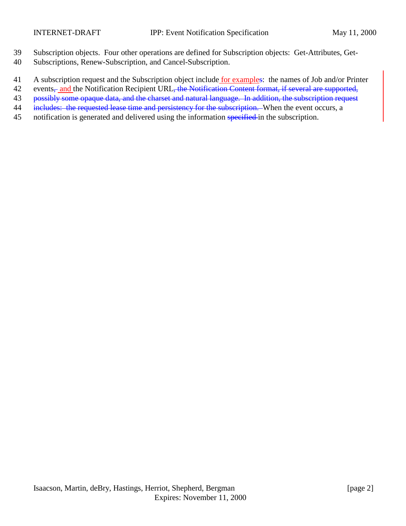- 39 Subscription objects. Four other operations are defined for Subscription objects: Get-Attributes, Get-
- 40 Subscriptions, Renew-Subscription, and Cancel-Subscription.
- 41 A subscription request and the Subscription object include for examples: the names of Job and/or Printer
- 42 events<sub>, and</sub> the Notification Recipient URL, the Notification Content format, if several are supported,
- 43 possibly some opaque data, and the charset and natural language. In addition, the subscription request
- 44 includes: the requested lease time and persistency for the subscription. When the event occurs, a
- 45 notification is generated and delivered using the information specified in the subscription.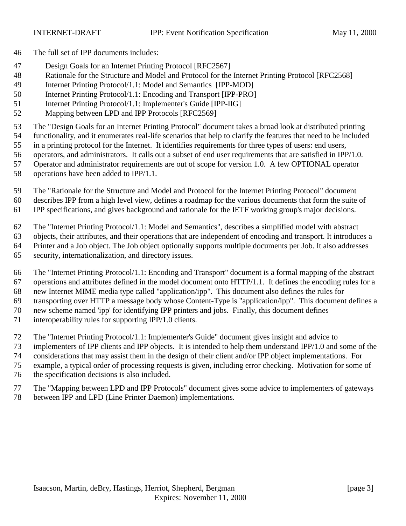- The full set of IPP documents includes:
- Design Goals for an Internet Printing Protocol [RFC2567]
- Rationale for the Structure and Model and Protocol for the Internet Printing Protocol [RFC2568]
- Internet Printing Protocol/1.1: Model and Semantics [IPP-MOD]
- Internet Printing Protocol/1.1: Encoding and Transport [IPP-PRO]
- Internet Printing Protocol/1.1: Implementer's Guide [IPP-IIG]
- Mapping between LPD and IPP Protocols [RFC2569]

The "Design Goals for an Internet Printing Protocol" document takes a broad look at distributed printing

- functionality, and it enumerates real-life scenarios that help to clarify the features that need to be included
- in a printing protocol for the Internet. It identifies requirements for three types of users: end users, operators, and administrators. It calls out a subset of end user requirements that are satisfied in IPP/1.0.
- Operator and administrator requirements are out of scope for version 1.0. A few OPTIONAL operator
- operations have been added to IPP/1.1.
- The "Rationale for the Structure and Model and Protocol for the Internet Printing Protocol" document
- describes IPP from a high level view, defines a roadmap for the various documents that form the suite of
- IPP specifications, and gives background and rationale for the IETF working group's major decisions.
- The "Internet Printing Protocol/1.1: Model and Semantics", describes a simplified model with abstract
- objects, their attributes, and their operations that are independent of encoding and transport. It introduces a
- Printer and a Job object. The Job object optionally supports multiple documents per Job. It also addresses
- security, internationalization, and directory issues.
- The "Internet Printing Protocol/1.1: Encoding and Transport" document is a formal mapping of the abstract operations and attributes defined in the model document onto HTTP/1.1. It defines the encoding rules for a
- new Internet MIME media type called "application/ipp". This document also defines the rules for
- transporting over HTTP a message body whose Content-Type is "application/ipp". This document defines a
- new scheme named 'ipp' for identifying IPP printers and jobs. Finally, this document defines
- 
- interoperability rules for supporting IPP/1.0 clients.
- The "Internet Printing Protocol/1.1: Implementer's Guide" document gives insight and advice to
- implementers of IPP clients and IPP objects. It is intended to help them understand IPP/1.0 and some of the
- considerations that may assist them in the design of their client and/or IPP object implementations. For
- example, a typical order of processing requests is given, including error checking. Motivation for some of
- the specification decisions is also included.
- The "Mapping between LPD and IPP Protocols" document gives some advice to implementers of gateways
- between IPP and LPD (Line Printer Daemon) implementations.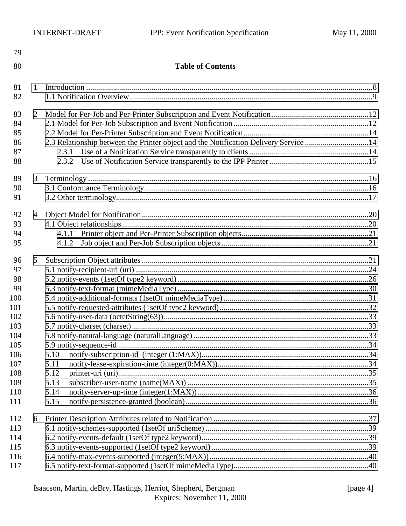| 80<br><b>Table of Contents</b><br>81<br>1<br>82<br>83<br>2<br>84<br>85<br>2.3 Relationship between the Printer object and the Notification Delivery Service 14<br>86<br>87<br>2.3.1<br>88<br>2.3.2<br>89<br>3<br>90<br>91<br>92<br>$\overline{4}$<br>93<br>94<br>4.1.1<br>95<br>4.1.2<br>96<br>5<br>97<br>98<br>99<br>100<br>101<br>102<br>103<br>104<br>105<br>106<br>5.10<br>107<br>5.11<br>108<br>5.12<br>109<br>5.13<br>110<br>5.14<br>111<br>5.15<br>112<br>6<br>113<br>114<br>115<br>116<br>117 | 79 |  |  |  |  |  |
|-------------------------------------------------------------------------------------------------------------------------------------------------------------------------------------------------------------------------------------------------------------------------------------------------------------------------------------------------------------------------------------------------------------------------------------------------------------------------------------------------------|----|--|--|--|--|--|
|                                                                                                                                                                                                                                                                                                                                                                                                                                                                                                       |    |  |  |  |  |  |
|                                                                                                                                                                                                                                                                                                                                                                                                                                                                                                       |    |  |  |  |  |  |
|                                                                                                                                                                                                                                                                                                                                                                                                                                                                                                       |    |  |  |  |  |  |
|                                                                                                                                                                                                                                                                                                                                                                                                                                                                                                       |    |  |  |  |  |  |
|                                                                                                                                                                                                                                                                                                                                                                                                                                                                                                       |    |  |  |  |  |  |
|                                                                                                                                                                                                                                                                                                                                                                                                                                                                                                       |    |  |  |  |  |  |
|                                                                                                                                                                                                                                                                                                                                                                                                                                                                                                       |    |  |  |  |  |  |
|                                                                                                                                                                                                                                                                                                                                                                                                                                                                                                       |    |  |  |  |  |  |
|                                                                                                                                                                                                                                                                                                                                                                                                                                                                                                       |    |  |  |  |  |  |
|                                                                                                                                                                                                                                                                                                                                                                                                                                                                                                       |    |  |  |  |  |  |
|                                                                                                                                                                                                                                                                                                                                                                                                                                                                                                       |    |  |  |  |  |  |
|                                                                                                                                                                                                                                                                                                                                                                                                                                                                                                       |    |  |  |  |  |  |
|                                                                                                                                                                                                                                                                                                                                                                                                                                                                                                       |    |  |  |  |  |  |
|                                                                                                                                                                                                                                                                                                                                                                                                                                                                                                       |    |  |  |  |  |  |
|                                                                                                                                                                                                                                                                                                                                                                                                                                                                                                       |    |  |  |  |  |  |
|                                                                                                                                                                                                                                                                                                                                                                                                                                                                                                       |    |  |  |  |  |  |
|                                                                                                                                                                                                                                                                                                                                                                                                                                                                                                       |    |  |  |  |  |  |
|                                                                                                                                                                                                                                                                                                                                                                                                                                                                                                       |    |  |  |  |  |  |
|                                                                                                                                                                                                                                                                                                                                                                                                                                                                                                       |    |  |  |  |  |  |
|                                                                                                                                                                                                                                                                                                                                                                                                                                                                                                       |    |  |  |  |  |  |
|                                                                                                                                                                                                                                                                                                                                                                                                                                                                                                       |    |  |  |  |  |  |
|                                                                                                                                                                                                                                                                                                                                                                                                                                                                                                       |    |  |  |  |  |  |
|                                                                                                                                                                                                                                                                                                                                                                                                                                                                                                       |    |  |  |  |  |  |
|                                                                                                                                                                                                                                                                                                                                                                                                                                                                                                       |    |  |  |  |  |  |
|                                                                                                                                                                                                                                                                                                                                                                                                                                                                                                       |    |  |  |  |  |  |
|                                                                                                                                                                                                                                                                                                                                                                                                                                                                                                       |    |  |  |  |  |  |
|                                                                                                                                                                                                                                                                                                                                                                                                                                                                                                       |    |  |  |  |  |  |
|                                                                                                                                                                                                                                                                                                                                                                                                                                                                                                       |    |  |  |  |  |  |
|                                                                                                                                                                                                                                                                                                                                                                                                                                                                                                       |    |  |  |  |  |  |
|                                                                                                                                                                                                                                                                                                                                                                                                                                                                                                       |    |  |  |  |  |  |
|                                                                                                                                                                                                                                                                                                                                                                                                                                                                                                       |    |  |  |  |  |  |
|                                                                                                                                                                                                                                                                                                                                                                                                                                                                                                       |    |  |  |  |  |  |
|                                                                                                                                                                                                                                                                                                                                                                                                                                                                                                       |    |  |  |  |  |  |
|                                                                                                                                                                                                                                                                                                                                                                                                                                                                                                       |    |  |  |  |  |  |
|                                                                                                                                                                                                                                                                                                                                                                                                                                                                                                       |    |  |  |  |  |  |
|                                                                                                                                                                                                                                                                                                                                                                                                                                                                                                       |    |  |  |  |  |  |
|                                                                                                                                                                                                                                                                                                                                                                                                                                                                                                       |    |  |  |  |  |  |
|                                                                                                                                                                                                                                                                                                                                                                                                                                                                                                       |    |  |  |  |  |  |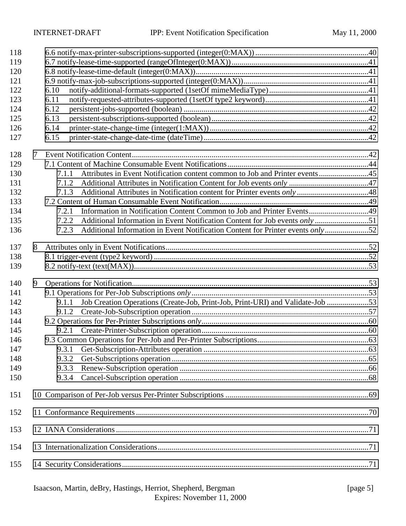| 118<br>119<br>120<br>121<br>122<br>123                                    |   | 6.10<br>6.11                                                                                                                                                                                                                                                                                  |  |
|---------------------------------------------------------------------------|---|-----------------------------------------------------------------------------------------------------------------------------------------------------------------------------------------------------------------------------------------------------------------------------------------------|--|
| 124<br>125<br>126<br>127                                                  |   | 6.12<br>6.13<br>6.14<br>6.15                                                                                                                                                                                                                                                                  |  |
| 128<br>129<br>130<br>131<br>132<br>133<br>134<br>135<br>136               | 7 | Attributes in Event Notification content common to Job and Printer events45<br>7.1.1<br>7.1.2<br>7.1.3<br>Information in Notification Content Common to Job and Printer Events49<br>7.2.1<br>7.2.2<br>Additional Information in Event Notification Content for Printer events only52<br>7.2.3 |  |
| 137<br>138<br>139                                                         | 8 |                                                                                                                                                                                                                                                                                               |  |
| 140<br>141<br>142<br>143<br>144<br>145<br>146<br>147<br>148<br>149<br>150 | 9 | Job Creation Operations (Create-Job, Print-Job, Print-URI) and Validate-Job 53<br>9.1.1<br>9.3.1<br>9.3.2<br>9.3.3<br>9.3.4                                                                                                                                                                   |  |
| 151                                                                       |   |                                                                                                                                                                                                                                                                                               |  |
| 152                                                                       |   |                                                                                                                                                                                                                                                                                               |  |
| 153                                                                       |   |                                                                                                                                                                                                                                                                                               |  |
| 154<br>155                                                                |   |                                                                                                                                                                                                                                                                                               |  |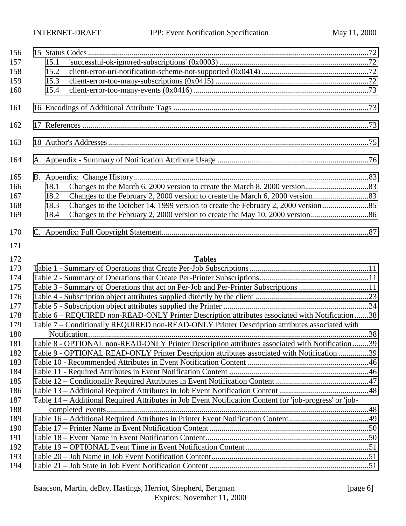| 156 |      |                                                                                                         |  |
|-----|------|---------------------------------------------------------------------------------------------------------|--|
| 157 | 15.1 |                                                                                                         |  |
| 158 | 15.2 |                                                                                                         |  |
| 159 | 15.3 |                                                                                                         |  |
| 160 | 15.4 |                                                                                                         |  |
| 161 |      |                                                                                                         |  |
| 162 |      |                                                                                                         |  |
| 163 |      |                                                                                                         |  |
| 164 |      |                                                                                                         |  |
| 165 |      |                                                                                                         |  |
| 166 | 18.1 |                                                                                                         |  |
| 167 | 18.2 |                                                                                                         |  |
| 168 | 18.3 |                                                                                                         |  |
| 169 | 18.4 |                                                                                                         |  |
| 170 |      |                                                                                                         |  |
| 171 |      |                                                                                                         |  |
| 172 |      | <b>Tables</b>                                                                                           |  |
| 173 |      |                                                                                                         |  |
| 174 |      |                                                                                                         |  |
| 175 |      | Table 3 - Summary of Operations that act on Per-Job and Per-Printer Subscriptions 11                    |  |
| 176 |      |                                                                                                         |  |
| 177 |      |                                                                                                         |  |
| 178 |      | Table 6 – REQUIRED non-READ-ONLY Printer Description attributes associated with Notification 38         |  |
| 179 |      | Table 7 – Conditionally REQUIRED non-READ-ONLY Printer Description attributes associated with           |  |
| 180 |      |                                                                                                         |  |
| 181 |      | Table 8 - OPTIONAL non-READ-ONLY Printer Description attributes associated with Notification 39         |  |
| 182 |      | Table 9 - OPTIONAL READ-ONLY Printer Description attributes associated with Notification 39             |  |
| 183 |      |                                                                                                         |  |
| 184 |      |                                                                                                         |  |
| 185 |      |                                                                                                         |  |
| 186 |      |                                                                                                         |  |
| 187 |      | Table 14 - Additional Required Attributes in Job Event Notification Content for 'job-progress' or 'job- |  |
| 188 |      |                                                                                                         |  |
| 189 |      |                                                                                                         |  |
| 190 |      |                                                                                                         |  |
| 191 |      |                                                                                                         |  |
| 192 |      |                                                                                                         |  |
| 193 |      |                                                                                                         |  |
| 194 |      |                                                                                                         |  |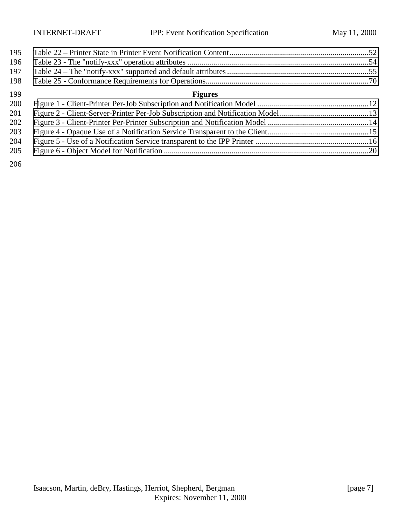| 195 |                |  |
|-----|----------------|--|
| 196 |                |  |
| 197 |                |  |
| 198 |                |  |
| 199 | <b>Figures</b> |  |
| 200 |                |  |
| 201 |                |  |
| 202 |                |  |
| 203 |                |  |
| 204 |                |  |
|     |                |  |

[Figure 6 - Object Model for Notification .......................................................................................................20](#page-19-0)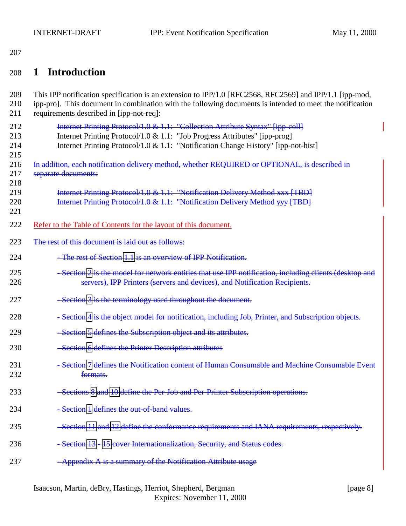# <span id="page-7-0"></span>208 **1 Introduction**

| 209<br>210<br>211        | This IPP notification specification is an extension to IPP/1.0 [RFC2568, RFC2569] and IPP/1.1 [ipp-mod,<br>ipp-pro]. This document in combination with the following documents is intended to meet the notification<br>requirements described in [ipp-not-req]: |
|--------------------------|-----------------------------------------------------------------------------------------------------------------------------------------------------------------------------------------------------------------------------------------------------------------|
| 212<br>213<br>214<br>215 | Internet Printing Protocol/1.0 & 1.1: "Collection Attribute Syntax" [ipp-coll]<br>Internet Printing Protocol/1.0 & 1.1: "Job Progress Attributes" [ipp-prog]<br>Internet Printing Protocol/1.0 & 1.1: "Notification Change History" [ipp-not-hist]              |
| 216<br>217<br>218        | In addition, each notification delivery method, whether REQUIRED or OPTIONAL, is described in<br>separate documents:                                                                                                                                            |
| 219<br>220<br>221        | Internet Printing Protocol/1.0 & 1.1: "Notification Delivery Method xxx [TBD]<br>Internet Printing Protocol/1.0 & 1.1: "Notification Delivery Method yyy [TBD]                                                                                                  |
| 222                      | Refer to the Table of Contents for the layout of this document.                                                                                                                                                                                                 |
| 223                      | The rest of this document is laid out as follows:                                                                                                                                                                                                               |
| 224                      | The rest of Section 1.1 is an overview of IPP Notification-                                                                                                                                                                                                     |
| 225<br>226               | -Section 2 is the model for network entities that use IPP notification, including clients (desktop and<br>servers), IPP Printers (servers and devices), and Notification Recipients.                                                                            |
| 227                      | -Section 3 is the terminology used throughout the document.                                                                                                                                                                                                     |
| 228                      | - Section 4 is the object model for notification, including Job, Printer, and Subscription objects.                                                                                                                                                             |
| 229                      | -Section 5 defines the Subscription object and its attributes.                                                                                                                                                                                                  |
| 230                      | -Section 6 defines the Printer Description attributes                                                                                                                                                                                                           |
| 231<br>232               | -Section 7 defines the Notification content of Human Consumable and Machine Consumable Event<br>formats.                                                                                                                                                        |
| 233                      | -Sections 8 and 10 define the Per-Job and Per-Printer Subscription operations.                                                                                                                                                                                  |
| 234                      | -Section 1 defines the out-of-band values.                                                                                                                                                                                                                      |
| 235                      | -Section 11 and 12 define the conformance requirements and IANA requirements, respectively.                                                                                                                                                                     |
| 236                      | - Section 13 - 15 cover Internationalization, Security, and Status codes.                                                                                                                                                                                       |
| 237                      | -Appendix A is a summary of the Notification Attribute usage                                                                                                                                                                                                    |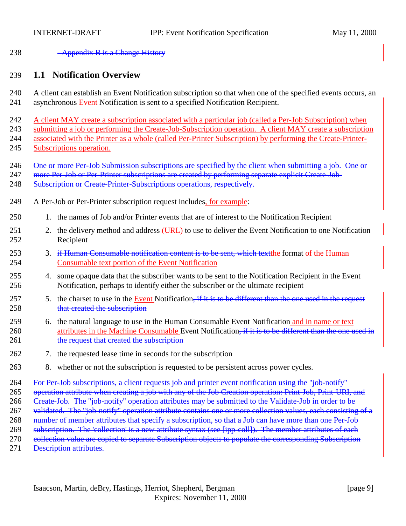<span id="page-8-0"></span>238 - Appendix B is a Change History

### 239 **1.1 Notification Overview**

- 240 A client can establish an Event Notification subscription so that when one of the specified events occurs, an 241 asynchronous Event Notification is sent to a specified Notification Recipient.
- 242 A client MAY create a subscription associated with a particular job (called a Per-Job Subscription) when 243 submitting a job or performing the Create-Job-Subscription operation. A client MAY create a subscription
- 244 associated with the Printer as a whole (called Per-Printer Subscription) by performing the Create-Printer-245 Subscriptions operation.
- 246 One or more Per-Job Submission subscriptions are specified by the client when submitting a job. One or
- 247 more Per-Job or Per-Printer subscriptions are created by performing separate explicit Create-Job-
- 248 Subscription or Create-Printer-Subscriptions operations, respectively.
- 249 A Per-Job or Per-Printer subscription request includes, for example:
- 250 1. the names of Job and/or Printer events that are of interest to the Notification Recipient
- 251 2. the delivery method and address (URL) to use to deliver the Event Notification to one Notification 252 Recipient
- 253 3. if Human Consumable notification content is to be sent, which text the format of the Human 254 Consumable text portion of the Event Notification
- 255 4. some opaque data that the subscriber wants to be sent to the Notification Recipient in the Event 256 Notification, perhaps to identify either the subscriber or the ultimate recipient
- 257 5. the charset to use in the Event Notification, if it is to be different than the one used in the request 258 that created the subscription
- 259 6. the natural language to use in the Human Consumable Event Notification and in name or text 260 attributes in the Machine Consumable Event Notification, if it is to be different than the one used in 261 the request that created the subscription
- 262 7. the requested lease time in seconds for the subscription
- 263 8. whether or not the subscription is requested to be persistent across power cycles.
- 264 For Per-Job subscriptions, a client requests job and printer event notification using the "job-notify"
- 265 operation attribute when creating a job with any of the Job Creation operation: Print-Job, Print-URI, and
- 266 Create-Job. The "job-notify" operation attributes may be submitted to the Validate-Job in order to be
- 267 validated. The "job-notify" operation attribute contains one or more collection values, each consisting of a
- 268 number of member attributes that specify a subscription, so that a Job can have more than one Per-Job
- 269 subscription. The 'collection' is a new attribute syntax (see [ipp-coll]). The member attributes of each
- 270 eollection value are copied to separate Subscription objects to populate the corresponding Subscription
- 271 <del>Description attributes.</del>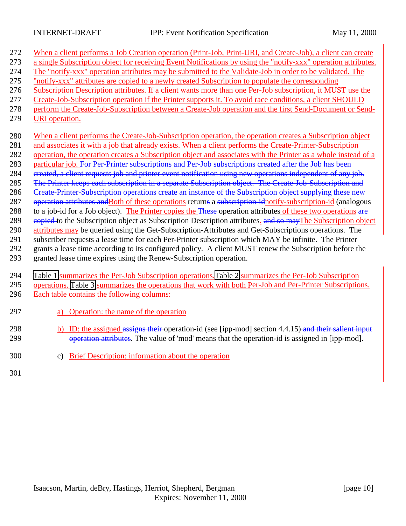| 272 | When a client performs a Job Creation operation (Print-Job, Print-URI, and Create-Job), a client can create    |
|-----|----------------------------------------------------------------------------------------------------------------|
| 273 | a single Subscription object for receiving Event Notifications by using the "notify-xxx" operation attributes. |
| 274 | The "notify-xxx" operation attributes may be submitted to the Validate-Job in order to be validated. The       |
| 275 | "notify-xxx" attributes are copied to a newly created Subscription to populate the corresponding               |
| 276 | Subscription Description attributes. If a client wants more than one Per-Job subscription, it MUST use the     |
| 277 | Create-Job-Subscription operation if the Printer supports it. To avoid race conditions, a client SHOULD        |
| 278 | perform the Create-Job-Subscription between a Create-Job operation and the first Send-Document or Send-        |
| 279 | URI operation.                                                                                                 |
| 280 | When a client performs the Create-Job-Subscription operation, the operation creates a Subscription object      |
| 281 | and associates it with a job that already exists. When a client performs the Create-Printer-Subscription       |
| 282 | operation, the operation creates a Subscription object and associates with the Printer as a whole instead of a |
| 283 | particular job. For Per-Printer subscriptions and Per-Job subscriptions created after the Job has been         |
| 284 | created, a client requests job and printer event notification using new operations independent of any job.     |
| 285 | The Printer keeps each subscription in a separate Subscription object. The Create-Job-Subscription and         |
| 286 | Create-Printer-Subscription operations create an instance of the Subscription object supplying these new       |
| 287 | operation attributes and Both of these operations returns a subscription idnotify-subscription-id (analogous   |
| 288 | to a job-id for a Job object). The Printer copies the These operation attributes of these two operations are   |
| 289 | eopied to the Subscription object as Subscription Description attributes. and so may The Subscription object   |
| 290 | attributes may be queried using the Get-Subscription-Attributes and Get-Subscriptions operations. The          |
| 291 | subscriber requests a lease time for each Per-Printer subscription which MAY be infinite. The Printer          |
| 292 | grants a lease time according to its configured policy. A client MUST renew the Subscription before the        |
| 293 | granted lease time expires using the Renew-Subscription operation.                                             |
| 294 | Table 1 summarizes the Per-Job Subscription operations. Table 2 summarizes the Per-Job Subscription            |
| 295 | operations. Table 3 summarizes the operations that work with both Per-Job and Per-Printer Subscriptions.       |
| 296 | Each table contains the following columns:                                                                     |
| 297 | Operation: the name of the operation<br>a)                                                                     |
| 298 | b) ID: the assigned assigns their operation-id (see [ipp-mod] section 4.4.15) and their salient input          |

299 operation attributes. The value of 'mod' means that the operation-id is assigned in [ipp-mod].

300 c) Brief Description: information about the operation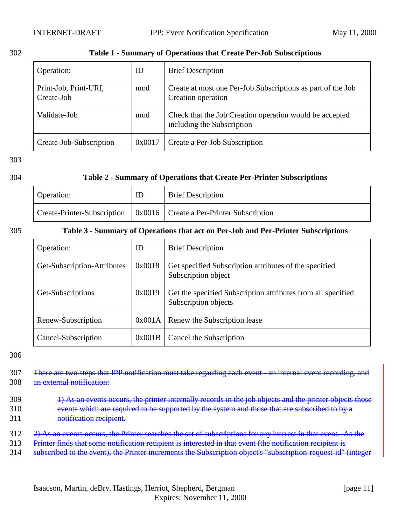<span id="page-10-0"></span>

| ٠<br>v | ×<br>۰, |  |
|--------|---------|--|

### 302 **Table 1 - Summary of Operations that Create Per-Job Subscriptions**

| Operation:                          | ID     | <b>Brief Description</b>                                                              |
|-------------------------------------|--------|---------------------------------------------------------------------------------------|
| Print-Job, Print-URI,<br>Create-Job | mod    | Create at most one Per-Job Subscriptions as part of the Job<br>Creation operation     |
| Validate-Job                        | mod    | Check that the Job Creation operation would be accepted<br>including the Subscription |
| Create-Job-Subscription             | 0x0017 | Create a Per-Job Subscription                                                         |

303

### 304 **Table 2 - Summary of Operations that Create Per-Printer Subscriptions**

| Operation: | ID | <b>Brief Description</b>                                                                     |
|------------|----|----------------------------------------------------------------------------------------------|
|            |    | $\vert$ Create-Printer-Subscription $\vert$ 0x0016 $\vert$ Create a Per-Printer Subscription |

### 305 **Table 3 - Summary of Operations that act on Per-Job and Per-Printer Subscriptions**

| Operation:                  | ID     | <b>Brief Description</b>                                                             |
|-----------------------------|--------|--------------------------------------------------------------------------------------|
| Get-Subscription-Attributes | 0x0018 | Get specified Subscription attributes of the specified<br>Subscription object        |
| Get-Subscriptions           | 0x0019 | Get the specified Subscription attributes from all specified<br>Subscription objects |
| Renew-Subscription          | 0x001A | Renew the Subscription lease                                                         |
| Cancel-Subscription         | 0x001B | Cancel the Subscription                                                              |

- 307 There are two steps that IPP notification must take regarding each event—an internal event recording, and 308 an external notification:
- 309 1) As an events occurs, the printer internally records in the job objects and the printer objects those 310 events which are required to be supported by the system and those that are subscribed to by a 311 notification recipient.
- 312 2) As an events occurs, the Printer searches the set of subscriptions for any interest in that event. As the
- 313 Printer finds that some notification recipient is interested in that event (the notification recipient is
- 314 subscribed to the event), the Printer increments the Subscription object's "subscription-request-id" (integer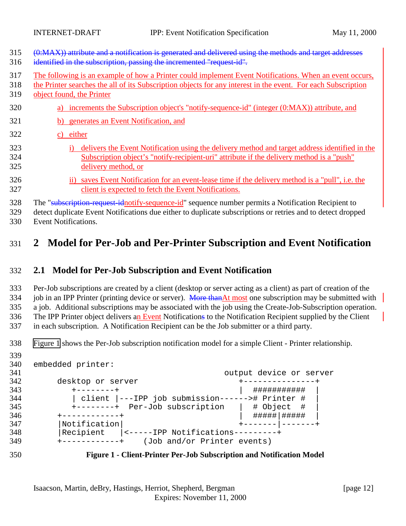<span id="page-11-0"></span>

| 315<br>316        | (0:MAX)) attribute and a notification is generated and delivered using the methods and target addresses<br>identified in the subscription, passing the incremented "request-id".                                                                      |
|-------------------|-------------------------------------------------------------------------------------------------------------------------------------------------------------------------------------------------------------------------------------------------------|
| 317<br>318<br>319 | The following is an example of how a Printer could implement Event Notifications. When an event occurs,<br>the Printer searches the all of its Subscription objects for any interest in the event. For each Subscription<br>object found, the Printer |
| 320               | increments the Subscription object's "notify-sequence-id" (integer (0:MAX)) attribute, and<br>a)                                                                                                                                                      |
| 321               | generates an Event Notification, and<br>b)                                                                                                                                                                                                            |
| 322               | either<br>C)                                                                                                                                                                                                                                          |
| 323<br>324<br>325 | delivers the Event Notification using the delivery method and target address identified in the<br>Subscription object's "notify-recipient-uri" attribute if the delivery method is a "push"<br>delivery method, or                                    |
| 326<br>327        | saves Event Notification for an event-lease time if the delivery method is a "pull", i.e. the<br>11)<br>client is expected to fetch the Event Notifications.                                                                                          |
| 328               | The "subscription-request-idnotify-sequence-id" sequence number permits a Notification Recipient to                                                                                                                                                   |

 detect duplicate Event Notifications due either to duplicate subscriptions or retries and to detect dropped Event Notifications.

# **2 Model for Per-Job and Per-Printer Subscription and Event Notification**

# **2.1 Model for Per-Job Subscription and Event Notification**

 Per-Job subscriptions are created by a client (desktop or server acting as a client) as part of creation of the 334 job in an IPP Printer (printing device or server). More than At most one subscription may be submitted with a job. Additional subscriptions may be associated with the job using the Create-Job-Subscription operation. 336 The IPP Printer object delivers an Event Notifications to the Notification Recipient supplied by the Client in each subscription. A Notification Recipient can be the Job submitter or a third party.

Figure 1 shows the Per-Job subscription notification model for a simple Client - Printer relationship.

| 340 | embedded printer:                                        |
|-----|----------------------------------------------------------|
| 341 | output device or server                                  |
| 342 | desktop or server                                        |
| 343 | ###########<br>$+ - - - - - - - +$                       |
| 344 | client  ---IPP job submission------># Printer #          |
| 345 | +--------+ Per-Job subscription<br>$ $ # Object #        |
| 346 | #####   #####<br>+-----------+                           |
| 347 | Notification                                             |
| 348 | Recipient<br>$\vert$ <-----IPP Notifications---------+   |
| 349 | (Job and/or Printer events)<br>$+ - - - - - - - - - - +$ |
|     |                                                          |



**Figure 1 - Client-Printer Per-Job Subscription and Notification Model**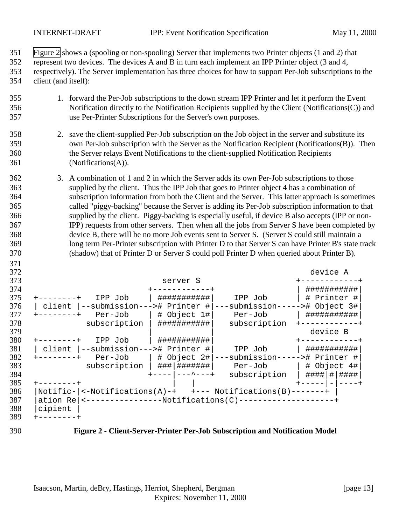<span id="page-12-0"></span>

- Figure 2 shows a (spooling or non-spooling) Server that implements two Printer objects (1 and 2) that
- represent two devices. The devices A and B in turn each implement an IPP Printer object (3 and 4,
- respectively). The Server implementation has three choices for how to support Per-Job subscriptions to the client (and itself):
- 1. forward the Per-Job subscriptions to the down stream IPP Printer and let it perform the Event Notification directly to the Notification Recipients supplied by the Client (Notifications(C)) and use Per-Printer Subscriptions for the Server's own purposes.
- 2. save the client-supplied Per-Job subscription on the Job object in the server and substitute its own Per-Job subscription with the Server as the Notification Recipient (Notifications(B)). Then the Server relays Event Notifications to the client-supplied Notification Recipients (Notifications(A)).
- 3. A combination of 1 and 2 in which the Server adds its own Per-Job subscriptions to those supplied by the client. Thus the IPP Job that goes to Printer object 4 has a combination of subscription information from both the Client and the Server. This latter approach is sometimes called "piggy-backing" because the Server is adding its Per-Job subscription information to that supplied by the client. Piggy-backing is especially useful, if device B also accepts (IPP or non- IPP) requests from other servers. Then when all the jobs from Server S have been completed by device B, there will be no more Job events sent to Server S. (Server S could still maintain a long term Per-Printer subscription with Printer D to that Server S can have Printer B's state track (shadow) that of Printer D or Server S could poll Printer D when queried about Printer B).

| 372 |                                                                         | device A        |
|-----|-------------------------------------------------------------------------|-----------------|
| 373 | server S                                                                |                 |
| 374 |                                                                         | ###########     |
| 375 | ###########<br>IPP Job<br>IPP Job                                       | # Printer #     |
| 376 | ---submission-----># Object 3#<br>--submission---># Printer #<br>client |                 |
| 377 | $ $ # Object 1#<br>Per-Job<br>Per-Job                                   | ###########     |
| 378 | ###########<br>subscription<br>subscription                             |                 |
| 379 |                                                                         | device B        |
| 380 | ###########<br>IPP Job                                                  |                 |
| 381 | --submission---># Printer #<br>client<br>IPP Job                        | ###########     |
| 382 | ---submission-----># Printer #<br>$\#$ Object 2# $\ $<br>Per-Job        |                 |
| 383 | ###   #######  <br>subscription<br>Per-Job l                            | # Object 4#     |
| 384 | $--  ---$ +<br>subscription                                             | ####   #   #### |
| 385 |                                                                         |                 |
| 386 | $Notific -  $ <-Notifications(A)-+ +--- Notifications(B)-------+        |                 |
| 387 | <-----------------Notifications(C)-------------------+<br>ation Rel     |                 |
| 388 | cipient                                                                 |                 |
| 389 |                                                                         |                 |

**Figure 2 - Client-Server-Printer Per-Job Subscription and Notification Model**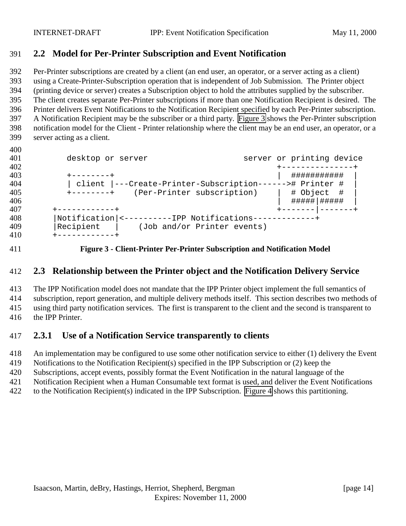## <span id="page-13-0"></span>**2.2 Model for Per-Printer Subscription and Event Notification**

 Per-Printer subscriptions are created by a client (an end user, an operator, or a server acting as a client) using a Create-Printer-Subscription operation that is independent of Job Submission. The Printer object (printing device or server) creates a Subscription object to hold the attributes supplied by the subscriber. The client creates separate Per-Printer subscriptions if more than one Notification Recipient is desired. The Printer delivers Event Notifications to the Notification Recipient specified by each Per-Printer subscription. A Notification Recipient may be the subscriber or a third party. Figure 3 shows the Per-Printer subscription notification model for the Client - Printer relationship where the client may be an end user, an operator, or a server acting as a client.

| 401 | desktop or server                                        |  | server or printing device |     |
|-----|----------------------------------------------------------|--|---------------------------|-----|
| 402 |                                                          |  |                           |     |
| 403 |                                                          |  | ###########               |     |
| 404 | client  ---Create-Printer-Subscription------># Printer # |  |                           |     |
| 405 | (Per-Printer subscription)<br>$+ - - - - - - - +$        |  | # Object                  | - # |
| 406 |                                                          |  | #####   #####             |     |
| 407 |                                                          |  |                           |     |
| 408 | Notification  <----------IPP Notifications---            |  |                           |     |
| 409 | Recipient<br>(Job and/or Printer events)                 |  |                           |     |
| 410 |                                                          |  |                           |     |

**Figure 3 - Client-Printer Per-Printer Subscription and Notification Model**

### **2.3 Relationship between the Printer object and the Notification Delivery Service**

 The IPP Notification model does not mandate that the IPP Printer object implement the full semantics of subscription, report generation, and multiple delivery methods itself. This section describes two methods of using third party notification services. The first is transparent to the client and the second is transparent to the IPP Printer.

# **2.3.1 Use of a Notification Service transparently to clients**

An implementation may be configured to use some other notification service to either (1) delivery the Event

Notifications to the Notification Recipient(s) specified in the IPP Subscription or (2) keep the

Subscriptions, accept events, possibly format the Event Notification in the natural language of the

Notification Recipient when a Human Consumable text format is used, and deliver the Event Notifications

to the Notification Recipient(s) indicated in the IPP Subscription. [Figure 4](#page-14-0) shows this partitioning.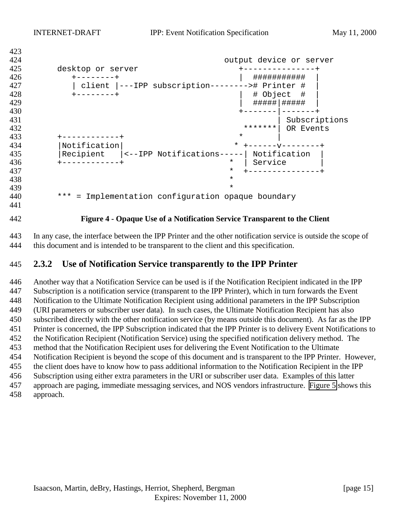```
423
424 output device or server
425 desktop or server +---------------+
426 +--------+ | ########### |
427 | client |---IPP subscription--------># Printer #<br>428                         +-------+
428 +--------+ | # Object # |
                                     429 | #####|##### |
430 +-------|-------+
431 Subscriptions and \sim 1.5 \sim 1.5 \sim 1.5 \sim 1.5 \sim 1.5 \sim 1.5 \sim 1.5 \sim 1.5 \sim 1.5 \sim 1.5 \sim 1.5 \sim 1.5 \sim 1.5 \sim 1.5 \sim 1.5 \sim 1.5 \sim 1.5 \sim 1.5 \sim 1.5 \sim 1.5 \sim 1.5 \sim 1.5 
432 ********| OR Events
433 + \cdots + \cdots +434 |Notification| * +------v--------+
435 |Recipient |<--IPP Notifications-----| Notification |
                                   * | Service
437 * +---------------+
438 *
439 *
440 *** = Implementation configuration opaque boundary
```
**Figure 4 - Opaque Use of a Notification Service Transparent to the Client**

 In any case, the interface between the IPP Printer and the other notification service is outside the scope of this document and is intended to be transparent to the client and this specification.

### **2.3.2 Use of Notification Service transparently to the IPP Printer**

 Another way that a Notification Service can be used is if the Notification Recipient indicated in the IPP Subscription is a notification service (transparent to the IPP Printer), which in turn forwards the Event Notification to the Ultimate Notification Recipient using additional parameters in the IPP Subscription (URI parameters or subscriber user data). In such cases, the Ultimate Notification Recipient has also subscribed directly with the other notification service (by means outside this document). As far as the IPP Printer is concerned, the IPP Subscription indicated that the IPP Printer is to delivery Event Notifications to the Notification Recipient (Notification Service) using the specified notification delivery method. The method that the Notification Recipient uses for delivering the Event Notification to the Ultimate Notification Recipient is beyond the scope of this document and is transparent to the IPP Printer. However, the client does have to know how to pass additional information to the Notification Recipient in the IPP Subscription using either extra parameters in the URI or subscriber user data. Examples of this latter approach are paging, immediate messaging services, and NOS vendors infrastructure. [Figure 5](#page-15-0) shows this approach.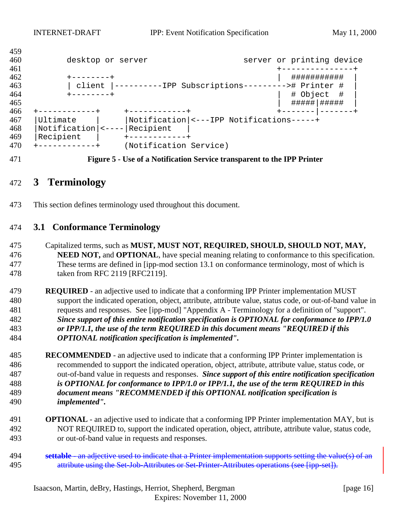<span id="page-15-0"></span>

| 409 |                     |                        |                                                  |               |                           |
|-----|---------------------|------------------------|--------------------------------------------------|---------------|---------------------------|
| 460 | desktop or server   |                        |                                                  |               | server or printing device |
| 461 |                     |                        |                                                  |               |                           |
| 462 | --------+           |                        |                                                  | ###########   |                           |
| 463 | client              |                        | ----------IPP Subscriptions---------># Printer # |               |                           |
| 464 | --------+           |                        |                                                  | # Object      | - #                       |
| 465 |                     |                        |                                                  | #####   ##### |                           |
| 466 |                     |                        |                                                  |               |                           |
| 467 | Ultimate            |                        | Notification <---IPP Notifications-----+         |               |                           |
| 468 | Notification  <---- | Recipient              |                                                  |               |                           |
| 469 | Recipient           |                        |                                                  |               |                           |
| 470 |                     | (Notification Service) |                                                  |               |                           |

**Figure 5 - Use of a Notification Service transparent to the IPP Printer**

# **3 Terminology**

This section defines terminology used throughout this document.

### **3.1 Conformance Terminology**

- Capitalized terms, such as **MUST, MUST NOT, REQUIRED, SHOULD, SHOULD NOT, MAY, NEED NOT,** and **OPTIONAL**, have special meaning relating to conformance to this specification. These terms are defined in [ipp-mod section 13.1 on conformance terminology, most of which is taken from RFC 2119 [RFC2119].
- **REQUIRED**  an adjective used to indicate that a conforming IPP Printer implementation MUST support the indicated operation, object, attribute, attribute value, status code, or out-of-band value in requests and responses. See [ipp-mod] "Appendix A - Terminology for a definition of "support". *Since support of this entire notification specification is OPTIONAL for conformance to IPP/1.0 or IPP/1.1, the use of the term REQUIRED in this document means "REQUIRED if this OPTIONAL notification specification is implemented".*
- **RECOMMENDED**  an adjective used to indicate that a conforming IPP Printer implementation is recommended to support the indicated operation, object, attribute, attribute value, status code, or out-of-band value in requests and responses. *Since support of this entire notification specification is OPTIONAL for conformance to IPP/1.0 or IPP/1.1, the use of the term REQUIRED in this document means "RECOMMENDED if this OPTIONAL notification specification is implemented".*
- **OPTIONAL**  an adjective used to indicate that a conforming IPP Printer implementation MAY, but is NOT REQUIRED to, support the indicated operation, object, attribute, attribute value, status code, or out-of-band value in requests and responses.
- **settable**  an adjective used to indicate that a Printer implementation supports setting the value(s) of an 495 attribute using the Set-Job-Attributes or Set-Printer-Attributes operations (see [ipp-set]).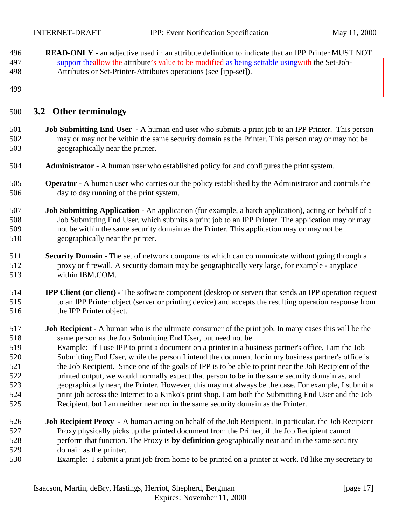<span id="page-16-0"></span> **READ-ONLY** - an adjective used in an attribute definition to indicate that an IPP Printer MUST NOT 497 support the allow the attribute's value to be modified as being settable using with the Set-Job-Attributes or Set-Printer-Attributes operations (see [ipp-set]).

### **3.2 Other terminology**

- **Job Submitting End User** A human end user who submits a print job to an IPP Printer. This person may or may not be within the same security domain as the Printer. This person may or may not be geographically near the printer.
- **Administrator**  A human user who established policy for and configures the print system.
- **Operator** A human user who carries out the policy established by the Administrator and controls the day to day running of the print system.
- **Job Submitting Application** An application (for example, a batch application), acting on behalf of a Job Submitting End User, which submits a print job to an IPP Printer. The application may or may not be within the same security domain as the Printer. This application may or may not be geographically near the printer.
- **Security Domain** The set of network components which can communicate without going through a proxy or firewall. A security domain may be geographically very large, for example - anyplace within IBM.COM.
- **IPP Client (or client)** The software component (desktop or server) that sends an IPP operation request to an IPP Printer object (server or printing device) and accepts the resulting operation response from the IPP Printer object.
- **Job Recipient** A human who is the ultimate consumer of the print job. In many cases this will be the same person as the Job Submitting End User, but need not be.
- Example: If I use IPP to print a document on a printer in a business partner's office, I am the Job Submitting End User, while the person I intend the document for in my business partner's office is the Job Recipient. Since one of the goals of IPP is to be able to print near the Job Recipient of the printed output, we would normally expect that person to be in the same security domain as, and geographically near, the Printer. However, this may not always be the case. For example, I submit a print job across the Internet to a Kinko's print shop. I am both the Submitting End User and the Job Recipient, but I am neither near nor in the same security domain as the Printer.
- **Job Recipient Proxy** A human acting on behalf of the Job Recipient. In particular, the Job Recipient Proxy physically picks up the printed document from the Printer, if the Job Recipient cannot perform that function. The Proxy is **by definition** geographically near and in the same security domain as the printer.
- Example: I submit a print job from home to be printed on a printer at work. I'd like my secretary to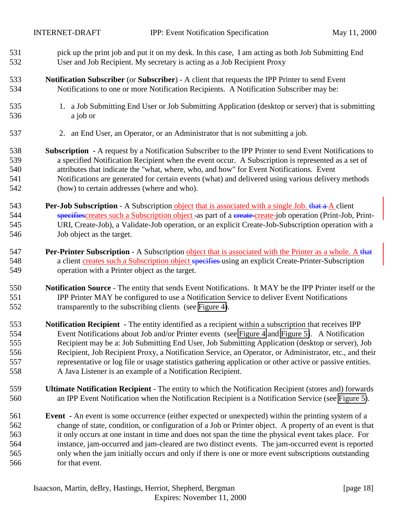- pick up the print job and put it on my desk. In this case, I am acting as both Job Submitting End User and Job Recipient. My secretary is acting as a Job Recipient Proxy
- **Notification Subscriber** (or **Subscriber**) A client that requests the IPP Printer to send Event Notifications to one or more Notification Recipients. A Notification Subscriber may be:
- 1. a Job Submitting End User or Job Submitting Application (desktop or server) that is submitting a job or
- 2. an End User, an Operator, or an Administrator that is not submitting a job.
- **Subscription** A request by a Notification Subscriber to the IPP Printer to send Event Notifications to a specified Notification Recipient when the event occur. A Subscription is represented as a set of attributes that indicate the "what, where, who, and how" for Event Notifications. Event Notifications are generated for certain events (what) and delivered using various delivery methods (how) to certain addresses (where and who).
- **Per-Job Subscription** A Subscription object that is associated with a single Job. that a A client 544 specifiescreates such a Subscription object - as part of a create create-job operation (Print-Job, Print- URI, Create-Job), a Validate-Job operation, or an explicit Create-Job-Subscription operation with a Job object as the target.
- **Per-Printer Subscription** A Subscription object that is associated with the Printer as a whole. A that 548 a client creates such a Subscription object specifies using an explicit Create-Printer-Subscription operation with a Printer object as the target.
- **Notification Source** The entity that sends Event Notifications. It MAY be the IPP Printer itself or the IPP Printer MAY be configured to use a Notification Service to deliver Event Notifications transparently to the subscribing clients (see [Figure 4\)](#page-14-0).
- **Notification Recipient** The entity identified as a recipient within a subscription that receives IPP Event Notifications about Job and/or Printer events (see [Figure 4](#page-14-0) and [Figure 5\)](#page-15-0). A Notification Recipient may be a: Job Submitting End User, Job Submitting Application (desktop or server), Job Recipient, Job Recipient Proxy, a Notification Service, an Operator, or Administrator, etc., and their representative or log file or usage statistics gathering application or other active or passive entities. A Java Listener is an example of a Notification Recipient.
- **Ultimate Notification Recipient**  The entity to which the Notification Recipient (stores and) forwards an IPP Event Notification when the Notification Recipient is a Notification Service (see [Figure 5\)](#page-15-0).
- **Event** An event is some occurrence (either expected or unexpected) within the printing system of a change of state, condition, or configuration of a Job or Printer object. A property of an event is that it only occurs at one instant in time and does not span the time the physical event takes place. For instance, jam-occurred and jam-cleared are two distinct events. The jam-occurred event is reported only when the jam initially occurs and only if there is one or more event subscriptions outstanding for that event.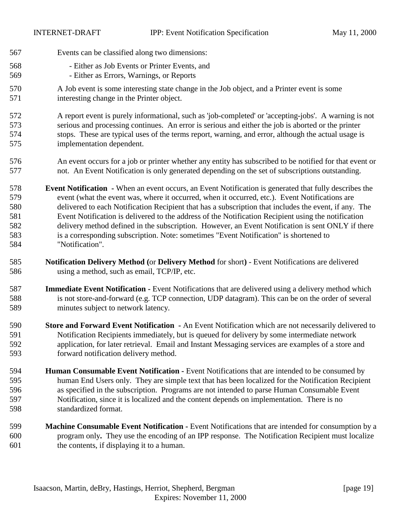- Events can be classified along two dimensions:
- Either as Job Events or Printer Events, and
- Either as Errors, Warnings, or Reports
- A Job event is some interesting state change in the Job object, and a Printer event is some interesting change in the Printer object.
- A report event is purely informational, such as 'job-completed' or 'accepting-jobs'. A warning is not serious and processing continues. An error is serious and either the job is aborted or the printer stops. These are typical uses of the terms report, warning, and error, although the actual usage is implementation dependent.
- An event occurs for a job or printer whether any entity has subscribed to be notified for that event or not. An Event Notification is only generated depending on the set of subscriptions outstanding.
- **Event Notification** When an event occurs, an Event Notification is generated that fully describes the event (what the event was, where it occurred, when it occurred, etc.). Event Notifications are delivered to each Notification Recipient that has a subscription that includes the event, if any. The Event Notification is delivered to the address of the Notification Recipient using the notification delivery method defined in the subscription. However, an Event Notification is sent ONLY if there is a corresponding subscription. Note: sometimes "Event Notification" is shortened to "Notification".
- **Notification Delivery Method (**or **Delivery Method** for short**)**  Event Notifications are delivered using a method, such as email, TCP/IP, etc.
- **Immediate Event Notification** Event Notifications that are delivered using a delivery method which is not store-and-forward (e.g. TCP connection, UDP datagram). This can be on the order of several minutes subject to network latency.
- **Store and Forward Event Notification** An Event Notification which are not necessarily delivered to Notification Recipients immediately, but is queued for delivery by some intermediate network application, for later retrieval. Email and Instant Messaging services are examples of a store and forward notification delivery method.
- **Human Consumable Event Notification** Event Notifications that are intended to be consumed by human End Users only. They are simple text that has been localized for the Notification Recipient as specified in the subscription. Programs are not intended to parse Human Consumable Event Notification, since it is localized and the content depends on implementation. There is no standardized format.
- **Machine Consumable Event Notification** Event Notifications that are intended for consumption by a program only**.** They use the encoding of an IPP response. The Notification Recipient must localize the contents, if displaying it to a human.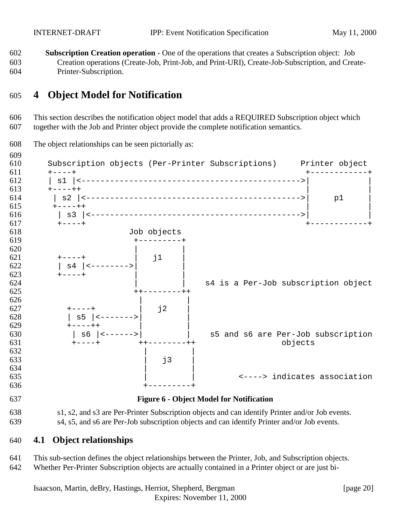<span id="page-19-0"></span> **Subscription Creation operation** - One of the operations that creates a Subscription object: Job Creation operations (Create-Job, Print-Job, and Print-URI), Create-Job-Subscription, and Create-Printer-Subscription.

# **4 Object Model for Notification**

 This section describes the notification object model that adds a REQUIRED Subscription object which together with the Job and Printer object provide the complete notification semantics.



 s1, s2, and s3 are Per-Printer Subscription objects and can identify Printer and/or Job events. s4, s5, and s6 are Per-Job subscription objects and can identify Printer and/or Job events.

### **4.1 Object relationships**

- This sub-section defines the object relationships between the Printer, Job, and Subscription objects.
- Whether Per-Printer Subscription objects are actually contained in a Printer object or are just bi-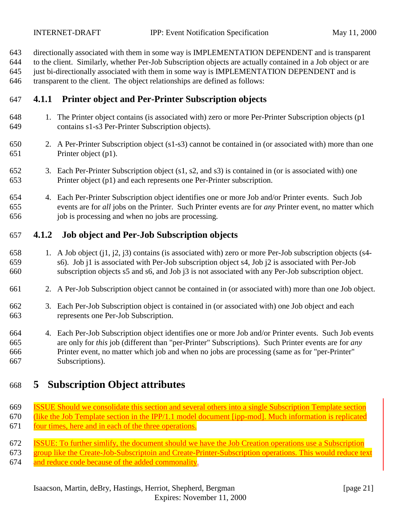<span id="page-20-0"></span>directionally associated with them in some way is IMPLEMENTATION DEPENDENT and is transparent

to the client. Similarly, whether Per-Job Subscription objects are actually contained in a Job object or are

just bi-directionally associated with them in some way is IMPLEMENTATION DEPENDENT and is

transparent to the client. The object relationships are defined as follows:

# **4.1.1 Printer object and Per-Printer Subscription objects**

- 1. The Printer object contains (is associated with) zero or more Per-Printer Subscription objects (p1 contains s1-s3 Per-Printer Subscription objects).
- 2. A Per-Printer Subscription object (s1-s3) cannot be contained in (or associated with) more than one Printer object (p1).
- 3. Each Per-Printer Subscription object (s1, s2, and s3) is contained in (or is associated with) one Printer object (p1) and each represents one Per-Printer subscription.
- 4. Each Per-Printer Subscription object identifies one or more Job and/or Printer events. Such Job events are for *all* jobs on the Printer. Such Printer events are for *any* Printer event, no matter which job is processing and when no jobs are processing.

# **4.1.2 Job object and Per-Job Subscription objects**

- 1. A Job object (j1, j2, j3) contains (is associated with) zero or more Per-Job subscription objects (s4- s6). Job j1 is associated with Per-Job subscription object s4, Job j2 is associated with Per-Job subscription objects s5 and s6, and Job j3 is not associated with any Per-Job subscription object.
- 2. A Per-Job Subscription object cannot be contained in (or associated with) more than one Job object.
- 3. Each Per-Job Subscription object is contained in (or associated with) one Job object and each represents one Per-Job Subscription.
- 4. Each Per-Job Subscription object identifies one or more Job and/or Printer events. Such Job events are only for *this* job (different than "per-Printer" Subscriptions). Such Printer events are for *any* Printer event, no matter which job and when no jobs are processing (same as for "per-Printer" Subscriptions).

# **5 Subscription Object attributes**

- ISSUE Should we consolidate this section and several others into a single Subscription Template section
- (like the Job Template section in the IPP/1.1 model document [ipp-mod]. Much information is replicated
- four times, here and in each of the three operations.
- ISSUE: To further simlify, the document should we have the Job Creation operations use a Subscription
- group like the Create-Job-Subscriptoin and Create-Printer-Subscription operations. This would reduce text and reduce code because of the added commonality.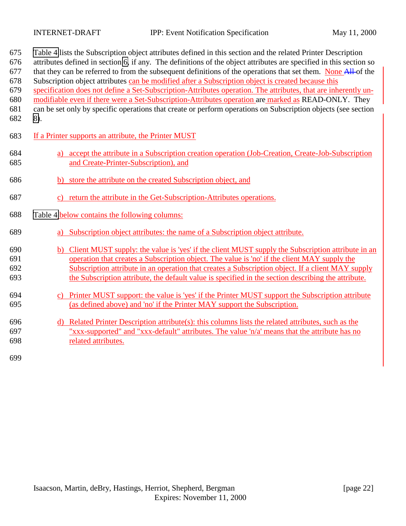| 675<br>676<br>677<br>678<br>679<br>680<br>681<br>682 | Table 4 lists the Subscription object attributes defined in this section and the related Printer Description<br>attributes defined in section 6, if any. The definitions of the object attributes are specified in this section so<br>that they can be referred to from the subsequent definitions of the operations that set them. None All-of the<br>Subscription object attributes can be modified after a Subscription object is created because this<br>specification does not define a Set-Subscription-Attributes operation. The attributes, that are inherently un-<br>modifiable even if there were a Set-Subscription-Attributes operation are marked as READ-ONLY. They<br>can be set only by specific operations that create or perform operations on Subscription objects (see section<br>8). |
|------------------------------------------------------|------------------------------------------------------------------------------------------------------------------------------------------------------------------------------------------------------------------------------------------------------------------------------------------------------------------------------------------------------------------------------------------------------------------------------------------------------------------------------------------------------------------------------------------------------------------------------------------------------------------------------------------------------------------------------------------------------------------------------------------------------------------------------------------------------------|
| 683                                                  | If a Printer supports an attribute, the Printer MUST                                                                                                                                                                                                                                                                                                                                                                                                                                                                                                                                                                                                                                                                                                                                                       |
| 684<br>685                                           | a) accept the attribute in a Subscription creation operation (Job-Creation, Create-Job-Subscription<br>and Create-Printer-Subscription), and                                                                                                                                                                                                                                                                                                                                                                                                                                                                                                                                                                                                                                                               |
| 686                                                  | store the attribute on the created Subscription object, and<br>b)                                                                                                                                                                                                                                                                                                                                                                                                                                                                                                                                                                                                                                                                                                                                          |
| 687                                                  | c) return the attribute in the Get-Subscription-Attributes operations.                                                                                                                                                                                                                                                                                                                                                                                                                                                                                                                                                                                                                                                                                                                                     |
| 688                                                  | Table 4 below contains the following columns:                                                                                                                                                                                                                                                                                                                                                                                                                                                                                                                                                                                                                                                                                                                                                              |
| 689                                                  | Subscription object attributes: the name of a Subscription object attribute.                                                                                                                                                                                                                                                                                                                                                                                                                                                                                                                                                                                                                                                                                                                               |
| 690                                                  | b) Client MUST supply: the value is 'yes' if the client MUST supply the Subscription attribute in an                                                                                                                                                                                                                                                                                                                                                                                                                                                                                                                                                                                                                                                                                                       |
| 691                                                  | operation that creates a Subscription object. The value is 'no' if the client MAY supply the                                                                                                                                                                                                                                                                                                                                                                                                                                                                                                                                                                                                                                                                                                               |
| 692                                                  | Subscription attribute in an operation that creates a Subscription object. If a client MAY supply                                                                                                                                                                                                                                                                                                                                                                                                                                                                                                                                                                                                                                                                                                          |
| 693                                                  | the Subscription attribute, the default value is specified in the section describing the attribute.                                                                                                                                                                                                                                                                                                                                                                                                                                                                                                                                                                                                                                                                                                        |
| 694                                                  | c) Printer MUST support: the value is 'yes' if the Printer MUST support the Subscription attribute                                                                                                                                                                                                                                                                                                                                                                                                                                                                                                                                                                                                                                                                                                         |
| 695                                                  | (as defined above) and 'no' if the Printer MAY support the Subscription.                                                                                                                                                                                                                                                                                                                                                                                                                                                                                                                                                                                                                                                                                                                                   |
| 696                                                  | d) Related Printer Description attribute(s): this columns lists the related attributes, such as the                                                                                                                                                                                                                                                                                                                                                                                                                                                                                                                                                                                                                                                                                                        |
| 697                                                  | "xxx-supported" and "xxx-default" attributes. The value 'n/a' means that the attribute has no                                                                                                                                                                                                                                                                                                                                                                                                                                                                                                                                                                                                                                                                                                              |
| 698                                                  | related attributes.                                                                                                                                                                                                                                                                                                                                                                                                                                                                                                                                                                                                                                                                                                                                                                                        |
|                                                      |                                                                                                                                                                                                                                                                                                                                                                                                                                                                                                                                                                                                                                                                                                                                                                                                            |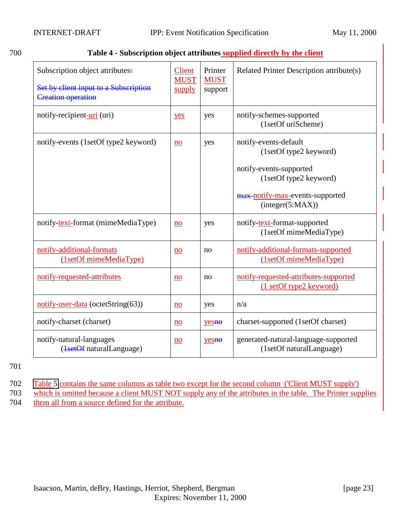<span id="page-22-0"></span>

| ×<br>×<br>۰,<br>۰, |  |  |  |
|--------------------|--|--|--|
|--------------------|--|--|--|

### Table 4 - Subscription object attributes supplied directly by the client

| Subscription object attributes:<br>Set by client input to a Subscription<br><b>Creation operation</b> | Client<br><b>MUST</b><br>supply | Printer<br><b>MUST</b><br>support | Related Printer Description attribute(s)                         |
|-------------------------------------------------------------------------------------------------------|---------------------------------|-----------------------------------|------------------------------------------------------------------|
| notify-recipient-uri (uri)                                                                            | yes                             | yes                               | notify-schemes-supported<br>(1setOf uriScheme)                   |
| notify-events (1setOf type2 keyword)                                                                  | no                              | yes                               | notify-events-default<br>(1setOf type2 keyword)                  |
|                                                                                                       |                                 |                                   | notify-events-supported<br>(1setOf type2 keyword)                |
|                                                                                                       |                                 |                                   | max-notify-max-events-supported<br>interger(5:MAX))              |
| notify-text-format (mimeMediaType)                                                                    | no                              | yes                               | notify-text-format-supported<br>(1setOf mimeMediaType)           |
| notify-additional-formats<br>$(1setOf$ mimeMediaType)                                                 | no                              | no                                | notify-additional-formats-supported<br>$(1setOf$ mimeMediaType)  |
| notify-requested-attributes                                                                           | $\underline{no}$                | no                                | notify-requested-attributes-supported<br>(1 setOf type2 keyword) |
| notify-user-data (octetString(63))                                                                    | $\underline{no}$                | yes                               | n/a                                                              |
| notify-charset (charset)                                                                              | no                              | yesno                             | charset-supported (1setOf charset)                               |
| notify-natural-languages<br>(1setOf naturalLanguage)                                                  | no                              | $yes0$                            | generated-natural-language-supported<br>(1setOf naturalLanguage) |

701

702 [Table 5](#page-23-0) contains the same columns as table two except for the second column ('Client MUST supply')

703 which is omitted because a client MUST NOT supply any of the attributes in the table. The Printer supplies 704 them all from a source defined for the attribute.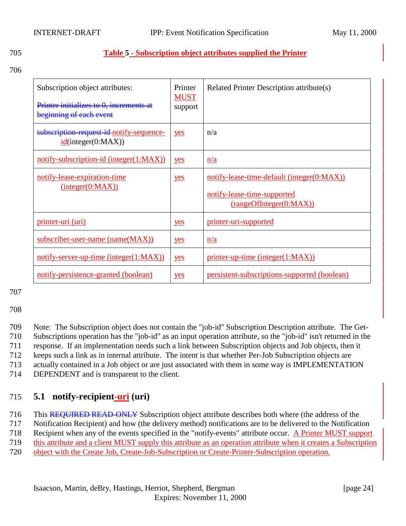### <span id="page-23-0"></span>705 **Table 5 - Subscription object attributes supplied the Printer**

706

| Subscription object attributes:<br>Printer initializes to 0, increments at<br>beginning of each event | Printer<br><b>MUST</b><br>support | Related Printer Description attribute(s)                                                             |
|-------------------------------------------------------------------------------------------------------|-----------------------------------|------------------------------------------------------------------------------------------------------|
| subscription request id notify-sequence-<br>id(integer(0:MAX))                                        | yes                               | n/a                                                                                                  |
| notify-subscription-id (integer(1:MAX))                                                               | yes                               | n/a                                                                                                  |
| notify-lease-expiration-time<br>(integer(0:MAX))                                                      | yes                               | notify-lease-time-default (integer(0:MAX))<br>notify-lease-time-supported<br>(rangeOfInteger(0:MAX)) |
| <u>printer-uri (uri)</u>                                                                              | yes                               | printer-uri-supported                                                                                |
| subscriber-user-name (name(MAX))                                                                      | yes                               | n/a                                                                                                  |
| notify-server-up-time (integer(1:MAX))                                                                | yes                               | $printer-up-time (integer(1:MAX))$                                                                   |
| notify-persistence-granted (boolean)                                                                  | yes                               | persistent-subscriptions-supported (boolean)                                                         |

### 707

708

| 709 | Note: The Subscription object does not contain the "job-id" Subscription Description attribute. The Get-        |
|-----|-----------------------------------------------------------------------------------------------------------------|
| 710 | Subscriptions operation has the "job-id" as an input operation attribute, so the "job-id" isn't returned in the |
| 711 | response. If an implementation needs such a link between Subscription objects and Job objects, then it          |
| 712 | keeps such a link as in internal attribute. The intent is that whether Per-Job Subscription objects are         |
| 713 | actually contained in a Job object or are just associated with them in some way is IMPLEMENTATION               |
|     |                                                                                                                 |

714 DEPENDENT and is transparent to the client.

# 715 **5.1 notify-recipient-uri (uri)**

716 This REQUIRED READ-ONLY Subscription object attribute describes both where (the address of the

717 Notification Recipient) and how (the delivery method) notifications are to be delivered to the Notification

718 Recipient when any of the events specified in the "notify-events" attribute occur. A Printer MUST support

719 this attribute and a client MUST supply this attribute as an operation attribute when it creates a Subscription

720 object with the Create Job, Create-Job-Subscription or Create-Printer-Subscription operation.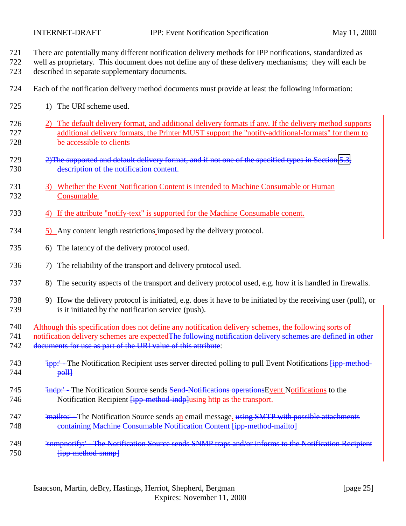There are potentially many different notification delivery methods for IPP notifications, standardized as

 well as proprietary. This document does not define any of these delivery mechanisms; they will each be described in separate supplementary documents.

- Each of the notification delivery method documents must provide at least the following information:
- 725 1) The URI scheme used.
- 2) The default delivery format, and additional delivery formats if any. If the delivery method supports additional delivery formats, the Printer MUST support the "notify-additional-formats" for them to be accessible to clients
- 729 2) The supported and default delivery format, and if not one of the specified types in Section [5.3,](#page-29-0) description of the notification content.
- 3) Whether the Event Notification Content is intended to Machine Consumable or Human Consumable.
- 4) If the attribute "notify-text" is supported for the Machine Consumable conent.
- 5) Any content length restrictions imposed by the delivery protocol.
- 6) The latency of the delivery protocol used.
- 7) The reliability of the transport and delivery protocol used.
- 8) The security aspects of the transport and delivery protocol used, e.g. how it is handled in firewalls.
- 9) How the delivery protocol is initiated, e.g. does it have to be initiated by the receiving user (pull), or is it initiated by the notification service (push).
- Although this specification does not define any notification delivery schemes, the following sorts of

741 notification delivery schemes are expected The following notification delivery schemes are defined in other 742 documents for use as part of the URI value of this attribute:

- 743 <sup>'</sup>ipp:' The Notification Recipient uses server directed polling to pull Event Notifications  $\overline{f_{\text{1}}^{\text{1}}^{\text{1}}^{\text{1}}^{\text{1}}^{\text{1}}^{\text{1}}^{\text{1}}^{\text{1}}^{\text{1}}^{\text{1}}^{\text{1}}}$ poll
- 745 'indp:' The Notification Source sends Send-Notifications operations Event Notifications to the 746 Notification Recipient *[ipp-method-indp]using http as the transport.*
- 747 'mailto:' The Notification Source sends an email message. using SMTP with possible attachments containing Machine Consumable Notification Content [ipp-method-mailto]
- 749 'snmpnotify:' The Notification Source sends SNMP traps and/or informs to the Notification Recipient 750 <del>[ipp-method-snmp]</del>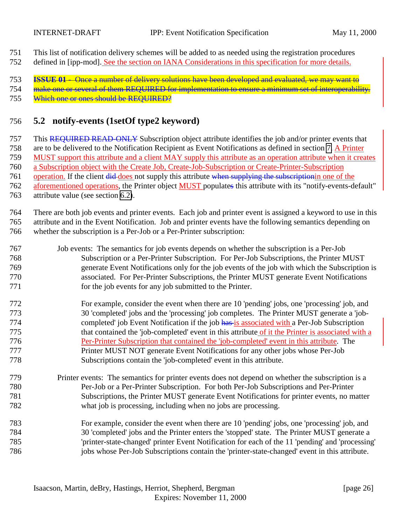<span id="page-25-0"></span>This list of notification delivery schemes will be added to as needed using the registration procedures

defined in [ipp-mod]. See the section on IANA Considerations in this specification for more details.

**ISSUE 01** - Once a number of delivery solutions have been developed and evaluated, we may want to

 make one or several of them REQUIRED for implementation to ensure a minimum set of interoperability. Which one or ones should be REQUIRED?

# **5.2 notify-events (1setOf type2 keyword)**

757 This REQUIRED READ-ONLY Subscription object attribute identifies the job and/or printer events that are to be delivered to the Notification Recipient as Event Notifications as defined in section [7.](#page-41-0) A Printer MUST support this attribute and a client MAY supply this attribute as an operation attribute when it creates a Subscription object with the Create Job, Create-Job-Subscription or Create-Printer-Subscription 761 operation. If the client did-does not supply this attribute when supplying the subscription one of the 762 aforementioned operations, the Printer object MUST populates this attribute with its "notify-events-default"

attribute value (see section [6.2\)](#page-38-0).

 There are both job events and printer events. Each job and printer event is assigned a keyword to use in this attribute and in the Event Notification. Job and printer events have the following semantics depending on whether the subscription is a Per-Job or a Per-Printer subscription:

- Job events: The semantics for job events depends on whether the subscription is a Per-Job Subscription or a Per-Printer Subscription. For Per-Job Subscriptions, the Printer MUST generate Event Notifications only for the job events of the job with which the Subscription is associated. For Per-Printer Subscriptions, the Printer MUST generate Event Notifications for the job events for any job submitted to the Printer.
- For example, consider the event when there are 10 'pending' jobs, one 'processing' job, and 30 'completed' jobs and the 'processing' job completes. The Printer MUST generate a 'job-774 completed' job Event Notification if the job has is associated with a Per-Job Subscription that contained the 'job-completed' event in this attribute of it the Printer is associated with a Per-Printer Subscription that contained the 'job-completed' event in this attribute. The Printer MUST NOT generate Event Notifications for any other jobs whose Per-Job Subscriptions contain the 'job-completed' event in this attribute.
- Printer events: The semantics for printer events does not depend on whether the subscription is a Per-Job or a Per-Printer Subscription. For both Per-Job Subscriptions and Per-Printer Subscriptions, the Printer MUST generate Event Notifications for printer events, no matter what job is processing, including when no jobs are processing.
- For example, consider the event when there are 10 'pending' jobs, one 'processing' job, and 30 'completed' jobs and the Printer enters the 'stopped' state. The Printer MUST generate a 'printer-state-changed' printer Event Notification for each of the 11 'pending' and 'processing' jobs whose Per-Job Subscriptions contain the 'printer-state-changed' event in this attribute.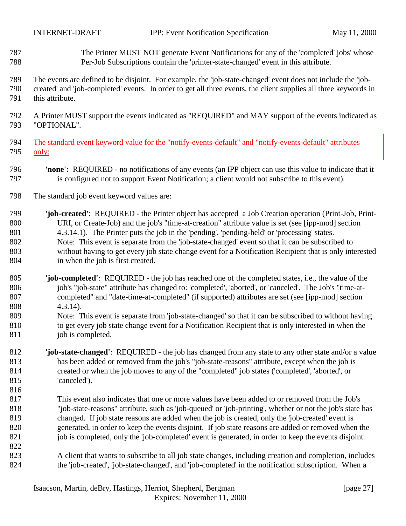- The Printer MUST NOT generate Event Notifications for any of the 'completed' jobs' whose Per-Job Subscriptions contain the 'printer-state-changed' event in this attribute.
- The events are defined to be disjoint. For example, the 'job-state-changed' event does not include the 'job- created' and 'job-completed' events. In order to get all three events, the client supplies all three keywords in this attribute.
- A Printer MUST support the events indicated as "REQUIRED" and MAY support of the events indicated as "OPTIONAL".
- The standard event keyword value for the "notify-events-default" and "notify-events-default" attributes only:
- **'none':** REQUIRED no notifications of any events (an IPP object can use this value to indicate that it is configured not to support Event Notification; a client would not subscribe to this event).
- The standard job event keyword values are:

- **'job-created'**: REQUIRED the Printer object has accepted a Job Creation operation (Print-Job, Print- URI, or Create-Job) and the job's "time-at-creation" attribute value is set (see [ipp-mod] section 4.3.14.1). The Printer puts the job in the 'pending', 'pending-held' or 'processing' states. Note: This event is separate from the 'job-state-changed' event so that it can be subscribed to without having to get every job state change event for a Notification Recipient that is only interested in when the job is first created.
- **'job-completed'**: REQUIRED the job has reached one of the completed states, i.e., the value of the 806 job's "job-state" attribute has changed to: 'completed', 'aborted', or 'canceled'. The Job's "time-at- completed" and "date-time-at-completed" (if supported) attributes are set (see [ipp-mod] section 4.3.14).
- Note: This event is separate from 'job-state-changed' so that it can be subscribed to without having to get every job state change event for a Notification Recipient that is only interested in when the 811 job is completed.
- **'job-state-changed'**: REQUIRED the job has changed from any state to any other state and/or a value has been added or removed from the job's "job-state-reasons" attribute, except when the job is created or when the job moves to any of the "completed" job states ('completed', 'aborted', or 'canceled').
- This event also indicates that one or more values have been added to or removed from the Job's "job-state-reasons" attribute, such as 'job-queued' or 'job-printing', whether or not the job's state has changed. If job state reasons are added when the job is created, only the 'job-created' event is generated, in order to keep the events disjoint. If job state reasons are added or removed when the 821 job is completed, only the 'job-completed' event is generated, in order to keep the events disjoint.
- A client that wants to subscribe to all job state changes, including creation and completion, includes the 'job-created', 'job-state-changed', and 'job-completed' in the notification subscription. When a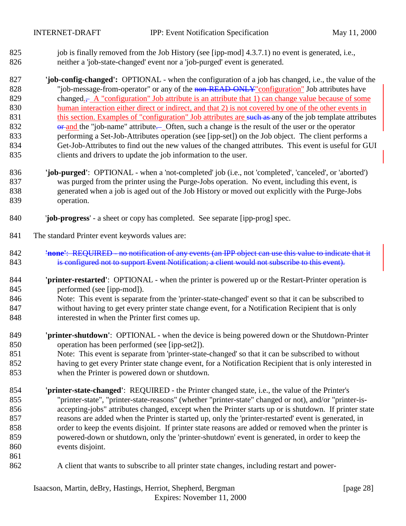825 job is finally removed from the Job History (see [ipp-mod] 4.3.7.1) no event is generated, i.e., neither a 'job-state-changed' event nor a 'job-purged' event is generated.

 **'job-config-changed':** OPTIONAL - when the configuration of a job has changed, i.e., the value of the 828 "job-message-from-operator" or any of the non-READ-ONLY" configuration" Job attributes have 829 changed<sub>.</sub>, A "configuration" Job attribute is an attribute that 1) can change value because of some human interaction either direct or indirect, and that 2) is not covered by one of the other events in 831 this section. Examples of "configuration" Job attributes are such as any of the job template attributes 832 or and the "job-name" attribute. Often, such a change is the result of the user or the operator performing a Set-Job-Attributes operation (see [ipp-set]) on the Job object. The client performs a Get-Job-Attributes to find out the new values of the changed attributes. This event is useful for GUI clients and drivers to update the job information to the user.

- **'job-purged'**: OPTIONAL when a 'not-completed' job (i.e., not 'completed', 'canceled', or 'aborted') was purged from the printer using the Purge-Jobs operation. No event, including this event, is generated when a job is aged out of the Job History or moved out explicitly with the Purge-Jobs operation.
- '**job-progress**' a sheet or copy has completed. See separate [ipp-prog] spec.
- The standard Printer event keywords values are:
- **'none'**: REQUIRED no notification of any events (an IPP object can use this value to indicate that it 843 is configured not to support Event Notification; a client would not subscribe to this event).
- **'printer-restarted'**: OPTIONAL when the printer is powered up or the Restart-Printer operation is performed (see [ipp-mod]).
- Note: This event is separate from the 'printer-state-changed' event so that it can be subscribed to without having to get every printer state change event, for a Notification Recipient that is only interested in when the Printer first comes up.
- **'printer-shutdown'**: OPTIONAL when the device is being powered down or the Shutdown-Printer operation has been performed (see [ipp-set2]).
- Note: This event is separate from 'printer-state-changed' so that it can be subscribed to without having to get every Printer state change event, for a Notification Recipient that is only interested in when the Printer is powered down or shutdown.
- **'printer-state-changed'**: REQUIRED the Printer changed state, i.e., the value of the Printer's "printer-state", "printer-state-reasons" (whether "printer-state" changed or not), and/or "printer-is- accepting-jobs" attributes changed, except when the Printer starts up or is shutdown. If printer state reasons are added when the Printer is started up, only the 'printer-restarted' event is generated, in order to keep the events disjoint. If printer state reasons are added or removed when the printer is powered-down or shutdown, only the 'printer-shutdown' event is generated, in order to keep the events disjoint.
- 
- A client that wants to subscribe to all printer state changes, including restart and power-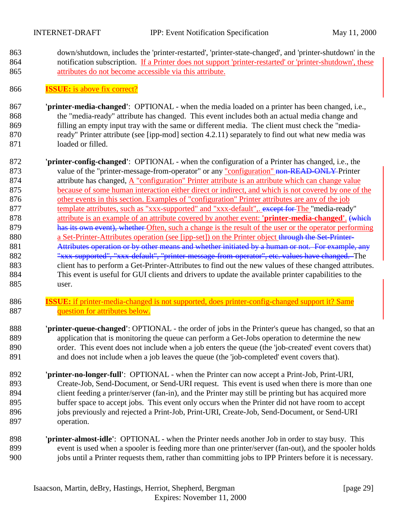down/shutdown, includes the 'printer-restarted', 'printer-state-changed', and 'printer-shutdown' in the 864 notification subscription. If a Printer does not support 'printer-restarted' or 'printer-shutdown', these attributes do not become accessible via this attribute.

### **ISSUE:** is above fix correct?

- **'printer-media-changed'**:OPTIONAL when the media loaded on a printer has been changed, i.e., the "media-ready" attribute has changed. This event includes both an actual media change and filling an empty input tray with the same or different media. The client must check the "media-870 ready" Printer attribute (see [ipp-mod] section 4.2.11) separately to find out what new media was loaded or filled.
- **'printer-config-changed'**:OPTIONAL when the configuration of a Printer has changed, i.e., the 873 value of the "printer-message-from-operator" or any "configuration" non-READ-ONLY Printer attribute has changed, A "configuration" Printer attribute is an attribute which can change value because of some human interaction either direct or indirect, and which is not covered by one of the other events in this section. Examples of "configuration" Printer attributes are any of the job 877 template attributes, such as "xxx-supported" and "xxx-default", except for The "media-ready" attribute is an example of an attribute covered by another event: **'printer-media-changed'**. (which 879 has its own event), whether Often, such a change is the result of the user or the operator performing 880 a Set-Printer-Attributes operation (see [ipp-set]) on the Printer object through the Set-Printer-881 Attributes operation or by other means and whether initiated by a human or not. For example, any 882 "xxx-supported", "xxx-default", "printer-message-from-operator", etc. values have changed. The client has to perform a Get-Printer-Attributes to find out the new values of these changed attributes. This event is useful for GUI clients and drivers to update the available printer capabilities to the user.
- **ISSUE:** if printer-media-changed is not supported, does printer-config-changed support it? Same **question for attributes below.**
- **'printer-queue-changed'**: OPTIONAL the order of jobs in the Printer's queue has changed, so that an application that is monitoring the queue can perform a Get-Jobs operation to determine the new order. This event does not include when a job enters the queue (the 'job-created' event covers that) and does not include when a job leaves the queue (the 'job-completed' event covers that).
- **'printer-no-longer-full'**: OPTIONAL when the Printer can now accept a Print-Job, Print-URI, Create-Job, Send-Document, or Send-URI request. This event is used when there is more than one client feeding a printer/server (fan-in), and the Printer may still be printing but has acquired more buffer space to accept jobs. This event only occurs when the Printer did not have room to accept 896 jobs previously and rejected a Print-Job, Print-URI, Create-Job, Send-Document, or Send-URI operation.
- **'printer-almost-idle'**:OPTIONAL when the Printer needs another Job in order to stay busy. This event is used when a spooler is feeding more than one printer/server (fan-out), and the spooler holds jobs until a Printer requests them, rather than committing jobs to IPP Printers before it is necessary.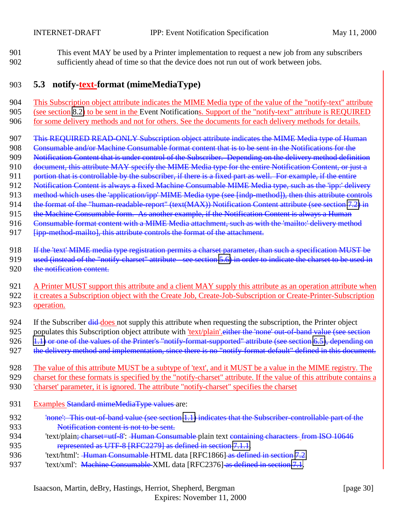<span id="page-29-0"></span>901 This event MAY be used by a Printer implementation to request a new job from any subscribers 902 sufficiently ahead of time so that the device does not run out of work between jobs.

### 903 **5.3 notify-text-format (mimeMediaType)**

904 This Subscription object attribute indicates the MIME Media type of the value of the "notify-text" attribute 905 (see section [8.2\)](#page-52-0) to be sent in the Event Notifications. Support of the "notify-text" attribute is REQUIRED 906 for some delivery methods and not for others. See the documents for each delivery methods for details.

907 This REQUIRED READ-ONLY Subscription object attribute indicates the MIME Media type of Human

908 Consumable and/or Machine Consumable format content that is to be sent in the Notifications for the

909 Notification Content that is under control of the Subscriber. Depending on the delivery method definition

- 910 document, this attribute MAY specify the MIME Media type for the entire Notification Content, or just a
- 911 portion that is controllable by the subscriber, if there is a fixed part as well. For example, if the entire
- 912 Notification Content is always a fixed Machine Consumable MIME Media type, such as the 'ipp:' delivery
- 913 method which uses the 'application/ipp' MIME Media type (see [indp-method]), then this attribute controls
- 914 the format of the "human-readable-report" (text(MAX)) Notification Content attribute (see section [7.2\)](#page-44-0) in
- 915 the Machine Consumable form. As another example, if the Notification Content is always a Human
- 916 Consumable format content with a MIME Media attachment, such as with the 'mailto:' delivery method
- 917 **[ipp-method-mailto], this attribute controls the format of the attachment.**
- 918 If the 'text' MIME media type registration permits a charset parameter, than such a specification MUST be
- 919 used (instead of the "notify-charset" attribute see section [5.6\)](#page-32-0) in order to indicate the charset to be used in
- 920 the notification content.

| 921 A Printer MUST support this attribute and a client MAY supply this attribute as an operation attribute when  |
|------------------------------------------------------------------------------------------------------------------|
| 922 it creates a Subscription object with the Create Job, Create-Job-Subscription or Create-Printer-Subscription |
| 923 operation.                                                                                                   |

- 924 If the Subscriber <del>did</del> does not supply this attribute when requesting the subscription, the Printer object
- 925 populates this Subscription object attribute with 'text/plain'. either the 'none' out-of-band value (see section
- 926 [1.1\)](#page-69-0) or one of the values of the Printer's "notify-format-supported" attribute (see section [6.5\)](#page-39-0), depending on
- 927 the delivery method and implementation, since there is no "notify-format-default" defined in this document.
- 928 The value of this attribute MUST be a subtype of 'text', and it MUST be a value in the MIME registry. The 929 charset for these formats is specified by the "notify-charset" attribute. If the value of this attribute contains a
- 930 'charset' parameter, it is ignored. The attribute "notify-charset" specifies the charset
- 931 Examples Standard mimeMediaType values are:
- 932 'none': This out-of-band value (see section [1.1\)](#page-69-0) indicates that the Subscriber-controllable part of the 933 Notification content is not to be sent.
- 934 'text/plain<del>; charset=utf-8': Human Consumable p</del>lain text containing characters from ISO 10646 935 represented as UTF-8 [RFC2279] as defined in section [7.1.1.](#page-48-0)
- 936 'text/html': Human Consumable HTML data [RFC1866] as defined in section [7.2.](#page-48-0)
- 937 'text/xml': Machine Consumable XML data [RFC2376] as defined in section [7.1.](#page-43-0)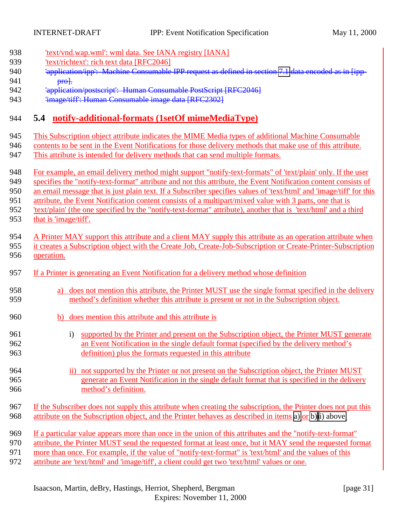<span id="page-30-0"></span>

| 'text/vnd.wap.wml': wml data. See IANA registry [IANA]                                                              |
|---------------------------------------------------------------------------------------------------------------------|
| 'text/richtext': rich text data [RFC2046]                                                                           |
| 'application/ipp': Machine Consumable IPP request as defined in section 7.1 data encoded as in [ipp-                |
| $pro$ .                                                                                                             |
| 'application/postscript': Human Consumable PostScript [RFC2046]                                                     |
| 'image/tiff': Human Consumable image data [RFC2302]                                                                 |
|                                                                                                                     |
| 5.4 notify-additional-formats (1setOf mimeMediaType)                                                                |
| This Subscription object attribute indicates the MIME Media types of additional Machine Consumable                  |
| contents to be sent in the Event Notifications for those delivery methods that make use of this attribute.          |
| This attribute is intended for delivery methods that can send multiple formats.                                     |
| For example, an email delivery method might support "notify-text-formats" of 'text/plain' only. If the user         |
| specifies the "notify-text-format" attribute and not this attribute, the Event Notification content consists of     |
| an email message that is just plain text. If a Subscriber specifies values of 'text/html' and 'image/tiff' for this |
| attribute, the Event Notification content consists of a multipart/mixed value with 3 parts, one that is             |
| 'text/plain' (the one specified by the "notify-text-format" attribute), another that is 'text/html' and a third     |
| that is 'image/tiff'.                                                                                               |
|                                                                                                                     |
| A Printer MAY support this attribute and a client MAY supply this attribute as an operation attribute when          |
| it creates a Subscription object with the Create Job, Create-Job-Subscription or Create-Printer-Subscription        |
| operation.                                                                                                          |
|                                                                                                                     |
| If a Printer is generating an Event Notification for a delivery method whose definition                             |
| does not mention this attribute, the Printer MUST use the single format specified in the delivery<br>a)             |
| method's definition whether this attribute is present or not in the Subscription object.                            |
|                                                                                                                     |
| does mention this attribute and this attribute is<br>b)                                                             |
| i) supported by the Printer and present on the Subscription object, the Printer MUST generate                       |
| an Event Notification in the single default format (specified by the delivery method's                              |
| definition) plus the formats requested in this attribute                                                            |
|                                                                                                                     |
| ii) not supported by the Printer or not present on the Subscription object, the Printer MUST                        |
| generate an Event Notification in the single default format that is specified in the delivery                       |
| method's definition.                                                                                                |
| If the Subscriber does not supply this attribute when creating the subscription, the Printer does not put this      |
| attribute on the Subscription object, and the Printer behaves as described in items a) or b)ii) above.              |
|                                                                                                                     |
| If a particular value appears more than once in the union of this attributes and the "notify-text-format"           |
| attribute, the Printer MUST send the requested format at least once, but it MAY send the requested format           |
| more than once. For example, if the value of "notify-text-format" is 'text/html' and the values of this             |
|                                                                                                                     |

972 attribute are 'text/html' and 'image/tiff', a client could get two 'text/html' values or one.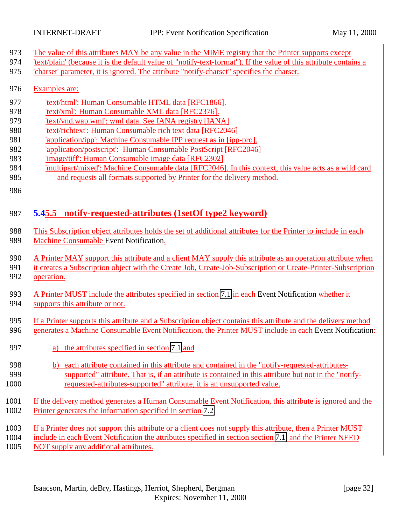- <span id="page-31-0"></span>The value of this attributes MAY be any value in the MIME registry that the Printer supports except
- 'text/plain' (because it is the default value of "notify-text-format"). If the value of this attribute contains a
- 'charset' parameter, it is ignored. The attribute "notify-charset" specifies the charset.
- Examples are:
- 977 'text/html': Human Consumable HTML data [RFC1866].
- 'text/xml': Human Consumable XML data [RFC2376].
- 'text/vnd.wap.wml': wml data. See IANA registry [IANA]
- 'text/richtext': Human Consumable rich text data [RFC2046]
- 'application/ipp': Machine Consumable IPP request as in [ipp-pro].
- 'application/postscript': Human Consumable PostScript [RFC2046]
- 'image/tiff': Human Consumable image data [RFC2302]
- 'multipart/mixed': Machine Consumable data [RFC2046]. In this context, this value acts as a wild card and requests all formats supported by Printer for the delivery method.
- 

# **5.45.5 notify-requested-attributes (1setOf type2 keyword)**

- This Subscription object attributes holds the set of additional attributes for the Printer to include in each Machine Consumable Event Notification.
- 990 A Printer MAY support this attribute and a client MAY supply this attribute as an operation attribute when
- it creates a Subscription object with the Create Job, Create-Job-Subscription or Create-Printer-Subscription
- operation.
- A Printer MUST include the attributes specified in section [7.1](#page-43-0) in each Event Notification whether it 994 supports this attribute or not.
- If a Printer supports this attribute and a Subscription object contains this attribute and the delivery method 996 generates a Machine Consumable Event Notification, the Printer MUST include in each Event Notification:
- a) the attributes specified in section [7.1](#page-43-0) and
- b) each attribute contained in this attribute and contained in the "notify-requested-attributes- supported" attribute. That is, if an attribute is contained in this attribute but not in the "notify-requested-attributes-supported" attribute, it is an unsupported value.
- If the delivery method generates a Human Consumable Event Notification, this attribute is ignored and the Printer generates the information specified in section [7.2.](#page-48-0)
- If a Printer does not support this attribute or a client does not supply this attribute, then a Printer MUST
- include in each Event Notification the attributes specified in section section [7.1](#page-43-0) and the Printer NEED
- NOT supply any additional attributes.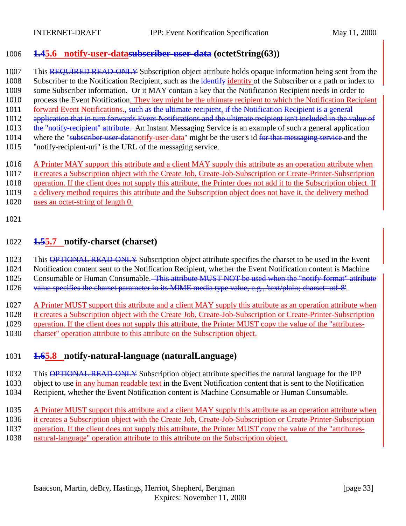## <span id="page-32-0"></span>1006 **1.45.6 notify-user-datasubscriber-user-data (octetString(63))**

1007 This REQUIRED READ-ONLY Subscription object attribute holds opaque information being sent from the

1008 Subscriber to the Notification Recipient, such as the identify identity of the Subscriber or a path or index to

1009 some Subscriber information. Or it MAY contain a key that the Notification Recipient needs in order to

- 1010 process the Event Notification. They key might be the ultimate recipient to which the Notification Recipient 1011 forward Event Notifications., such as the ultimate recipient, if the Notification Recipient is a general
- 1012 application that in turn forwards Event Notifications and the ultimate recipient isn't included in the value of
- 1013 the "notify-recipient" attribute. An Instant Messaging Service is an example of such a general application
- 1014 where the "subscriber-user-datanotify-user-data" might be the user's id for that messaging service and the
- 1015 "notify-recipient-uri" is the URL of the messaging service.
- 1016 A Printer MAY support this attribute and a client MAY supply this attribute as an operation attribute when
- 1017 it creates a Subscription object with the Create Job, Create-Job-Subscription or Create-Printer-Subscription

1018 operation. If the client does not supply this attribute, the Printer does not add it to the Subscription object. If

- 1019 a delivery method requires this attribute and the Subscription object does not have it, the delivery method
- 1020 uses an octet-string of length 0.
- 1021

# 1022 **1.55.7 notify-charset (charset)**

1023 This OPTIONAL READ-ONLY Subscription object attribute specifies the charset to be used in the Event

1024 Notification content sent to the Notification Recipient, whether the Event Notification content is Machine

- 1025 Consumable or Human Consumable. This attribute MUST NOT be used when the "notify-format" attribute
- 1026 value specifies the charset parameter in its MIME media type value, e.g., 'text/plain; charset=utf-8'.

1027 A Printer MUST support this attribute and a client MAY supply this attribute as an operation attribute when 1028 it creates a Subscription object with the Create Job, Create-Job-Subscription or Create-Printer-Subscription 1029 operation. If the client does not supply this attribute, the Printer MUST copy the value of the "attributes-

1030 charset" operation attribute to this attribute on the Subscription object.

# 1031 **1.65.8 notify-natural-language (naturalLanguage)**

1032 This OPTIONAL READ-ONLY Subscription object attribute specifies the natural language for the IPP 1033 object to use in any human readable text in the Event Notification content that is sent to the Notification

- 1034 Recipient, whether the Event Notification content is Machine Consumable or Human Consumable.
- 1035 A Printer MUST support this attribute and a client MAY supply this attribute as an operation attribute when
- 1036 it creates a Subscription object with the Create Job, Create-Job-Subscription or Create-Printer-Subscription
- 1037 operation. If the client does not supply this attribute, the Printer MUST copy the value of the "attributes-
- 1038 natural-language" operation attribute to this attribute on the Subscription object.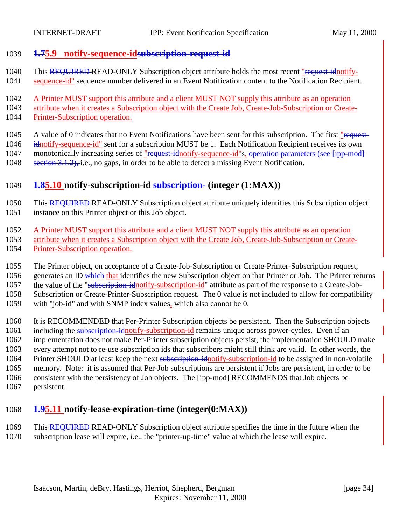### <span id="page-33-0"></span>**1.75.9 notify-sequence-idsubscription-request-id**

- 1040 This REQUIRED-READ-ONLY Subscription object attribute holds the most recent "request-idnotify-
- sequence-id" sequence number delivered in an Event Notification content to the Notification Recipient.
- A Printer MUST support this attribute and a client MUST NOT supply this attribute as an operation
- attribute when it creates a Subscription object with the Create Job, Create-Job-Subscription or Create-
- Printer-Subscription operation.
- 1045 A value of 0 indicates that no Event Notifications have been sent for this subscription. The first "request-1046 idnotify-sequence-id" sent for a subscription MUST be 1. Each Notification Recipient receives its own 1047 monotonically increasing series of "request-idnotify-sequence-id"s, operation parameters (see [ipp-mod]
- section 3.1.2), i.e., no gaps, in order to be able to detect a missing Event Notification.

# **1.85.10 notify-subscription-id subscription- (integer (1:MAX))**

- This REQUIRED READ-ONLY Subscription object attribute uniquely identifies this Subscription object instance on this Printer object or this Job object.
- A Printer MUST support this attribute and a client MUST NOT supply this attribute as an operation
- attribute when it creates a Subscription object with the Create Job, Create-Job-Subscription or Create-Printer-Subscription operation.
- The Printer object, on acceptance of a Create-Job-Subscription or Create-Printer-Subscription request,
- 1056 generates an ID which that identifies the new Subscription object on that Printer or Job. The Printer returns
- 1057 the value of the "subscription-idnotify-subscription-id" attribute as part of the response to a Create-Job-
- Subscription or Create-Printer-Subscription request. The 0 value is not included to allow for compatibility
- with "job-id" and with SNMP index values, which also cannot be 0.
- It is RECOMMENDED that Per-Printer Subscription objects be persistent. Then the Subscription objects
- 1061 including the subscription-idnotify-subscription-id remains unique across power-cycles. Even if an
- implementation does not make Per-Printer subscription objects persist, the implementation SHOULD make
- every attempt not to re-use subscription ids that subscribers might still think are valid. In other words, the
- 1064 Printer SHOULD at least keep the next subscription-idnotify-subscription-id to be assigned in non-volatile
- memory. Note: it is assumed that Per-Job subscriptions are persistent if Jobs are persistent, in order to be consistent with the persistency of Job objects. The [ipp-mod] RECOMMENDS that Job objects be
- persistent.

# **1.95.11 notify-lease-expiration-time (integer(0:MAX))**

1069 This REQUIRED-READ-ONLY Subscription object attribute specifies the time in the future when the subscription lease will expire, i.e., the "printer-up-time" value at which the lease will expire.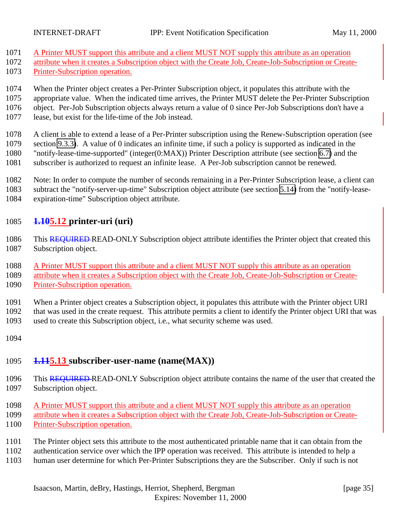- <span id="page-34-0"></span>A Printer MUST support this attribute and a client MUST NOT supply this attribute as an operation
- attribute when it creates a Subscription object with the Create Job, Create-Job-Subscription or Create-
- Printer-Subscription operation.
- When the Printer object creates a Per-Printer Subscription object, it populates this attribute with the
- appropriate value. When the indicated time arrives, the Printer MUST delete the Per-Printer Subscription
- object. Per-Job Subscription objects always return a value of 0 since Per-Job Subscriptions don't have a
- lease, but exist for the life-time of the Job instead.

 A client is able to extend a lease of a Per-Printer subscription using the Renew-Subscription operation (see section [9.3.3\)](#page-65-0). A value of 0 indicates an infinite time, if such a policy is supported as indicated in the "notify-lease-time-supported" (integer(0:MAX)) Printer Description attribute (see section [6.7\)](#page-40-0) and the subscriber is authorized to request an infinite lease. A Per-Job subscription cannot be renewed.

 Note: In order to compute the number of seconds remaining in a Per-Printer Subscription lease, a client can subtract the "notify-server-up-time" Subscription object attribute (see section [5.14\)](#page-35-0) from the "notify-lease-expiration-time" Subscription object attribute.

# **1.105.12 printer-uri (uri)**

- 1086 This REQUIRED READ-ONLY Subscription object attribute identifies the Printer object that created this Subscription object.
- A Printer MUST support this attribute and a client MUST NOT supply this attribute as an operation
- attribute when it creates a Subscription object with the Create Job, Create-Job-Subscription or Create-Printer-Subscription operation.
- When a Printer object creates a Subscription object, it populates this attribute with the Printer object URI that was used in the create request. This attribute permits a client to identify the Printer object URI that was used to create this Subscription object, i.e., what security scheme was used.
- 

# **1.115.13 subscriber-user-name (name(MAX))**

- 1096 This REQUIRED-READ-ONLY Subscription object attribute contains the name of the user that created the Subscription object.
- A Printer MUST support this attribute and a client MUST NOT supply this attribute as an operation attribute when it creates a Subscription object with the Create Job, Create-Job-Subscription or Create-Printer-Subscription operation.
- The Printer object sets this attribute to the most authenticated printable name that it can obtain from the
- authentication service over which the IPP operation was received. This attribute is intended to help a
- human user determine for which Per-Printer Subscriptions they are the Subscriber. Only if such is not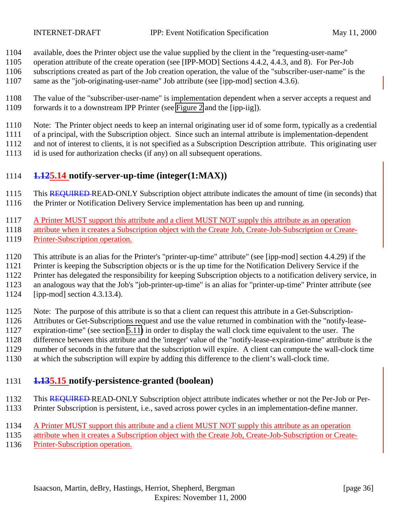<span id="page-35-0"></span>

- available, does the Printer object use the value supplied by the client in the "requesting-user-name"
- operation attribute of the create operation (see [IPP-MOD] Sections 4.4.2, 4.4.3, and 8). For Per-Job
- subscriptions created as part of the Job creation operation, the value of the "subscriber-user-name" is the
- same as the "job-originating-user-name" Job attribute (see [ipp-mod] section 4.3.6).
- The value of the "subscriber-user-name" is implementation dependent when a server accepts a request and forwards it to a downstream IPP Printer (see [Figure 2](#page-12-0) and the [ipp-iig]).
- Note: The Printer object needs to keep an internal originating user id of some form, typically as a credential

of a principal, with the Subscription object. Since such an internal attribute is implementation-dependent

and not of interest to clients, it is not specified as a Subscription Description attribute. This originating user

id is used for authorization checks (if any) on all subsequent operations.

# **1.125.14 notify-server-up-time (integer(1:MAX))**

- 1115 This REQUIRED-READ-ONLY Subscription object attribute indicates the amount of time (in seconds) that the Printer or Notification Delivery Service implementation has been up and running.
- A Printer MUST support this attribute and a client MUST NOT supply this attribute as an operation
- attribute when it creates a Subscription object with the Create Job, Create-Job-Subscription or Create-Printer-Subscription operation.
- This attribute is an alias for the Printer's "printer-up-time" attribute" (see [ipp-mod] section 4.4.29) if the
- Printer is keeping the Subscription objects or is the up time for the Notification Delivery Service if the

Printer has delegated the responsibility for keeping Subscription objects to a notification delivery service, in

an analogous way that the Job's "job-printer-up-time" is an alias for "printer-up-time" Printer attribute (see

- [ipp-mod] section 4.3.13.4).
- Note: The purpose of this attribute is so that a client can request this attribute in a Get-Subscription-
- Attributes or Get-Subscriptions request and use the value returned in combination with the "notify-lease-
- expiration-time" (see section [5.11\)](#page-33-0) in order to display the wall clock time equivalent to the user. The
- difference between this attribute and the 'integer' value of the "notify-lease-expiration-time" attribute is the
- number of seconds in the future that the subscription will expire. A client can compute the wall-clock time
- at which the subscription will expire by adding this difference to the client's wall-clock time.

# **1.135.15 notify-persistence-granted (boolean)**

- This REQUIRED READ-ONLY Subscription object attribute indicates whether or not the Per-Job or Per-Printer Subscription is persistent, i.e., saved across power cycles in an implementation-define manner.
- A Printer MUST support this attribute and a client MUST NOT supply this attribute as an operation
- attribute when it creates a Subscription object with the Create Job, Create-Job-Subscription or Create-
- Printer-Subscription operation.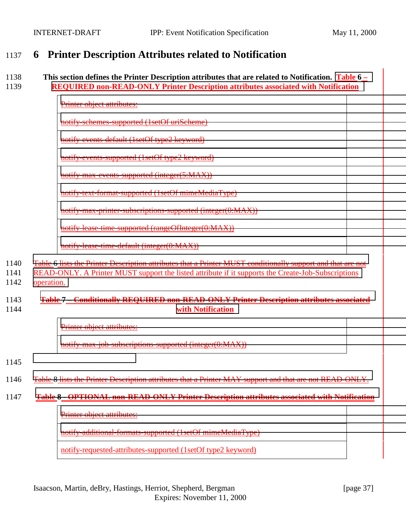# <span id="page-36-0"></span>1137 **6 Printer Description Attributes related to Notification**

#### 1138 **This section defines the Printer Description attributes that are related to Notification. [Table 6](#page-38-0) –** 1139 **[REQUIRED non-READ-ONLY Printer Description attributes associated with Notification](#page-38-0)**

| Printer object attributes:                                  |
|-------------------------------------------------------------|
| notify-schemes-supported (1setOf uriScheme)                 |
| notify-events-default (1setOf type2 keyword)                |
| notify-events-supported (1setOf type2 keyword)              |
| notify-max-events-supported (integer(5:MAX))                |
| notify-text-format-supported (1setOf mimeMediaType)         |
| notify-max-printer-subscriptions-supported (integer(0:MAX)) |
| notify-lease-time-supported (rangeOfInteger(0:MAX))         |

[notify-lease-time-default \(integer\(0:MAX\)\)](#page-38-0)

1140 [Table 6 lists the Printer Description attributes that a Printer MUST conditionally support and that are not](#page-38-0)

- 1141 [READ-ONLY. A Printer MUST support the listed attribute if it supports the Create-Job-Subscriptions](#page-38-0)
- 1142 [operation.](#page-38-0)

### 1143 **[Table 7 – Conditionally REQUIRED non-READ-ONLY Printer Description attributes associated](#page-38-0)** 1144 **[with Notification](#page-38-0)**

[Printer object attributes:](#page-38-0)

[notify-max-job-subscriptions-supported \(integer\(0:MAX\)\)](#page-38-0)

- 1145
- 1146 Table 8 [lists the Printer Description attributes that a Printer MAY support and that are not READ-ONLY.](#page-38-0)

#### 1147 **[Table 8 - OPTIONAL non-READ-ONLY Printer Description attributes associated with Notification](#page-38-0)**

[Printer object attributes:](#page-38-0)

[notify-additional-formats-supported \(1setOf mimeMediaType\)](#page-38-0)

notify-requested-attributes-supported (1setOf type2 keyword)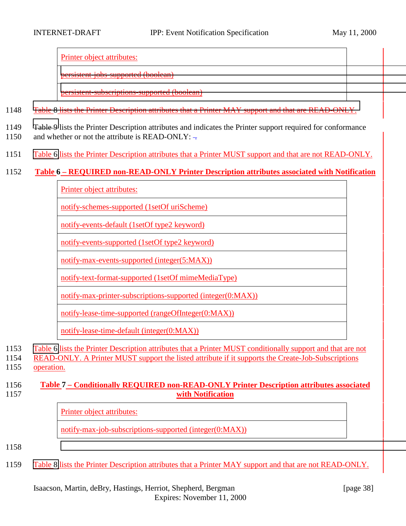Printer object attributes:

[persistent-jobs-supported \(boolean\)](#page-38-0)

[persistent-subscriptions-supported \(boolean\)](#page-38-0)

- 1148 [Table 8 lists the Printer Description attributes that a Printer MAY support and that are READ-ONLY.](#page-38-0)
- 1149 [Table 9](#page-38-0) lists the Printer Description attributes and indicates the Printer support required for conformance 1150 and whether or not the attribute is READ-ONLY:  $\pm$
- 1151 Table 6 lists the Printer Description attributes that a Printer MUST support and that are not READ-ONLY.

### 1152 **Table 6 – REQUIRED non-READ-ONLY Printer Description attributes associated with Notification**

Printer object attributes:

notify-schemes-supported (1setOf uriScheme)

notify-events-default (1setOf type2 keyword)

notify-events-supported (1setOf type2 keyword)

notify-max-events-supported (integer(5:MAX))

notify-text-format-supported (1setOf mimeMediaType)

notify-max-printer-subscriptions-supported (integer(0:MAX))

notify-lease-time-supported (rangeOfInteger(0:MAX))

notify-lease-time-default (integer(0:MAX))

- 1153 Table 6 lists the Printer Description attributes that a Printer MUST conditionally support and that are not
- 1154 READ-ONLY. A Printer MUST support the listed attribute if it supports the Create-Job-Subscriptions 1155 operation.

#### 1156 **Table 7 – Conditionally REQUIRED non-READ-ONLY Printer Description attributes associated** 1157 **with Notification**

Printer object attributes:

notify-max-job-subscriptions-supported (integer(0:MAX))

#### 1158

1159 [Table 8](#page-38-0) lists the Printer Description attributes that a Printer MAY support and that are not READ-ONLY.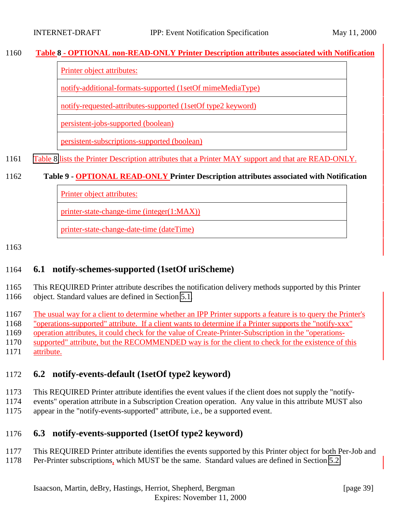### <span id="page-38-0"></span>**Table 8 - OPTIONAL non-READ-ONLY Printer Description attributes associated with Notification**

Printer object attributes:

notify-additional-formats-supported (1setOf mimeMediaType)

notify-requested-attributes-supported (1setOf type2 keyword)

persistent-jobs-supported (boolean)

persistent-subscriptions-supported (boolean)

Table 8 lists the Printer Description attributes that a Printer MAY support and that are READ-ONLY.

### **Table 9 - OPTIONAL READ-ONLY Printer Description attributes associated with Notification**

Printer object attributes:

printer-state-change-time (integer(1:MAX))

printer-state-change-date-time (dateTime)

### **6.1 notify-schemes-supported (1setOf uriScheme)**

 This REQUIRED Printer attribute describes the notification delivery methods supported by this Printer object. Standard values are defined in Section [5.1.](#page-23-0)

The usual way for a client to determine whether an IPP Printer supports a feature is to query the Printer's

"operations-supported" attribute. If a client wants to determine if a Printer supports the "notify-xxx"

operation attributes, it could check for the value of Create-Printer-Subscription in the "operations-

supported" attribute, but the RECOMMENDED way is for the client to check for the existence of this

attribute.

# **6.2 notify-events-default (1setOf type2 keyword)**

- This REQUIRED Printer attribute identifies the event values if the client does not supply the "notify-
- events" operation attribute in a Subscription Creation operation. Any value in this attribute MUST also appear in the "notify-events-supported" attribute, i.e., be a supported event.
- 

# **6.3 notify-events-supported (1setOf type2 keyword)**

- This REQUIRED Printer attribute identifies the events supported by this Printer object for both Per-Job and
- Per-Printer subscriptions, which MUST be the same. Standard values are defined in Section [5.2.](#page-25-0)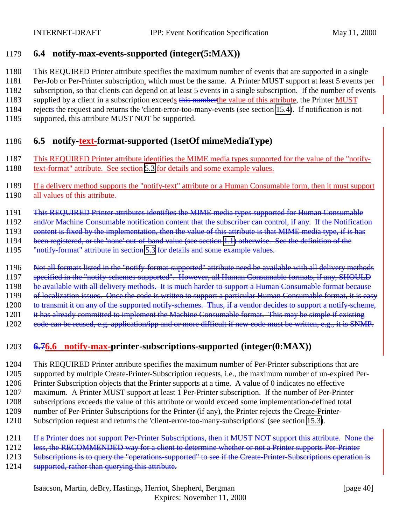### 1179 **6.4 notify-max-events-supported (integer(5:MAX))**

- 1180 This REQUIRED Printer attribute specifies the maximum number of events that are supported in a single
- 1181 Per-Job or Per-Printer subscription, which must be the same. A Printer MUST support at least 5 events per
- 1182 subscription, so that clients can depend on at least 5 events in a single subscription. If the number of events
- 1183 supplied by a client in a subscription exceeds this number the value of this attribute, the Printer MUST
- 1184 rejects the request and returns the 'client-error-too-many-events (see section [15.4\)](#page-72-0). If notification is not
- 1185 supported, this attribute MUST NOT be supported.

# 1186 **6.5 notify-text-format-supported (1setOf mimeMediaType)**

- 1187 This REQUIRED Printer attribute identifies the MIME media types supported for the value of the "notify-
- 1188 text-format" attribute. See section [5.3](#page-29-0) for details and some example values.
- 1189 If a delivery method supports the "notify-text" attribute or a Human Consumable form, then it must support 1190 all values of this attribute.
- 1191 This REQUIRED Printer attributes identifies the MIME media types supported for Human Consumable
- 1192 and/or Machine Consumable notification content that the subscriber can control, if any. If the Notification
- 1193 content is fixed by the implementation, then the value of this attribute is that MIME media type, if is has
- 1194 been registered, or the 'none' out-of-band value (see section [1.1\)](#page-69-0) otherwise. See the definition of the
- 1195 "notify-format" attribute in section [5.3](#page-29-0) for details and some example values.
- 1196 Not all formats listed in the "notify-format-supported" attribute need be available with all delivery methods
- 1197 specified in the "notify-schemes-supported". However, all Human Consumable formats, if any, SHOULD
- 1198 be available with all delivery methods. It is much harder to support a Human Consumable format because
- 1199 of localization issues. Once the code is written to support a particular Human Consumable format, it is easy
- 1200 to transmit it on any of the supported notify-schemes. Thus, if a vendor decides to support a notify-scheme,
- 1201 it has already committed to implement the Machine Consumable format. This may be simple if existing
- 1202 code can be reused, e.g. application/ipp and or more difficult if new code must be written, e.g., it is SNMP.

# 1203 **6.76.6 notify-max-printer-subscriptions-supported (integer(0:MAX))**

- 1204 This REQUIRED Printer attribute specifies the maximum number of Per-Printer subscriptions that are 1205 supported by multiple Create-Printer-Subscription requests, i.e., the maximum number of un-expired Per-1206 Printer Subscription objects that the Printer supports at a time. A value of 0 indicates no effective 1207 maximum. A Printer MUST support at least 1 Per-Printer subscription. If the number of Per-Printer 1208 subscriptions exceeds the value of this attribute or would exceed some implementation-defined total 1209 number of Per-Printer Subscriptions for the Printer (if any), the Printer rejects the Create-Printer-
- 1210 Subscription request and returns the 'client-error-too-many-subscriptions' (see section [15.3\)](#page-71-0).
- 1211 If a Printer does not support Per-Printer Subscriptions, then it MUST NOT support this attribute. None the
- 1212 less, the RECOMMENDED way for a client to determine whether or not a Printer supports Per-Printer
- 1213 Subscriptions is to query the "operations-supported" to see if the Create-Printer-Subscriptions operation is
- 1214 supported, rather than querying this attribute.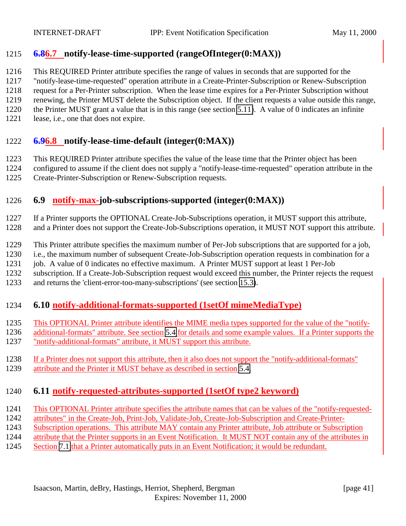### <span id="page-40-0"></span>**6.86.7 notify-lease-time-supported (rangeOfInteger(0:MAX))**

This REQUIRED Printer attribute specifies the range of values in seconds that are supported for the

"notify-lease-time-requested" operation attribute in a Create-Printer-Subscription or Renew-Subscription

request for a Per-Printer subscription. When the lease time expires for a Per-Printer Subscription without

renewing, the Printer MUST delete the Subscription object. If the client requests a value outside this range,

- the Printer MUST grant a value that is in this range (see section [5.11\)](#page-33-0). A value of 0 indicates an infinite
- 1221 lease, i.e., one that does not expire.

### **6.96.8 notify-lease-time-default (integer(0:MAX))**

This REQUIRED Printer attribute specifies the value of the lease time that the Printer object has been

configured to assume if the client does not supply a "notify-lease-time-requested" operation attribute in the

Create-Printer-Subscription or Renew-Subscription requests.

# **6.9 notify-max-job-subscriptions-supported (integer(0:MAX))**

 If a Printer supports the OPTIONAL Create-Job-Subscriptions operation, it MUST support this attribute, and a Printer does not support the Create-Job-Subscriptions operation, it MUST NOT support this attribute.

This Printer attribute specifies the maximum number of Per-Job subscriptions that are supported for a job,

i.e., the maximum number of subsequent Create-Job-Subscription operation requests in combination for a

job. A value of 0 indicates no effective maximum. A Printer MUST support at least 1 Per-Job

subscription. If a Create-Job-Subscription request would exceed this number, the Printer rejects the request

and returns the 'client-error-too-many-subscriptions' (see section [15.3\)](#page-71-0).

# **6.10 notify-additional-formats-supported (1setOf mimeMediaType)**

- This OPTIONAL Printer attribute identifies the MIME media types supported for the value of the "notify-
- additional-formats" attribute. See section [5.4](#page-30-0) for details and some example values. If a Printer supports the
- "notify-additional-formats" attribute, it MUST support this attribute.
- If a Printer does not support this attribute, then it also does not support the "notify-additional-formats"
- 1239 attribute and the Printer it MUST behave as described in section [5.4.](#page-30-0)

### **6.11 notify-requested-attributes-supported (1setOf type2 keyword)**

- This OPTIONAL Printer attribute specifies the attribute names that can be values of the "notify-requested-
- attributes" in the Create-Job, Print-Job, Validate-Job, Create-Job-Subscription and Create-Printer-
- Subscription operations. This attribute MAY contain any Printer attribute, Job attribute or Subscription
- attribute that the Printer supports in an Event Notification. It MUST NOT contain any of the attributes in
- Section [7.1](#page-43-0) that a Printer automatically puts in an Event Notification; it would be redundant.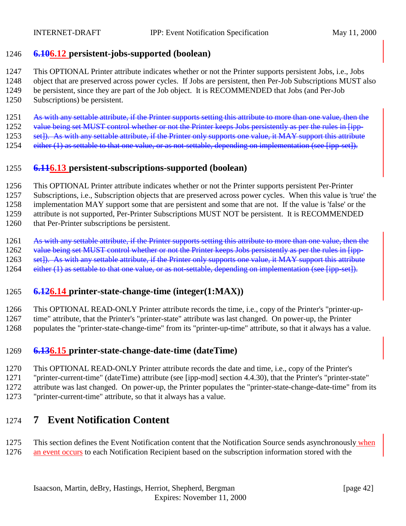### <span id="page-41-0"></span>**6.106.12 persistent-jobs-supported (boolean)**

This OPTIONAL Printer attribute indicates whether or not the Printer supports persistent Jobs, i.e., Jobs

- object that are preserved across power cycles. If Jobs are persistent, then Per-Job Subscriptions MUST also
- be persistent, since they are part of the Job object. It is RECOMMENDED that Jobs (and Per-Job
- Subscriptions) be persistent.
- 1251 As with any settable attribute, if the Printer supports setting this attribute to more than one value, then the
- 1252 value being set MUST control whether or not the Printer keeps Jobs persistently as per the rules in [ipp-
- 1253 set]). As with any settable attribute, if the Printer only supports one value, it MAY support this attribute
- 1254 either (1) as settable to that one value, or as not-settable, depending on implementation (see [ipp-set]).

### **6.116.13 persistent-subscriptions-supported (boolean)**

- This OPTIONAL Printer attribute indicates whether or not the Printer supports persistent Per-Printer
- Subscriptions, i.e., Subscription objects that are preserved across power cycles. When this value is 'true' the

implementation MAY support some that are persistent and some that are not. If the value is 'false' or the

attribute is not supported, Per-Printer Subscriptions MUST NOT be persistent. It is RECOMMENDED

- that Per-Printer subscriptions be persistent.
- 1261 As with any settable attribute, if the Printer supports setting this attribute to more than one value, then the
- 1262 value being set MUST control whether or not the Printer keeps Jobs persistently as per the rules in [ipp-
- 1263 set]). As with any settable attribute, if the Printer only supports one value, it MAY support this attribute
- 1264 either (1) as settable to that one value, or as not-settable, depending on implementation (see [ipp-set]).

### **6.126.14 printer-state-change-time (integer(1:MAX))**

This OPTIONAL READ-ONLY Printer attribute records the time, i.e., copy of the Printer's "printer-up-

- time" attribute, that the Printer's "printer-state" attribute was last changed. On power-up, the Printer
- populates the "printer-state-change-time" from its "printer-up-time" attribute, so that it always has a value.

### **6.136.15 printer-state-change-date-time (dateTime)**

- This OPTIONAL READ-ONLY Printer attribute records the date and time, i.e., copy of the Printer's
- "printer-current-time" (dateTime) attribute (see [ipp-mod] section 4.4.30), that the Printer's "printer-state"
- attribute was last changed. On power-up, the Printer populates the "printer-state-change-date-time" from its
- "printer-current-time" attribute, so that it always has a value.

# **7 Event Notification Content**

### This section defines the Event Notification content that the Notification Source sends asynchronously when an event occurs to each Notification Recipient based on the subscription information stored with the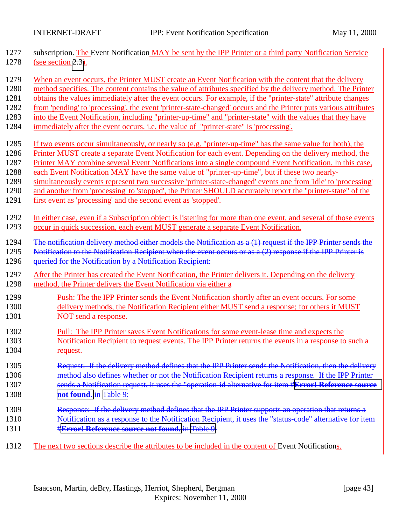| 1277 | subscription. The Event Notification MAY be sent by the IPP Printer or a third party Notification Service        |
|------|------------------------------------------------------------------------------------------------------------------|
| 1278 | (see section 2.3).                                                                                               |
| 1279 | When an event occurs, the Printer MUST create an Event Notification with the content that the delivery           |
| 1280 | method specifies. The content contains the value of attributes specified by the delivery method. The Printer     |
| 1281 | obtains the values immediately after the event occurs. For example, if the "printer-state" attribute changes     |
| 1282 | from 'pending' to 'processing', the event 'printer-state-changed' occurs and the Printer puts various attributes |
| 1283 | into the Event Notification, including "printer-up-time" and "printer-state" with the values that they have      |
| 1284 | immediately after the event occurs, i.e. the value of "printer-state" is 'processing'.                           |
| 1285 | If two events occur simultaneously, or nearly so (e.g. "printer-up-time" has the same value for both), the       |
| 1286 | Printer MUST create a separate Event Notification for each event. Depending on the delivery method, the          |
| 1287 | Printer MAY combine several Event Notifications into a single compound Event Notification. In this case,         |
| 1288 | each Event Notification MAY have the same value of "printer-up-time", but if these two nearly-                   |
| 1289 | simultaneously events represent two successive 'printer-state-changed' events one from 'idle' to 'processing'    |
| 1290 | and another from 'processing' to 'stopped', the Printer SHOULD accurately report the "printer-state" of the      |
| 1291 | first event as 'processing' and the second event as 'stopped'.                                                   |
| 1292 | In either case, even if a Subscription object is listening for more than one event, and several of those events  |
| 1293 | occur in quick succession, each event MUST generate a separate Event Notification.                               |
| 1294 | The notification delivery method either models the Notification as a (1) request if the IPP Printer sends the    |
| 1295 | Notification to the Notification Recipient when the event occurs or as $a(2)$ response if the IPP Printer is     |
| 1296 | queried for the Notification by a Notification Recipient:                                                        |
| 1297 | After the Printer has created the Event Notification, the Printer delivers it. Depending on the delivery         |
| 1298 | method, the Printer delivers the Event Notification via either a                                                 |
| 1299 | Push: The the IPP Printer sends the Event Notification shortly after an event occurs. For some                   |
| 1300 | delivery methods, the Notification Recipient either MUST send a response; for others it MUST                     |
| 1301 | NOT send a response.                                                                                             |
| 1302 | Pull: The IPP Printer saves Event Notifications for some event-lease time and expects the                        |
| 1303 | Notification Recipient to request events. The IPP Printer returns the events in a response to such a             |
| 1304 | request.                                                                                                         |
| 1305 | Request: If the delivery method defines that the IPP Printer sends the Notification, then the delivery           |
| 1306 | method also defines whether or not the Notification Recipient returns a response. If the IPP Printer             |
| 1307 | sends a Notification request, it uses the "operation-id alternative for item #Error! Reference source            |
| 1308 | not found. in Table 9:                                                                                           |
| 1309 | Response: If the delivery method defines that the IPP Printer supports an operation that returns a               |
| 1310 | Notification as a response to the Notification Recipient, it uses the "status-code" alternative for item         |
| 1311 | <b>#Error! Reference source not found. in Table 9.</b>                                                           |
| 1312 | The next two sections describe the attributes to be included in the content of Event Notifications.              |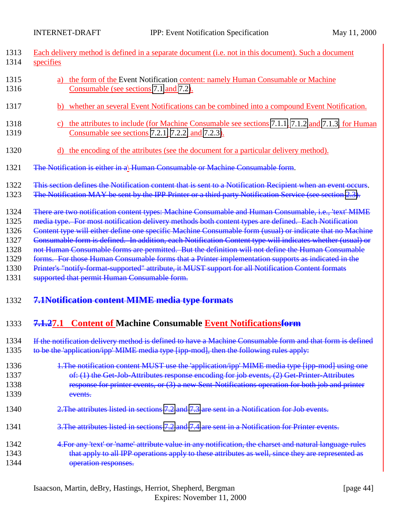<span id="page-43-0"></span>

| 1313<br>1314                                                 | Each delivery method is defined in a separate document (i.e. not in this document). Such a document<br>specifies                                                                                                                                                                                                                                                                                                                                                                                                                                                                                                                                                                                                                                                                                        |
|--------------------------------------------------------------|---------------------------------------------------------------------------------------------------------------------------------------------------------------------------------------------------------------------------------------------------------------------------------------------------------------------------------------------------------------------------------------------------------------------------------------------------------------------------------------------------------------------------------------------------------------------------------------------------------------------------------------------------------------------------------------------------------------------------------------------------------------------------------------------------------|
| 1315<br>1316                                                 | a) the form of the Event Notification content: namely Human Consumable or Machine<br>Consumable (see sections 7.1 and 7.2).                                                                                                                                                                                                                                                                                                                                                                                                                                                                                                                                                                                                                                                                             |
| 1317                                                         | b) whether an several Event Notifications can be combined into a compound Event Notification.                                                                                                                                                                                                                                                                                                                                                                                                                                                                                                                                                                                                                                                                                                           |
| 1318<br>1319                                                 | c) the attributes to include (for Machine Consumable see sections 7.1.1, 7.1.2 and 7.1.3, for Human<br>Consumable see sections 7.2.1, 7.2.2, and 7.2.3).                                                                                                                                                                                                                                                                                                                                                                                                                                                                                                                                                                                                                                                |
| 1320                                                         | d) the encoding of the attributes (see the document for a particular delivery method).                                                                                                                                                                                                                                                                                                                                                                                                                                                                                                                                                                                                                                                                                                                  |
| 1321                                                         | The Notification is either in a) Human Consumable or Machine Consumable form.                                                                                                                                                                                                                                                                                                                                                                                                                                                                                                                                                                                                                                                                                                                           |
| 1322<br>1323                                                 | This section defines the Notification content that is sent to a Notification Recipient when an event occurs.<br>The Notification MAY be sent by the IPP Printer or a third party Notification Service (see section 2.3).                                                                                                                                                                                                                                                                                                                                                                                                                                                                                                                                                                                |
| 1324<br>1325<br>1326<br>1327<br>1328<br>1329<br>1330<br>1331 | There are two notification content types: Machine Consumable and Human Consumable, i.e., 'text' MIME<br>media type. For most notification delivery methods both content types are defined. Each Notification<br>Content type will either define one specific Machine Consumable form (usual) or indicate that no Machine<br>Consumable form is defined. In addition, each Notification Content type will indicates whether (usual) or<br>not Human Consumable forms are permitted. But the definition will not define the Human Consumable<br>forms. For those Human Consumable forms that a Printer implementation supports as indicated in the<br>Printer's "notify-format-supported" attribute, it MUST support for all Notification Content formats<br>supported that permit Human Consumable form. |
| 1332                                                         | 7.1Notification content MIME media type formats                                                                                                                                                                                                                                                                                                                                                                                                                                                                                                                                                                                                                                                                                                                                                         |
| 1333                                                         | 7.1.27.1 Content of Machine Consumable Event Notificationsform                                                                                                                                                                                                                                                                                                                                                                                                                                                                                                                                                                                                                                                                                                                                          |
|                                                              | 1334 If the notification delivery method is defined to have a Machine Consumable form and that form is defined                                                                                                                                                                                                                                                                                                                                                                                                                                                                                                                                                                                                                                                                                          |
| 1335                                                         | to be the 'application/ipp' MIME media type [ipp-mod], then the following rules apply:                                                                                                                                                                                                                                                                                                                                                                                                                                                                                                                                                                                                                                                                                                                  |
| 1336                                                         | 1. The notification content MUST use the 'application/ipp' MIME media type [ipp-mod] using one                                                                                                                                                                                                                                                                                                                                                                                                                                                                                                                                                                                                                                                                                                          |
| 1337                                                         | of: (1) the Get Job-Attributes response encoding for job events, (2) Get Printer-Attributes                                                                                                                                                                                                                                                                                                                                                                                                                                                                                                                                                                                                                                                                                                             |
| 1338                                                         | response for printer events, or (3) a new Sent-Notifications operation for both job and printer                                                                                                                                                                                                                                                                                                                                                                                                                                                                                                                                                                                                                                                                                                         |
| 1339                                                         | events.                                                                                                                                                                                                                                                                                                                                                                                                                                                                                                                                                                                                                                                                                                                                                                                                 |
| 1340                                                         | 2. The attributes listed in sections 7.2 and 7.3 are sent in a Notification for Job events.                                                                                                                                                                                                                                                                                                                                                                                                                                                                                                                                                                                                                                                                                                             |
| 1341                                                         | 3. The attributes listed in sections 7.2 and 7.4 are sent in a Notification for Printer events.                                                                                                                                                                                                                                                                                                                                                                                                                                                                                                                                                                                                                                                                                                         |
| 1342                                                         | 4. For any 'text' or 'name' attribute value in any notification, the charset and natural language rules                                                                                                                                                                                                                                                                                                                                                                                                                                                                                                                                                                                                                                                                                                 |
| 1343                                                         | that apply to all IPP operations apply to these attributes as well, since they are represented as                                                                                                                                                                                                                                                                                                                                                                                                                                                                                                                                                                                                                                                                                                       |

Isaacson, Martin, deBry, Hastings, Herriot, Shepherd, Bergman [page 44] Expires: November 11, 2000

1344 operation responses.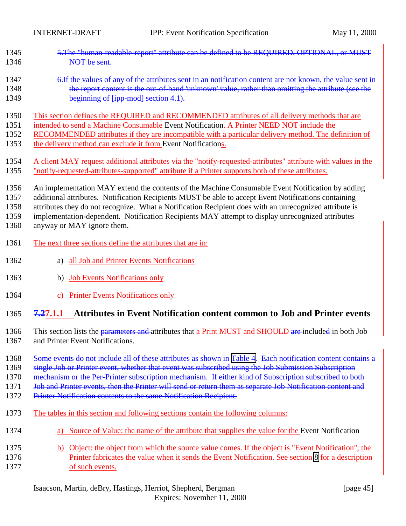<span id="page-44-0"></span>

| 1345 | 5. The "human-readable-report" attribute can be defined to be REQUIRED, OPTIONAL, or MUST                     |
|------|---------------------------------------------------------------------------------------------------------------|
| 1346 | NOT be sent.                                                                                                  |
| 1347 | 6. If the values of any of the attributes sent in an notification content are not known, the value sent in    |
| 1348 | the report content is the out-of-band 'unknown' value, rather than omitting the attribute (see the            |
| 1349 | beginning of [ipp-mod] section 4.1).                                                                          |
| 1350 | This section defines the REQUIRED and RECOMMENDED attributes of all delivery methods that are                 |
| 1351 | intended to send a Machine Consumable Event Notification. A Printer NEED NOT include the                      |
| 1352 | RECOMMENDED attributes if they are incompatible with a particular delivery method. The definition of          |
| 1353 | the delivery method can exclude it from Event Notifications.                                                  |
| 1354 | A client MAY request additional attributes via the "notify-requested-attributes" attribute with values in the |
| 1355 | "notify-requested-attributes-supported" attribute if a Printer supports both of these attributes.             |
| 1356 | An implementation MAY extend the contents of the Machine Consumable Event Notification by adding              |
| 1357 | additional attributes. Notification Recipients MUST be able to accept Event Notifications containing          |
| 1358 | attributes they do not recognize. What a Notification Recipient does with an unrecognized attribute is        |
| 1359 | implementation-dependent. Notification Recipients MAY attempt to display unrecognized attributes              |
| 1360 | anyway or MAY ignore them.                                                                                    |
| 1361 | The next three sections define the attributes that are in:                                                    |
| 1362 | all Job and Printer Events Notifications<br>a)                                                                |
| 1363 | <b>Job Events Notifications only</b><br>b)                                                                    |
| 1364 | c) Printer Events Notifications only                                                                          |
| 1365 | 7.27.1.1 Attributes in Event Notification content common to Job and Printer events                            |
| 1366 | This section lists the parameters and attributes that a Print MUST and SHOULD are included in both Job        |
| 1367 | and Printer Event Notifications.                                                                              |
| 1368 | Some events do not include all of these attributes as shown in Table 4. Each notification content contains a  |
| 1369 | single Job or Printer event, whether that event was subscribed using the Job Submission Subscription          |
| 1370 | mechanism or the Per-Printer subscription mechanism. If either kind of Subscription subscribed to both        |
| 1371 | Job and Printer events, then the Printer will send or return them as separate Job Notification content and    |
| 1372 | Printer Notification contents to the same Notification Recipient.                                             |
| 1373 | The tables in this section and following sections contain the following columns:                              |
| 1374 | a) Source of Value: the name of the attribute that supplies the value for the Event Notification              |
| 1375 | b) Object: the object from which the source value comes. If the object is "Event Notification", the           |
| 1376 | Printer fabricates the value when it sends the Event Notification. See section 8 for a description            |
| 1377 | of such events.                                                                                               |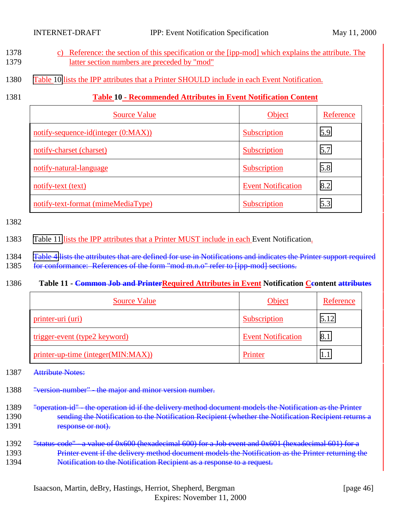- <span id="page-45-0"></span>1378 c) Reference: the section of this specification or the [ipp-mod] which explains the attribute. The 1379 latter section numbers are preceded by "mod"
- 1380 Table 10 lists the IPP attributes that a Printer SHOULD include in each Event Notification.
- 

### 1381 **Table 10 - Recommended Attributes in Event Notification Content**

| <b>Source Value</b>                 | Object                    | Reference |
|-------------------------------------|---------------------------|-----------|
| notify-sequence-id(integer (0:MAX)) | <b>Subscription</b>       | 5.9       |
| notify-charset (charset)            | Subscription              | 5.7       |
| notify-natural-language             | Subscription              | 5.8       |
| notify-text (text)                  | <b>Event Notification</b> | 8.2       |
| notify-text-format (mimeMediaType)  | Subscription              | 5.3       |

1382

1383 Table 11 lists the IPP attributes that a Printer MUST include in each Event Notification.

- 1384 Table 4 lists the attributes that are defined for use in Notifications and indicates the Printer support required
- 1385 for conformance: References of the form "mod m.n.o" refer to [ipp-mod] sections.

#### 1386 Table 11 - Common Job and PrinterRequired Attributes in Event Notification Ceontent attributes

| <b>Source Value</b>                  | Object                    | Reference |
|--------------------------------------|---------------------------|-----------|
| printer-uri (uri)                    | <b>Subscription</b>       | 5.12      |
| <u>trigger-event (type2 keyword)</u> | <b>Event Notification</b> | 8.1       |
| printer-up-time (integer(MIN:MAX))   | Printer                   |           |

- 1387 Attribute Notes:
- 1388 "version-number" the major and minor version number.
- 1389 "operation-id" the operation id if the delivery method document models the Notification as the Printer 1390 sending the Notification to the Notification Recipient (whether the Notification Recipient returns a 1391 response or not).
- 1392 "status-code" a value of 0x600 (hexadecimal 600) for a Job event and 0x601 (hexadecimal 601) for a 1393 Printer event if the delivery method document models the Notification as the Printer returning the 1394 **Notification to the Notification Recipient as a response to a request.**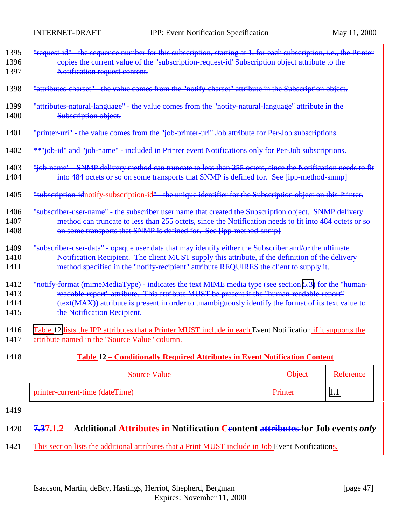<span id="page-46-0"></span>

| 1395 | "request id" the sequence number for this subscription, starting at 1, for each subscription, i.e., the Printer |
|------|-----------------------------------------------------------------------------------------------------------------|
| 1396 | copies the current value of the "subscription-request-id' Subscription object attribute to the                  |
| 1397 | Notification request content.                                                                                   |
| 1398 | "attributes charset" - the value comes from the "notify charset" attribute in the Subscription object.          |
| 1399 | "attributes natural language" - the value comes from the "notify natural language" attribute in the             |
| 1400 | Subscription object.                                                                                            |
| 1401 | "printer-uri" - the value comes from the "job-printer-uri" Job attribute for Per-Job subscriptions.             |
| 1402 | <b>**"job id" and "job name"</b> included in Printer event Notifications only for Per Job subscriptions.        |
| 1403 | "job-name" - SNMP delivery method can truncate to less than 255 octets, since the Notification needs to fit     |
| 1404 | into 484 octets or so on some transports that SNMP is defined for. See [ipp-method-snmp]                        |
| 1405 | "subscription-idnotify-subscription-id" - the unique identifier for the Subscription object on this Printer.    |
| 1406 | "subscriber user name" the subscriber user name that created the Subscription object. SNMP delivery             |
| 1407 | method can truncate to less than 255 octets, since the Notification needs to fit into 484 octets or so          |
| 1408 | on some transports that SNMP is defined for. See [ipp-method-snmp]                                              |
| 1409 | "subscriber-user-data" - opaque user data that may identify either the Subscriber and/or the ultimate           |
| 1410 | Notification Recipient. The client MUST supply this attribute, if the definition of the delivery                |
| 1411 | method specified in the "notify recipient" attribute REQUIRES the client to supply it.                          |
| 1412 | "notify-format (mimeMediaType) - indicates the text MIME media type (see section 5.3) for the "human-           |
| 1413 | readable-report" attribute. This attribute MUST be present if the "human-readable-report"                       |
| 1414 | (text(MAX)) attribute is present in order to unambiguously identify the format of its text value to             |
| 1415 | the Notification Recipient.                                                                                     |
| 1416 | Table 12 lists the IPP attributes that a Printer MUST include in each Event Notification if it supports the     |
| 1417 | attribute named in the "Source Value" column.                                                                   |

#### 1418 **Table 12 – Conditionally Required Attributes in Event Notification Content**

| <b>Source Value</b>             | <b>Object</b> | Reference |
|---------------------------------|---------------|-----------|
| printer-current-time (dateTime) |               | 1.1       |

1419

# 1420 **7.37.1.2** Additional **Attributes in Notification Ceontent attributes for Job events** *only*

1421 This section lists the additional attributes that a Print MUST include in Job Event Notifications.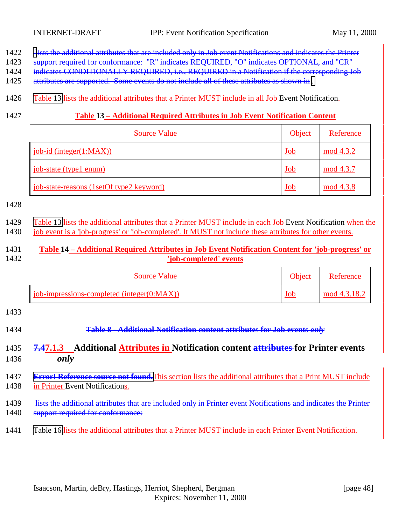- <span id="page-47-0"></span>1422 lists the additional attributes that are included only in Job event Notifications and indicates the Printer
- 1423 support required for conformance: "R" indicates REQUIRED, "O" indicates OPTIONAL, and "CR"
- 1424 indicates CONDITIONALLY REQUIRED, i.e., REQUIRED in a Notification if the corresponding Job
- 1425 attributes are supported. Some events do not include all of these attributes as shown in .
- 1426 Table 13 lists the additional attributes that a Printer MUST include in all Job Event Notification.
- 

### 1427 **Table 13 – Additional Required Attributes in Job Event Notification Content**

| <b>Source Value</b>                      | Object     | Reference |
|------------------------------------------|------------|-----------|
| $job-id$ (integer( $1:MAX$ ))            | <u>Job</u> | mod 4.3.2 |
| job-state (type1 enum)                   | Job        | mod 4.3.7 |
| job-state-reasons (1setOf type2 keyword) | <u>Job</u> | mod 4.3.8 |

#### 1428

1429 Table 13 lists the additional attributes that a Printer MUST include in each Job Event Notification when the

1430 job event is a 'job-progress' or 'job-completed'. It MUST not include these attributes for other events.

### 1431 **Table 14 – Additional Required Attributes in Job Event Notification Content for 'job-progress' or** 1432 **'job-completed' events**

| <b>Source Value</b>                               | <b>Object</b> | Reference    |
|---------------------------------------------------|---------------|--------------|
| $\phi$ job-impressions-completed (integer(0:MAX)) | <u>Job</u>    | mod 4.3.18.2 |

1433

1434 **Table 8 - Additional Notification content attributes for Job events** *only*

### 1435 **7.47.1.3 Additional Attributes in Notification content attributes for Printer events** 1436 *only*

### 1437 **[Error! Reference source not found.](#page-48-0)**This section lists the additional attributes that a Print MUST include 1438 in Printer Event Notifications.

- 1439 lists the additional attributes that are included only in Printer event Notifications and indicates the Printer 1440 support required for conformance:
- 1441 [Table 16](#page-48-0) lists the additional attributes that a Printer MUST include in each Printer Event Notification.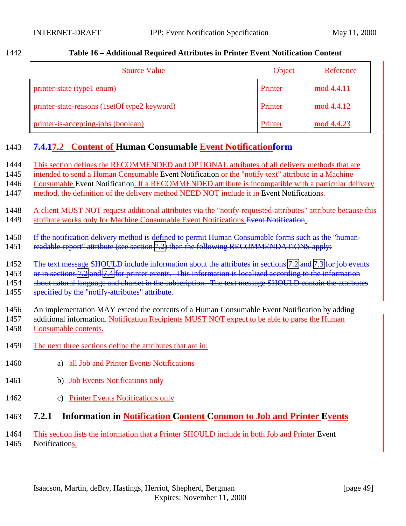| <b>Source Value</b>                          | <b>Object</b> | Reference  |
|----------------------------------------------|---------------|------------|
| printer-state (type1 enum)                   | Printer       | mod 4.4.11 |
| printer-state-reasons (1setOf type2 keyword) | Printer       | mod 4.4.12 |
| printer-is-accepting-jobs (boolean)          | Printer       | mod 4.4.23 |

### <span id="page-48-0"></span>1442 **Table 16 – Additional Required Attributes in Printer Event Notification Content**

# 1443 **7.4.17.2 Content of Human Consumable Event Notificationform**

| 1444         | This section defines the RECOMMENDED and OPTIONAL attributes of all delivery methods that are                                                                                                        |
|--------------|------------------------------------------------------------------------------------------------------------------------------------------------------------------------------------------------------|
| 1445         | intended to send a Human Consumable Event Notification or the "notify-text" attribute in a Machine                                                                                                   |
| 1446         | Consumable Event Notification. If a RECOMMENDED attribute is incompatible with a particular delivery                                                                                                 |
| 1447         | method, the definition of the delivery method NEED NOT include it in Event Notifications.                                                                                                            |
| 1448<br>1449 | A client MUST NOT request additional attributes via the "notify-requested-attributes" attribute because this<br>attribute works only for Machine Consumable Event Notifications. Event Notification. |
| 1450         | If the notification delivery method is defined to permit Human Consumable forms such as the "human-                                                                                                  |
| 1451         | readable-report" attribute (see section 7.2) then the following RECOMMENDATIONS apply:                                                                                                               |
| 1452         | The text message SHOULD include information about the attributes in sections 7.2 and 7.3 for job events                                                                                              |
| 1453         | or in sections 7.2 and 7.4 for printer events. This information is localized according to the information                                                                                            |
| 1454         | about natural language and charset in the subscription. The text message SHOULD contain the attributes                                                                                               |
| 1455         | specified by the "notify-attributes" attribute.                                                                                                                                                      |
| 1456         | An implementation MAY extend the contents of a Human Consumable Event Notification by adding                                                                                                         |
| 1457         | additional information. Notification Recipients MUST NOT expect to be able to parse the Human                                                                                                        |
| 1458         | Consumable contents.                                                                                                                                                                                 |
| 1459         | The next three sections define the attributes that are in:                                                                                                                                           |
| 1460         | all Job and Printer Events Notifications<br>a)                                                                                                                                                       |
| 1461         | <b>Job Events Notifications only</b><br>b)                                                                                                                                                           |
| 1462         | <b>Printer Events Notifications only</b><br>$\mathcal{C}$ )                                                                                                                                          |
| 1463         | 7.2.1<br><b>Information in Notification Content Common to Job and Printer Events</b>                                                                                                                 |

1464 This section lists the information that a Printer SHOULD include in both Job and Printer Event 1465 Notifications.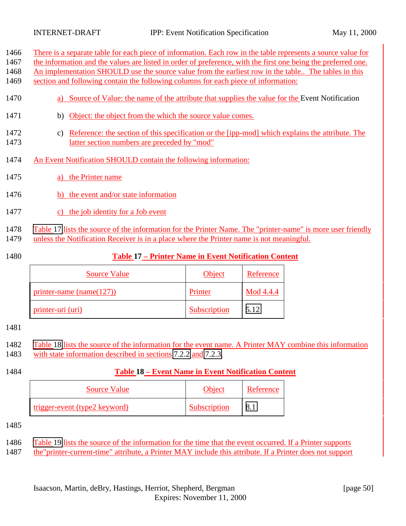There is a separate table for each piece of information. Each row in the table represents a source value for

1467 the information and the values are listed in order of preference, with the first one being the preferred one.

An implementation SHOULD use the source value from the earliest row in the table.. The tables in this

section and following contain the following columns for each piece of information:

- 1470 a) Source of Value: the name of the attribute that supplies the value for the Event Notification
- b) Object: the object from the which the source value comes.
- c) Reference: the section of this specification or the [ipp-mod] which explains the attribute. The latter section numbers are preceded by "mod"
- An Event Notification SHOULD contain the following information:
- a) the Printer name
- b) the event and/or state information
- c) the job identity for a Job event
- Table 17 lists the source of the information for the Printer Name. The "printer-name" is more user friendly
- unless the Notification Receiver is in a place where the Printer name is not meaningful.
- 

### **Table 17 – Printer Name in Event Notification Content**

| <b>Source Value</b>          | <b>Object</b> | Reference |
|------------------------------|---------------|-----------|
| printer-name (name $(127)$ ) | Printer       | Mod 4.4.4 |
| printer-uri (uri)            | Subscription  | 5.12      |

#### 

- Table 18 lists the source of the information for the event name. A Printer MAY combine this information
- with state information described in sections [7.2.2](#page-50-0) and [7.2.3.](#page-51-0)

### **Table 18 – Event Name in Event Notification Content**

| <b>Source Value</b>           | <b>Object</b> | Reference |
|-------------------------------|---------------|-----------|
| trigger-event (type2 keyword) | Subscription  |           |

[Table 19](#page-50-0) lists the source of the information for the time that the event occurred. If a Printer supports

the"printer-current-time" attribute, a Printer MAY include this attribute. If a Printer does not support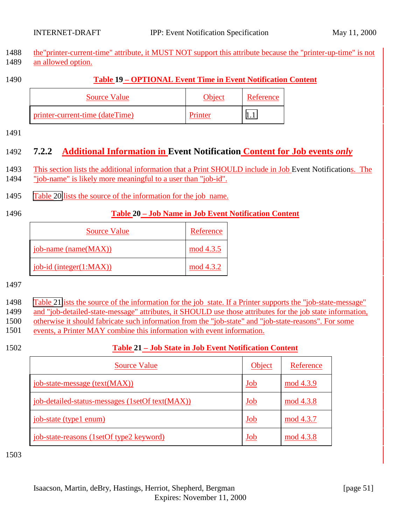<span id="page-50-0"></span>

| 1488 the "printer-current-time" attribute, it MUST NOT support this attribute because the "printer-up-time" is not |  |
|--------------------------------------------------------------------------------------------------------------------|--|
| 1489 an allowed option.                                                                                            |  |

### 1490 **Table 19 – OPTIONAL Event Time in Event Notification Content**

| <b>Source Value</b>             | <b>Object</b> | Reference |
|---------------------------------|---------------|-----------|
| printer-current-time (dateTime) | Printer       |           |

1491

# 1492 **7.2.2 Additional Information in Event Notification Content for Job events** *only*

1493 This section lists the additional information that a Print SHOULD include in Job Event Notifications. The

1494 "job-name" is likely more meaningful to a user than "job-id".

- 1495 Table 20 lists the source of the information for the job name.
- 

### 1496 **Table 20 – Job Name in Job Event Notification Content**

| <b>Source Value</b>         | Reference |
|-----------------------------|-----------|
| job-name (name(MAX))        | mod 4.3.5 |
| job-id (integer $(1:MAX)$ ) | mod 4.3.2 |

1497

- 1498 Table 21lists the source of the information for the job state. If a Printer supports the "job-state-message" 1499 and "job-detailed-state-message" attributes, it SHOULD use those attributes for the job state information, 1500 otherwise it should fabricate such information from the "job-state" and "job-state-reasons". For some 1501 events, a Printer MAY combine this information with event information.
- 

### 1502 **Table 21 – Job State in Job Event Notification Content**

| <b>Source Value</b>                             | Object     | Reference |
|-------------------------------------------------|------------|-----------|
| job-state-message (text(MAX))                   | <u>Job</u> | mod 4.3.9 |
| job-detailed-status-messages (1setOf text(MAX)) | <u>Job</u> | mod 4.3.8 |
| job-state (type1 enum)                          | Job        | mod 4.3.7 |
| job-state-reasons (1setOf type2 keyword)        | <u>Job</u> | mod 4.3.8 |

1503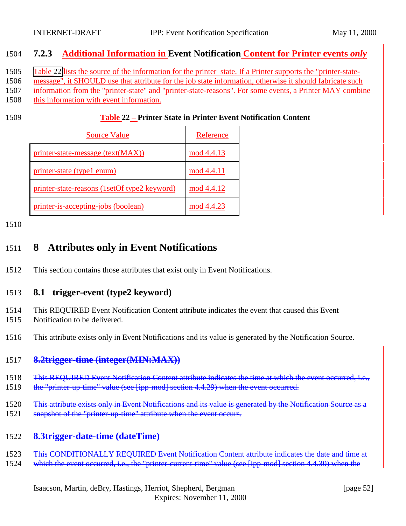### <span id="page-51-0"></span>1504 **7.2.3 Additional Information in Event Notification Content for Printer events** *only*

1505 Table 22 lists the source of the information for the printer state. If a Printer supports the "printer-state-

1506 message", it SHOULD use that attribute for the job state information, otherwise it should fabricate such

1507 information from the "printer-state" and "printer-state-reasons". For some events, a Printer MAY combine

1508 this information with event information.

#### 1509 **Table 22 – Printer State in Printer Event Notification Content**

| <b>Source Value</b>                          | Reference  |
|----------------------------------------------|------------|
| printer-state-message (text(MAX))            | mod 4.4.13 |
| printer-state (type1 enum)                   | mod 4.4.11 |
| printer-state-reasons (1setOf type2 keyword) | mod 4.4.12 |
| printer-is-accepting-jobs (boolean)          | mod 4.4.23 |

1510

# 1511 **8 Attributes only in Event Notifications**

1512 This section contains those attributes that exist only in Event Notifications.

### 1513 **8.1 trigger-event (type2 keyword)**

- 1514 This REQUIRED Event Notification Content attribute indicates the event that caused this Event
- 1515 Notification to be delivered.
- 1516 This attribute exists only in Event Notifications and its value is generated by the Notification Source.

### 1517 **8.2trigger-time (integer(MIN:MAX))**

- 1518 This REQUIRED Event Notification Content attribute indicates the time at which the event occurred, i.e.,
- 1519 the "printer-up-time" value (see [ipp-mod] section 4.4.29) when the event occurred.
- 1520 This attribute exists only in Event Notifications and its value is generated by the Notification Source as a
- 1521 snapshot of the "printer-up-time" attribute when the event occurs.

### 1522 **8.3trigger-date-time (dateTime)**

- 1523 This CONDITIONALLY REQUIRED Event Notification Content attribute indicates the date and time at
- 1524 which the event occurred, i.e., the "printer-current-time" value (see [ipp-mod] section 4.4.30) when the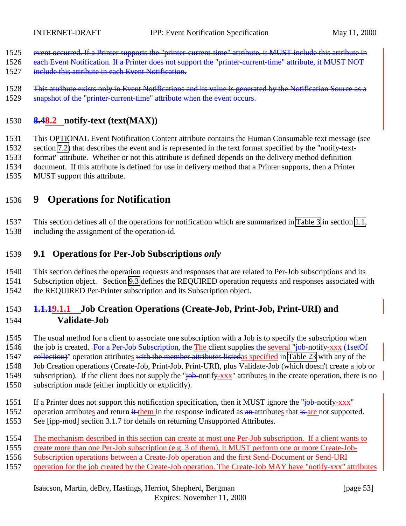- <span id="page-52-0"></span>1525 event occurred. If a Printer supports the "printer-current-time" attribute, it MUST include this attribute in
- 1526 each Event Notification. If a Printer does not support the "printer-current-time" attribute, it MUST NOT
- 1527 include this attribute in each Event Notification.
- 1528 This attribute exists only in Event Notifications and its value is generated by the Notification Source as a 1529 snapshot of the "printer-current-time" attribute when the event occurs.

### **8.48.2 notify-text (text(MAX))**

 This OPTIONAL Event Notification Content attribute contains the Human Consumable text message (see section [7.2\)](#page-48-0) that describes the event and is represented in the text format specified by the "notify-text- format" attribute. Whether or not this attribute is defined depends on the delivery method definition document. If this attribute is defined for use in delivery method that a Printer supports, then a Printer MUST support this attribute.

# **9 Operations for Notification**

 This section defines all of the operations for notification which are summarized in [Table 3](#page-10-0) in section [1.1,](#page-8-0) including the assignment of the operation-id.

### **9.1 Operations for Per-Job Subscriptions** *only*

This section defines the operation requests and responses that are related to Per-Job subscriptions and its

Subscription object. Section [9.3](#page-62-0) defines the REQUIRED operation requests and responses associated with

the REQUIRED Per-Printer subscription and its Subscription object.

### **1.1.19.1.1 Job Creation Operations (Create-Job, Print-Job, Print-URI) and Validate-Job**

The usual method for a client to associate one subscription with a Job is to specify the subscription when

1546 the job is created. For a Per-Job Subscription, the The client supplies the several "job-notify-xxx (1setOf 1547 eollection)" operation attributes with the member attributes listedas specified in [Table 23](#page-53-0) with any of the Job Creation operations (Create-Job, Print-Job, Print-URI), plus Validate-Job (which doesn't create a job or

- 1549 subscription). If the client does not supply the " $\frac{1}{10}$ -notify-xxx" attributes in the create operation, there is no subscription made (either implicitly or explicitly).
- 1551 If a Printer does not support this notification specification, then it MUST ignore the "job-notify-xxx"
- 1552 operation attributes and return it them in the response indicated as an attributes that is are not supported. See [ipp-mod] section 3.1.7 for details on returning Unsupported Attributes.
- The mechanism described in this section can create at most one Per-Job subscription. If a client wants to
- create more than one Per-Job subscription (e.g. 3 of them), it MUST perform one or more Create-Job-
- Subscription operations between a Create-Job operation and the first Send-Document or Send-URI
- operation for the job created by the Create-Job operation. The Create-Job MAY have "notify-xxx" attributes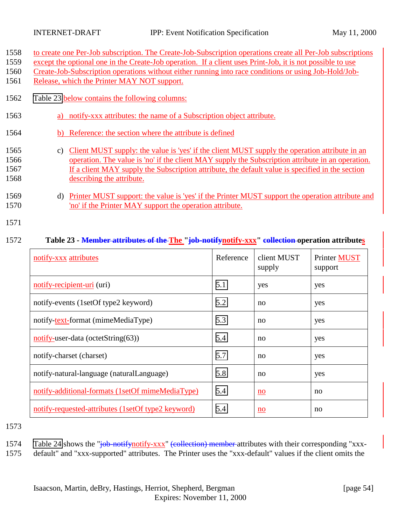<span id="page-53-0"></span>

|  | 1558 to create one Per-Job subscription. The Create-Job-Subscription operations create all Per-Job subscriptions |  |
|--|------------------------------------------------------------------------------------------------------------------|--|
|  |                                                                                                                  |  |

- 1559 except the optional one in the Create-Job operation. If a client uses Print-Job, it is not possible to use
- 1560 Create-Job-Subscription operations without either running into race conditions or using Job-Hold/Job-
- 1561 Release, which the Printer MAY NOT support.
- 1562 Table 23 **below contains the following columns:**
- 1563 a) notify-xxx attributes: the name of a Subscription object attribute.
- 1564 b) Reference: the section where the attribute is defined

### 1565 c) Client MUST supply: the value is 'yes' if the client MUST supply the operation attribute in an 1566 operation. The value is 'no' if the client MAY supply the Subscription attribute in an operation. 1567 If a client MAY supply the Subscription attribute, the default value is specified in the section 1568 describing the attribute.

- 1569 d) Printer MUST support: the value is 'yes' if the Printer MUST support the operation attribute and 1570 'no' if the Printer MAY support the operation attribute.
- 1571

### 1572 **Table 23 - Member attributes of the The "job-notifynotify-xxx" collection operation attributes**

| notify-xxx attributes                                                             | Reference | client MUST<br>supply | Printer MUST<br>support |
|-----------------------------------------------------------------------------------|-----------|-----------------------|-------------------------|
| notify-recipient-uri (uri)                                                        | 5.1       | yes                   | yes                     |
| notify-events (1setOf type2 keyword)                                              | 5.2       | no                    | yes                     |
| notify-text-format (mimeMediaType)                                                | 5.3       | no                    | yes                     |
| $\frac{\text{notify-user-data}(\text{octetString}(63))}{\text{notify-user-data}}$ | 5.4       | no                    | yes                     |
| notify-charset (charset)                                                          | 5.7       | no                    | yes                     |
| notify-natural-language (naturalLanguage)                                         | 5.8       | no                    | yes                     |
| notify-additional-formats (1setOf mimeMediaType)                                  | 5.4       | no                    | no                      |
| notify-requested-attributes (1setOf type2 keyword)                                | 5.4       | no                    | no                      |

- 1573
- 1574 [Table 24](#page-54-0) shows the "job-notifynotify-xxx" (collection) member attributes with their corresponding "xxx-
- 1575 default" and "xxx-supported" attributes. The Printer uses the "xxx-default" values if the client omits the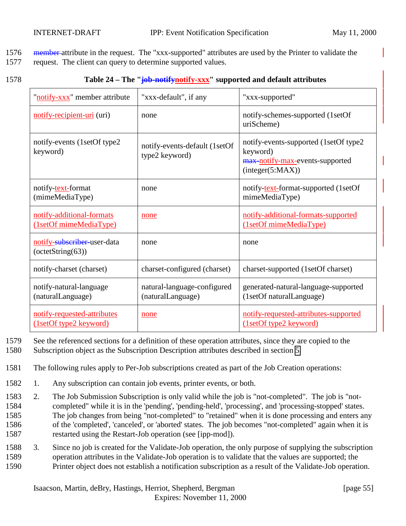<span id="page-54-0"></span>1576 member attribute in the request. The "xxx-supported" attributes are used by the Printer to validate the

1577 request. The client can query to determine supported values.

| ۰.<br>×<br>× | ۰, |
|--------------|----|
|--------------|----|

### 1578 **Table 24 – The "job-notifynotify-xxx" supported and default attributes**

| "notify-xxx" member attribute                         | "xxx-default", if any                            | "xxx-supported"                                                                                           |
|-------------------------------------------------------|--------------------------------------------------|-----------------------------------------------------------------------------------------------------------|
| notify-recipient-uri (uri)                            | none                                             | notify-schemes-supported (1setOf<br>uriScheme)                                                            |
| notify-events (1setOf type2)<br>keyword)              | notify-events-default (1setOf<br>type2 keyword)  | notify-events-supported (1setOf type2)<br>keyword)<br>max-notify-max-events-supported<br>interger(5:MAX)) |
| notify-text-format<br>(mimeMediaType)                 | none                                             | notify-text-format-supported (1setOf<br>mimeMediaType)                                                    |
| notify-additional-formats<br>(1setOf mimeMediaType)   | none                                             | notify-additional-formats-supported<br>(1setOf mimeMediaType)                                             |
| notify-subscriber-user-data<br>$-octetString(63)$     | none                                             | none                                                                                                      |
| notify-charset (charset)                              | charset-configured (charset)                     | charset-supported (1setOf charset)                                                                        |
| notify-natural-language<br>(naturalLanguage)          | natural-language-configured<br>(naturalLanguage) | generated-natural-language-supported<br>(1setOf naturalLanguage)                                          |
| notify-requested-attributes<br>(1setOf type2 keyword) | none                                             | notify-requested-attributes-supported<br>(1setOf type2 keyword)                                           |

1579 See the referenced sections for a definition of these operation attributes, since they are copied to the

- 1580 Subscription object as the Subscription Description attributes described in section [5.](#page-20-0)
- 1581 The following rules apply to Per-Job subscriptions created as part of the Job Creation operations:
- 1582 1. Any subscription can contain job events, printer events, or both.
- 1583 2. The Job Submission Subscription is only valid while the job is "not-completed". The job is "not-1584 completed" while it is in the 'pending', 'pending-held', 'processing', and 'processing-stopped' states. 1585 The job changes from being "not-completed" to "retained" when it is done processing and enters any 1586 of the 'completed', 'canceled', or 'aborted' states. The job becomes "not-completed" again when it is 1587 restarted using the Restart-Job operation (see [ipp-mod]).
- 1588 3. Since no job is created for the Validate-Job operation, the only purpose of supplying the subscription 1589 operation attributes in the Validate-Job operation is to validate that the values are supported; the 1590 Printer object does not establish a notification subscription as a result of the Validate-Job operation.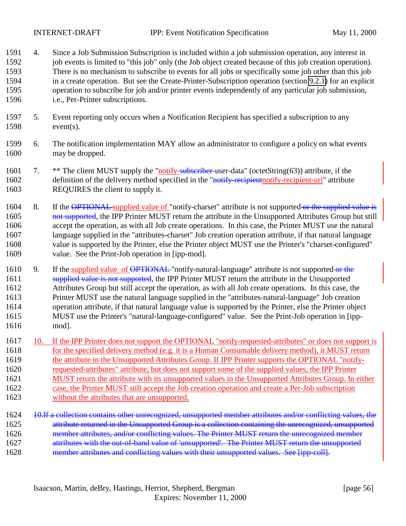INTERNET-DRAFT IPP: Event Notification Specification May 11, 2000

- 4. Since a Job Submission Subscription is included within a job submission operation, any interest in 1592 job events is limited to "this job" only (the Job object created because of this job creation operation). There is no mechanism to subscribe to events for all jobs or specifically some job other than this job in a create operation. But see the Create-Printer-Subscription operation (section [9.2.1\)](#page-59-0) for an explicit operation to subscribe for job and/or printer events independently of any particular job submission, i.e., Per-Printer subscriptions.
- 5. Event reporting only occurs when a Notification Recipient has specified a subscription to any event(s).
- 6. The notification implementation MAY allow an administrator to configure a policy on what events may be dropped.
- 1601 7. \*\* The client MUST supply the "notify-subscriber-user-data" (octetString(63)) attribute, if the 1602 definition of the delivery method specified in the "notify-recipient-urigreprient-uri" attribute REQUIRES the client to supply it.
- 1604 8. If the OPTIONAL supplied value of "notify-charset" attribute is not supported or the supplied value is 1605 not supported, the IPP Printer MUST return the attribute in the Unsupported Attributes Group but still accept the operation, as with all Job create operations. In this case, the Printer MUST use the natural language supplied in the "attributes-charset" Job creation operation attribute, if that natural language value is supported by the Printer, else the Printer object MUST use the Printer's "charset-configured" value. See the Print-Job operation in [ipp-mod].
- 1610 9. If the supplied value of  $\overline{\text{OPTIONAL}}$  "notify-natural-language" attribute is not supported or the 1611 supplied value is not supported, the IPP Printer MUST return the attribute in the Unsupported Attributes Group but still accept the operation, as with all Job create operations. In this case, the Printer MUST use the natural language supplied in the "attributes-natural-language" Job creation operation attribute, if that natural language value is supported by the Printer, else the Printer object MUST use the Printer's "natural-language-configured" value. See the Print-Job operation in [ipp-mod].
- 10. If the IPP Printer does not support the OPTIONAL "notify-requested-attributes" or does not support is for the specified delivery method (e.g. it is a Human Consumable delivery method), it MUST return 1619 the attribute in the Unsupported Attributes Group. If IPP Printer supports the OPTIONAL "notify- requested-attributes" attribute, but does not support some of the supplied values, the IPP Printer MUST return the attribute with its unsupported values in the Unsupported Attributes Group. In either case, the Printer MUST still accept the Job creation operation and create a Per-Job subscription without the attributes that are unsupported.
- 1624 10.If a collection contains other unrecognized, unsupported member attributes and/or conflicting values, the attribute returned in the Unsupported Group is a collection containing the unrecognized, unsupported member attributes, and/or conflicting values. The Printer MUST return the unrecognized member 1627 attributes with the out-of-band value of 'unsupported'. The Printer MUST return the unsupported 1628 member attributes and conflicting values with their unsupported values. See [ipp-coll].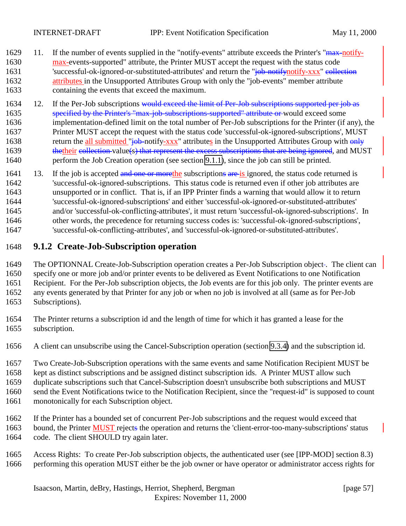- <span id="page-56-0"></span>1629 11. If the number of events supplied in the "notify-events" attribute exceeds the Printer's "max-notify- max-events-supported" attribute, the Printer MUST accept the request with the status code 'successful-ok-ignored-or-substituted-attributes' and return the "job-notifynotify-xxx" collection **attributes** in the Unsupported Attributes Group with only the "job-events" member attribute containing the events that exceed the maximum.
- 1634 12. If the Per-Job subscriptions would exceed the limit of Per-Job subscriptions supported per job as specified by the Printer's "max-job-subscriptions-supported" attribute or would exceed some implementation-defined limit on the total number of Per-Job subscriptions for the Printer (if any), the Printer MUST accept the request with the status code 'successful-ok-ignored-subscriptions', MUST 1638 return the all submitted "<del>job-</del>notify-xxx" attributes in the Unsupported Attributes Group with only 1639 thetheir collection value(s) that represent the excess subscriptions that are being ignored, and MUST perform the Job Creation operation (see section [9.1.1\)](#page-52-0), since the job can still be printed.
- 1641 13. If the job is accepted and one or morethe subscriptions are is ignored, the status code returned is 'successful-ok-ignored-subscriptions. This status code is returned even if other job attributes are unsupported or in conflict. That is, if an IPP Printer finds a warning that would allow it to return 'successful-ok-ignored-subscriptions' and either 'successful-ok-ignored-or-substituted-attributes' and/or 'successful-ok-conflicting-attributes', it must return 'successful-ok-ignored-subscriptions'. In other words, the precedence for returning success codes is: 'successful-ok-ignored-subscriptions', 'successful-ok-conflicting-attributes', and 'successful-ok-ignored-or-substituted-attributes'.

#### **9.1.2 Create-Job-Subscription operation**

1649 The OPTIONNAL Create-Job-Subscription operation creates a Per-Job Subscription object-. The client can

specify one or more job and/or printer events to be delivered as Event Notifications to one Notification

Recipient. For the Per-Job subscription objects, the Job events are for this job only. The printer events are

any events generated by that Printer for any job or when no job is involved at all (same as for Per-Job

- Subscriptions).
- The Printer returns a subscription id and the length of time for which it has granted a lease for the subscription.
- A client can unsubscribe using the Cancel-Subscription operation (section [9.3.4\)](#page-67-0) and the subscription id.

Two Create-Job-Subscription operations with the same events and same Notification Recipient MUST be

kept as distinct subscriptions and be assigned distinct subscription ids. A Printer MUST allow such

duplicate subscriptions such that Cancel-Subscription doesn't unsubscribe both subscriptions and MUST

- send the Event Notifications twice to the Notification Recipient, since the "request-id" is supposed to count
- monotonically for each Subscription object.
- If the Printer has a bounded set of concurrent Per-Job subscriptions and the request would exceed that bound, the Printer MUST rejects the operation and returns the 'client-error-too-many-subscriptions' status code. The client SHOULD try again later.
- Access Rights: To create Per-Job subscription objects, the authenticated user (see [IPP-MOD] section 8.3) performing this operation MUST either be the job owner or have operator or administrator access rights for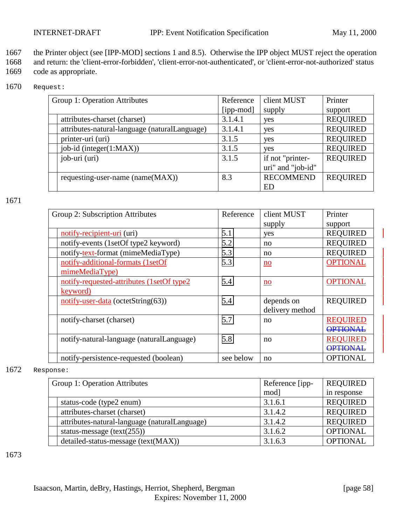1667 the Printer object (see [IPP-MOD] sections 1 and 8.5). Otherwise the IPP object MUST reject the operation

1668 and return: the 'client-error-forbidden', 'client-error-not-authenticated', or 'client-error-not-authorized' status 1669 code as appropriate.

1670 Request:

| Group 1: Operation Attributes                 | Reference | client MUST       | Printer         |
|-----------------------------------------------|-----------|-------------------|-----------------|
|                                               | [ipp-mod] | supply            | support         |
| attributes-charset (charset)                  | 3.1.4.1   | yes               | <b>REQUIRED</b> |
| attributes-natural-language (naturalLanguage) | 3.1.4.1   | yes               | <b>REQUIRED</b> |
| printer-uri (uri)                             | 3.1.5     | yes               | <b>REQUIRED</b> |
| job-id (integer(1:MAX))                       | 3.1.5     | yes               | <b>REQUIRED</b> |
| job-uri (uri)                                 | 3.1.5     | if not "printer-  | <b>REQUIRED</b> |
|                                               |           | uri" and "job-id" |                 |
| requesting-user-name (name(MAX))              | 8.3       | <b>RECOMMEND</b>  | <b>REQUIRED</b> |
|                                               |           | ED                |                 |

1671

| Group 2: Subscription Attributes |                                                        | Reference | client MUST               | Printer         |
|----------------------------------|--------------------------------------------------------|-----------|---------------------------|-----------------|
|                                  |                                                        |           | supply                    | support         |
|                                  | notify-recipient-uri (uri)                             | 5.1       | yes                       | <b>REQUIRED</b> |
|                                  | notify-events (1setOf type2 keyword)                   | 5.2       | no                        | <b>REQUIRED</b> |
|                                  | notify-text-format (mimeMediaType)                     | 5.3       | no                        | <b>REQUIRED</b> |
|                                  | notify-additional-formats (1setOf                      | 5.3       | $\underline{\mathbf{no}}$ | <b>OPTIONAL</b> |
|                                  | mimeMediaType)                                         |           |                           |                 |
|                                  | notify-requested-attributes (1setOf type2              | 5.4       | no                        | <b>OPTIONAL</b> |
|                                  | keyword)                                               |           |                           |                 |
|                                  | $\overline{\text{notify-user-data}}$ (octetString(63)) | 5.4       | depends on                | <b>REQUIRED</b> |
|                                  |                                                        |           | delivery method           |                 |
|                                  | notify-charset (charset)                               | 5.7       | no                        | <b>REOUIRED</b> |
|                                  |                                                        |           |                           | <b>OPTIONAI</b> |
|                                  | notify-natural-language (naturalLanguage)              | 5.8       | no                        | <b>REOUIRED</b> |
|                                  |                                                        |           |                           | <b>OPTIONAL</b> |
|                                  | notify-persistence-requested (boolean)                 | see below | no                        | <b>OPTIONAL</b> |

1672 Response:

| Group 1: Operation Attributes                 | Reference [ipp- | <b>REQUIRED</b> |  |  |  |
|-----------------------------------------------|-----------------|-----------------|--|--|--|
|                                               | mod]            | in response     |  |  |  |
| status-code (type2 enum)                      | 3.1.6.1         | <b>REQUIRED</b> |  |  |  |
| attributes-charset (charset)                  | 3.1.4.2         | <b>REQUIRED</b> |  |  |  |
| attributes-natural-language (naturalLanguage) | 3.1.4.2         | <b>REQUIRED</b> |  |  |  |
| status-message $(text(255))$                  | 3.1.6.2         | <b>OPTIONAL</b> |  |  |  |
| detailed-status-message (text(MAX))           | 3.1.6.3         | <b>OPTIONAL</b> |  |  |  |

1673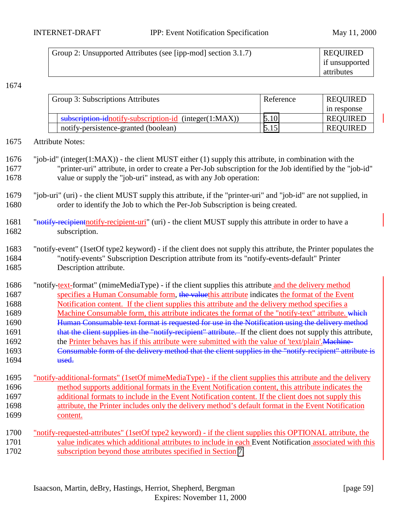| Group 2: Unsupported Attributes (see [ipp-mod] section 3.1.7) | <b>REQUIRED</b> |
|---------------------------------------------------------------|-----------------|
|                                                               | if unsupported  |
|                                                               | attributes      |

#### 1674

| Group 3: Subscriptions Attributes                      | Reference | <b>REQUIRED</b> |
|--------------------------------------------------------|-----------|-----------------|
|                                                        |           | in response     |
| subscription-idnotify-subscription-id (integer(1:MAX)) | 5.10      | <b>REQUIRED</b> |
| notify-persistence-granted (boolean)                   | 5.15      | <b>REQUIRED</b> |

1675 Attribute Notes:

1676 "job-id" (integer(1:MAX)) - the client MUST either (1) supply this attribute, in combination with the 1677 "printer-uri" attribute, in order to create a Per-Job subscription for the Job identified by the "job-id" 1678 value or supply the "job-uri" instead, as with any Job operation:

- 1679 "job-uri" (uri) the client MUST supply this attribute, if the "printer-uri" and "job-id" are not supplied, in 1680 order to identify the Job to which the Per-Job Subscription is being created.
- 1681 "notify-recipient notify-recipient-uri" (uri) the client MUST supply this attribute in order to have a 1682 subscription.

1686 "notify-text-format" (mimeMediaType) - if the client supplies this attribute and the delivery method 1687 specifies a Human Consumable form, the valuethis attribute indicates the format of the Event 1688 Notification content. If the client supplies this attribute and the delivery method specifies a 1689 Machine Consumable form, this attribute indicates the format of the "notify-text" attribute. which 1690 **Human Consumable text format is requested for use in the Notification using the delivery method** 1691 that the client supplies in the "notify-recipient" attribute. If the client does not supply this attribute, 1692 the Printer behaves has if this attribute were submitted with the value of 'text/plain'. Machine-1693 Consumable form of the delivery method that the client supplies in the "notify-recipient" attribute is 1694 used.

#### 1695 "notify-additional-formats" (1setOf mimeMediaType) - if the client supplies this attribute and the delivery 1696 method supports additional formats in the Event Notification content, this attribute indicates the 1697 additional formats to include in the Event Notification content. If the client does not supply this 1698 attribute, the Printer includes only the delivery method's default format in the Event Notification 1699 content.

1700 "notify-requested-attributes" (1setOf type2 keyword) - if the client supplies this OPTIONAL attribute, the 1701 value indicates which additional attributes to include in each Event Notification associated with this 1702 subscription beyond those attributes specified in Section [7.](#page-41-0)

<sup>1683</sup> "notify-event" (1setOf type2 keyword) - if the client does not supply this attribute, the Printer populates the 1684 "notify-events" Subscription Description attribute from its "notify-events-default" Printer 1685 Description attribute.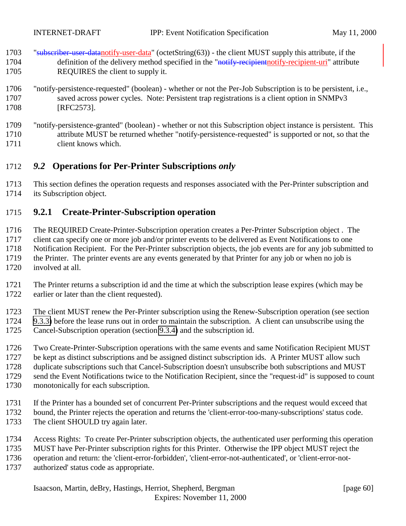- <span id="page-59-0"></span>1703 "subscriber-user-datanotify-user-data" (octetString(63)) - the client MUST supply this attribute, if the 1704 definition of the delivery method specified in the "notify-recipient-notify-recipient-uri" attribute REQUIRES the client to supply it.
- "notify-persistence-requested" (boolean) whether or not the Per-Job Subscription is to be persistent, i.e., saved across power cycles. Note: Persistent trap registrations is a client option in SNMPv3 [RFC2573].
- "notify-persistence-granted" (boolean) whether or not this Subscription object instance is persistent. This attribute MUST be returned whether "notify-persistence-requested" is supported or not, so that the client knows which.

### *9.2* **Operations for Per-Printer Subscriptions** *only*

 This section defines the operation requests and responses associated with the Per-Printer subscription and its Subscription object.

### **9.2.1 Create-Printer-Subscription operation**

 The REQUIRED Create-Printer-Subscription operation creates a Per-Printer Subscription object . The client can specify one or more job and/or printer events to be delivered as Event Notifications to one Notification Recipient. For the Per-Printer subscription objects, the job events are for any job submitted to the Printer. The printer events are any events generated by that Printer for any job or when no job is involved at all.

 The Printer returns a subscription id and the time at which the subscription lease expires (which may be earlier or later than the client requested).

 The client MUST renew the Per-Printer subscription using the Renew-Subscription operation (see section [9.3.3\)](#page-65-0) before the lease runs out in order to maintain the subscription. A client can unsubscribe using the Cancel-Subscription operation (section [9.3.4\)](#page-67-0) and the subscription id.

- Two Create-Printer-Subscription operations with the same events and same Notification Recipient MUST be kept as distinct subscriptions and be assigned distinct subscription ids. A Printer MUST allow such duplicate subscriptions such that Cancel-Subscription doesn't unsubscribe both subscriptions and MUST send the Event Notifications twice to the Notification Recipient, since the "request-id" is supposed to count monotonically for each subscription.
- If the Printer has a bounded set of concurrent Per-Printer subscriptions and the request would exceed that bound, the Printer rejects the operation and returns the 'client-error-too-many-subscriptions' status code.
- 1733 The client SHOULD try again later.
- Access Rights: To create Per-Printer subscription objects, the authenticated user performing this operation
- MUST have Per-Printer subscription rights for this Printer. Otherwise the IPP object MUST reject the
- operation and return: the 'client-error-forbidden', 'client-error-not-authenticated', or 'client-error-not-
- authorized' status code as appropriate.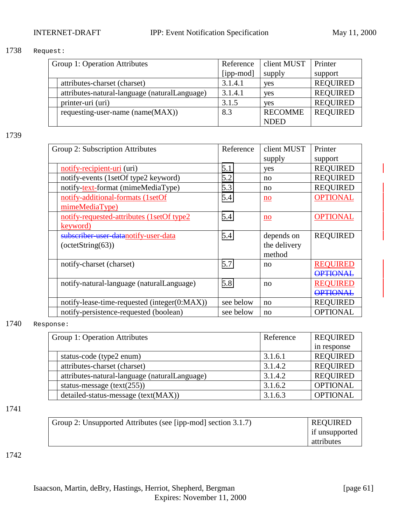#### 1738 Request:

| Group 1: Operation Attributes |                                               | Reference | client MUST    | Printer         |
|-------------------------------|-----------------------------------------------|-----------|----------------|-----------------|
|                               |                                               | [ipp-mod] | supply         | support         |
|                               | attributes-charset (charset)                  | 3.1.4.1   | yes            | <b>REQUIRED</b> |
|                               | attributes-natural-language (naturalLanguage) | 3.1.4.1   | yes            | <b>REQUIRED</b> |
|                               | printer-uri (uri)                             | 3.1.5     | <b>ves</b>     | <b>REQUIRED</b> |
|                               | requesting-user-name (name(MAX))              | 8.3       | <b>RECOMME</b> | <b>REQUIRED</b> |
|                               |                                               |           | <b>NDED</b>    |                 |

1739

|           |              | Printer         |
|-----------|--------------|-----------------|
|           | supply       | support         |
| 5.1       | yes          | <b>REQUIRED</b> |
| 5.2       | no           | <b>REQUIRED</b> |
| 5.3       | no           | <b>REQUIRED</b> |
| 5.4       | $\mathbf{n}$ | <b>OPTIONAL</b> |
|           |              |                 |
| 5.4       | no           | <b>OPTIONAL</b> |
|           |              |                 |
| 5.4       | depends on   | <b>REQUIRED</b> |
|           | the delivery |                 |
|           | method       |                 |
| 5.7       | no           | <b>REOUIRED</b> |
|           |              | <b>OPTIONAL</b> |
| 5.8       | no           | <b>REQUIRED</b> |
|           |              | <b>OPTIONAL</b> |
| see below | no           | <b>REQUIRED</b> |
| see below | no           | <b>OPTIONAL</b> |
|           | Reference    | client MUST     |

#### 1740 Response:

| Group 1: Operation Attributes                 | Reference | <b>REQUIRED</b> |
|-----------------------------------------------|-----------|-----------------|
|                                               |           | in response     |
| status-code (type2 enum)                      | 3.1.6.1   | <b>REQUIRED</b> |
| attributes-charset (charset)                  | 3.1.4.2   | <b>REQUIRED</b> |
| attributes-natural-language (naturalLanguage) | 3.1.4.2   | <b>REQUIRED</b> |
| status-message $(text(255))$                  | 3.1.6.2   | <b>OPTIONAL</b> |
| detailed-status-message (text(MAX))           | 3.1.6.3   | <b>OPTIONAL</b> |

#### 1741

| Group 2: Unsupported Attributes (see [ipp-mod] section 3.1.7) | <b>REQUIRED</b> |
|---------------------------------------------------------------|-----------------|
|                                                               | if unsupported  |
|                                                               | attributes      |

1742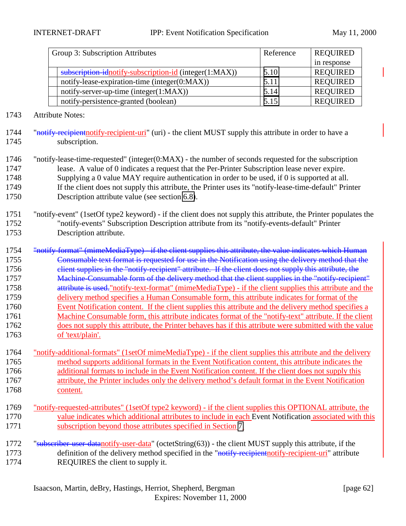| Group 3: Subscription Attributes                       | Reference | <b>REQUIRED</b> |
|--------------------------------------------------------|-----------|-----------------|
|                                                        |           | in response     |
| subscription idnotify-subscription-id (integer(1:MAX)) | 5.10      | <b>REQUIRED</b> |
| notify-lease-expiration-time (integer(0:MAX))          | 5.11      | <b>REQUIRED</b> |
| notify-server-up-time (integer(1:MAX))                 | 5.14      | <b>REQUIRED</b> |
| notify-persistence-granted (boolean)                   | 5.15      | <b>REQUIRED</b> |

- Attribute Notes:
- 1744 "notify-recipient notify-recipient-uri" (uri) the client MUST supply this attribute in order to have a subscription.
- "notify-lease-time-requested" (integer(0:MAX) the number of seconds requested for the subscription lease. A value of 0 indicates a request that the Per-Printer Subscription lease never expire. Supplying a 0 value MAY require authentication in order to be used, if 0 is supported at all. If the client does not supply this attribute, the Printer uses its "notify-lease-time-default" Printer Description attribute value (see section [6.8\)](#page-40-0).
- "notify-event" (1setOf type2 keyword) if the client does not supply this attribute, the Printer populates the "notify-events" Subscription Description attribute from its "notify-events-default" Printer Description attribute.

 "notify-format" (mimeMediaType) - if the client supplies this attribute, the value indicates which Human Consumable text format is requested for use in the Notification using the delivery method that the 1756 client supplies in the "notify-recipient" attribute. If the client does not supply this attribute, the Machine-Consumable form of the delivery method that the client supplies in the "notify-recipient" 1758 attribute is used."notify-text-format" (mimeMediaType) - if the client supplies this attribute and the delivery method specifies a Human Consumable form, this attribute indicates for format of the Event Notification content. If the client supplies this attribute and the delivery method specifies a 1761 Machine Consumable form, this attribute indicates format of the "notify-text" attribute. If the client does not supply this attribute, the Printer behaves has if this attribute were submitted with the value of 'text/plain'.

- "notify-additional-formats" (1setOf mimeMediaType) if the client supplies this attribute and the delivery method supports additional formats in the Event Notification content, this attribute indicates the additional formats to include in the Event Notification content. If the client does not supply this attribute, the Printer includes only the delivery method's default format in the Event Notification content.
- "notify-requested-attributes" (1setOf type2 keyword) if the client supplies this OPTIONAL attribute, the value indicates which additional attributes to include in each Event Notification associated with this subscription beyond those attributes specified in Section [7.](#page-41-0)
- 1772 "subscriber-user-datanotify-user-data" (octetString(63)) the client MUST supply this attribute, if the 1773 definition of the delivery method specified in the "notify-recipient-notify-recipient-uri" attribute REQUIRES the client to supply it.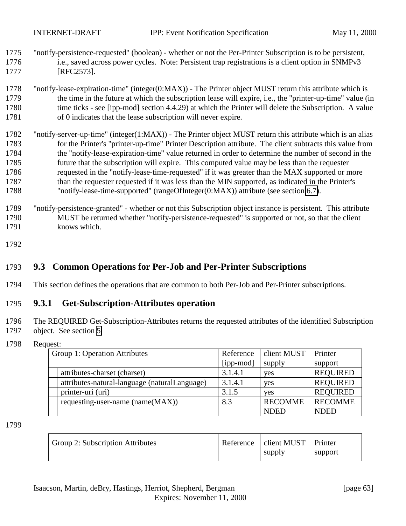- <span id="page-62-0"></span>1775 "notify-persistence-requested" (boolean) - whether or not the Per-Printer Subscription is to be persistent, 1776 i.e., saved across power cycles. Note: Persistent trap registrations is a client option in SNMPv3 1777 [RFC2573].
- 1778 "notify-lease-expiration-time" (integer(0:MAX)) The Printer object MUST return this attribute which is 1779 the time in the future at which the subscription lease will expire, i.e., the "printer-up-time" value (in 1780 time ticks - see [ipp-mod] section 4.4.29) at which the Printer will delete the Subscription. A value 1781 of 0 indicates that the lease subscription will never expire.
- 1782 "notify-server-up-time" (integer(1:MAX)) The Printer object MUST return this attribute which is an alias 1783 for the Printer's "printer-up-time" Printer Description attribute. The client subtracts this value from 1784 the "notify-lease-expiration-time" value returned in order to determine the number of second in the 1785 future that the subscription will expire. This computed value may be less than the requester 1786 requested in the "notify-lease-time-requested" if it was greater than the MAX supported or more 1787 than the requester requested if it was less than the MIN supported, as indicated in the Printer's 1788 "notify-lease-time-supported" (rangeOfInteger(0:MAX)) attribute (see section [6.7\)](#page-40-0).
- 1789 "notify-persistence-granted" whether or not this Subscription object instance is persistent. This attribute 1790 MUST be returned whether "notify-persistence-requested" is supported or not, so that the client 1791 knows which.
- 1792

### 1793 **9.3 Common Operations for Per-Job and Per-Printer Subscriptions**

1794 This section defines the operations that are common to both Per-Job and Per-Printer subscriptions.

### 1795 **9.3.1 Get-Subscription-Attributes operation**

- 1796 The REQUIRED Get-Subscription-Attributes returns the requested attributes of the identified Subscription 1797 object. See section [5.](#page-20-0)
- 1798 Request:

| Group 1: Operation Attributes                 | Reference | client MUST    | Printer         |
|-----------------------------------------------|-----------|----------------|-----------------|
|                                               | [ipp-mod] | supply         | support         |
| attributes-charset (charset)                  | 3.1.4.1   | yes            | <b>REQUIRED</b> |
| attributes-natural-language (naturalLanguage) | 3.1.4.1   | yes            | <b>REQUIRED</b> |
| printer-uri (uri)                             | 3.1.5     | <b>ves</b>     | <b>REQUIRED</b> |
| requesting-user-name (name(MAX))              | 8.3       | <b>RECOMME</b> | <b>RECOMME</b>  |
|                                               |           | <b>NDED</b>    | <b>NDED</b>     |

1799

| Group 2: Subscription Attributes | Reference   client MUST   Printer |         |
|----------------------------------|-----------------------------------|---------|
|                                  | supply                            | support |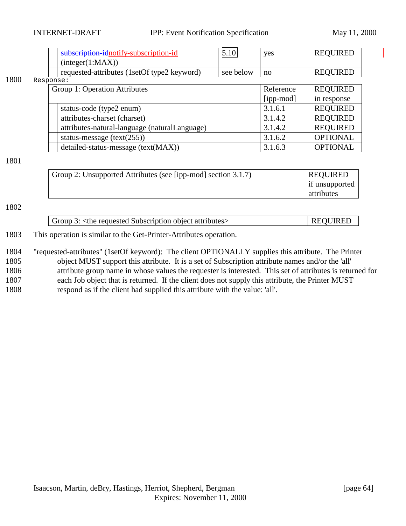|      | subscription-idnotify-subscription-id         | 5.10      | yes       | <b>REQUIRED</b> |
|------|-----------------------------------------------|-----------|-----------|-----------------|
|      | interger(1:MAX))                              |           |           |                 |
|      | requested-attributes (1setOf type2 keyword)   | see below | no        | <b>REQUIRED</b> |
| 1800 | Response:                                     |           |           |                 |
|      | Group 1: Operation Attributes                 |           | Reference | <b>REQUIRED</b> |
|      |                                               |           | [ipp-mod] | in response     |
|      | status-code (type2 enum)                      |           | 3.1.6.1   | <b>REQUIRED</b> |
|      | attributes-charset (charset)                  |           | 3.1.4.2   | <b>REQUIRED</b> |
|      | attributes-natural-language (naturalLanguage) |           | 3.1.4.2   | <b>REQUIRED</b> |
|      | status-message $(text(255))$                  |           | 3.1.6.2   | <b>OPTIONAL</b> |
|      | detailed-status-message (text(MAX))           |           | 3.1.6.3   | <b>OPTIONAL</b> |
| 1801 |                                               |           |           |                 |

#### 1801

| Group 2: Unsupported Attributes (see [ipp-mod] section 3.1.7) | <b>REQUIRED</b> |
|---------------------------------------------------------------|-----------------|
|                                                               | if unsupported  |
|                                                               | attributes      |

#### 1802

| <b>REOUIRED</b><br>Group 3: <the attributes="" object="" requested="" subscription=""></the> |  |
|----------------------------------------------------------------------------------------------|--|
|----------------------------------------------------------------------------------------------|--|

#### 1803 This operation is similar to the Get-Printer-Attributes operation.

 "requested-attributes" (1setOf keyword): The client OPTIONALLY supplies this attribute. The Printer object MUST support this attribute. It is a set of Subscription attribute names and/or the 'all' attribute group name in whose values the requester is interested. This set of attributes is returned for each Job object that is returned. If the client does not supply this attribute, the Printer MUST respond as if the client had supplied this attribute with the value: 'all'.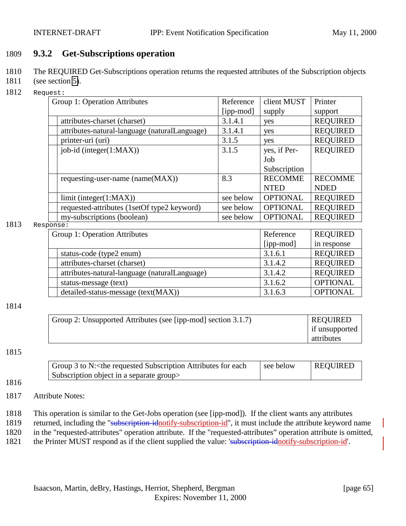### <span id="page-64-0"></span>1809 **9.3.2 Get-Subscriptions operation**

- 1810 The REQUIRED Get-Subscriptions operation returns the requested attributes of the Subscription objects
- 1811 (see section [5\)](#page-20-0).
- 1812 Request:

| Group 1: Operation Attributes |                                               | Reference | client MUST     | Printer         |
|-------------------------------|-----------------------------------------------|-----------|-----------------|-----------------|
|                               |                                               | [ipp-mod] | supply          | support         |
|                               | attributes-charset (charset)                  | 3.1.4.1   | yes             | <b>REQUIRED</b> |
|                               | attributes-natural-language (naturalLanguage) | 3.1.4.1   | yes             | <b>REQUIRED</b> |
|                               | printer-uri (uri)                             | 3.1.5     | yes             | <b>REQUIRED</b> |
|                               | $job-id$ (integer $(1:MAX)$ )                 | 3.1.5     | yes, if Per-    | <b>REQUIRED</b> |
|                               |                                               |           | Job             |                 |
|                               |                                               |           | Subscription    |                 |
|                               | requesting-user-name (name(MAX))              | 8.3       | <b>RECOMME</b>  | <b>RECOMME</b>  |
|                               |                                               |           | <b>NTED</b>     | <b>NDED</b>     |
|                               | limit (integer(1:MAX))                        | see below | <b>OPTIONAL</b> | <b>REQUIRED</b> |
|                               | requested-attributes (1setOf type2 keyword)   | see below | <b>OPTIONAL</b> | <b>REQUIRED</b> |
|                               | my-subscriptions (boolean)                    | see below | <b>OPTIONAL</b> | <b>REQUIRED</b> |

#### 1813 Response:

|                               | $\cup$ . $\cup$ .                             |           |                 |  |  |
|-------------------------------|-----------------------------------------------|-----------|-----------------|--|--|
| Group 1: Operation Attributes |                                               | Reference | <b>REQUIRED</b> |  |  |
|                               |                                               | [ipp-mod] | in response     |  |  |
|                               | status-code (type2 enum)                      | 3.1.6.1   | <b>REQUIRED</b> |  |  |
|                               | attributes-charset (charset)                  | 3.1.4.2   | <b>REQUIRED</b> |  |  |
|                               | attributes-natural-language (naturalLanguage) | 3.1.4.2   | <b>REQUIRED</b> |  |  |
|                               | status-message (text)                         | 3.1.6.2   | <b>OPTIONAL</b> |  |  |
|                               | detailed-status-message (text(MAX))           | 3.1.6.3   | <b>OPTIONAL</b> |  |  |

1814

| Group 2: Unsupported Attributes (see [ipp-mod] section 3.1.7) | <b>REQUIRED</b> |
|---------------------------------------------------------------|-----------------|
|                                                               | if unsupported  |
|                                                               | attributes      |

#### 1815

1816

| Group 3 to N: < the requested Subscription Attributes for each | see below | <b>REQUIRED</b> |
|----------------------------------------------------------------|-----------|-----------------|
| Subscription object in a separate group                        |           |                 |

#### 1817 Attribute Notes:

1818 This operation is similar to the Get-Jobs operation (see [ipp-mod]). If the client wants any attributes

1819 returned, including the "subscription-idnotify-subscription-id", it must include the attribute keyword name

1820 in the "requested-attributes" operation attribute. If the "requested-attributes" operation attribute is omitted,

1821 the Printer MUST respond as if the client supplied the value: 'subscription-idnotify-subscription-id'.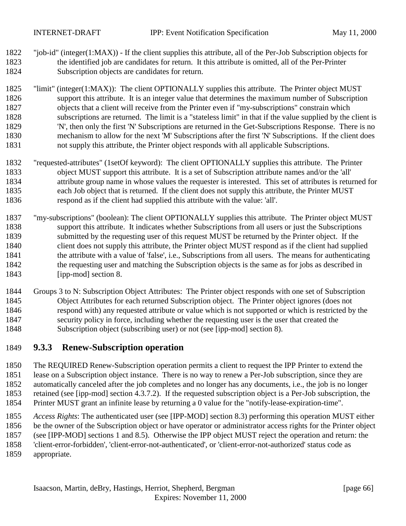<span id="page-65-0"></span> "job-id" (integer(1:MAX)) - If the client supplies this attribute, all of the Per-Job Subscription objects for the identified job are candidates for return. It this attribute is omitted, all of the Per-Printer Subscription objects are candidates for return.

 "limit" (integer(1:MAX)): The client OPTIONALLY supplies this attribute. The Printer object MUST support this attribute. It is an integer value that determines the maximum number of Subscription objects that a client will receive from the Printer even if "my-subscriptions" constrain which subscriptions are returned. The limit is a "stateless limit" in that if the value supplied by the client is 'N', then only the first 'N' Subscriptions are returned in the Get-Subscriptions Response. There is no mechanism to allow for the next 'M' Subscriptions after the first 'N' Subscriptions. If the client does not supply this attribute, the Printer object responds with all applicable Subscriptions.

- "requested-attributes" (1setOf keyword): The client OPTIONALLY supplies this attribute. The Printer object MUST support this attribute. It is a set of Subscription attribute names and/or the 'all' attribute group name in whose values the requester is interested. This set of attributes is returned for each Job object that is returned. If the client does not supply this attribute, the Printer MUST respond as if the client had supplied this attribute with the value: 'all'.
- "my-subscriptions" (boolean): The client OPTIONALLY supplies this attribute. The Printer object MUST support this attribute. It indicates whether Subscriptions from all users or just the Subscriptions submitted by the requesting user of this request MUST be returned by the Printer object. If the client does not supply this attribute, the Printer object MUST respond as if the client had supplied the attribute with a value of 'false', i.e., Subscriptions from all users. The means for authenticating the requesting user and matching the Subscription objects is the same as for jobs as described in [ipp-mod] section 8.
- Groups 3 to N: Subscription Object Attributes: The Printer object responds with one set of Subscription Object Attributes for each returned Subscription object. The Printer object ignores (does not respond with) any requested attribute or value which is not supported or which is restricted by the security policy in force, including whether the requesting user is the user that created the Subscription object (subscribing user) or not (see [ipp-mod] section 8).

### **9.3.3 Renew-Subscription operation**

 The REQUIRED Renew-Subscription operation permits a client to request the IPP Printer to extend the lease on a Subscription object instance. There is no way to renew a Per-Job subscription, since they are automatically canceled after the job completes and no longer has any documents, i.e., the job is no longer retained (see [ipp-mod] section 4.3.7.2). If the requested subscription object is a Per-Job subscription, the Printer MUST grant an infinite lease by returning a 0 value for the "notify-lease-expiration-time".

- *Access Rights*: The authenticated user (see [IPP-MOD] section 8.3) performing this operation MUST either be the owner of the Subscription object or have operator or administrator access rights for the Printer object (see [IPP-MOD] sections 1 and 8.5). Otherwise the IPP object MUST reject the operation and return: the
- 'client-error-forbidden', 'client-error-not-authenticated', or 'client-error-not-authorized' status code as
- appropriate.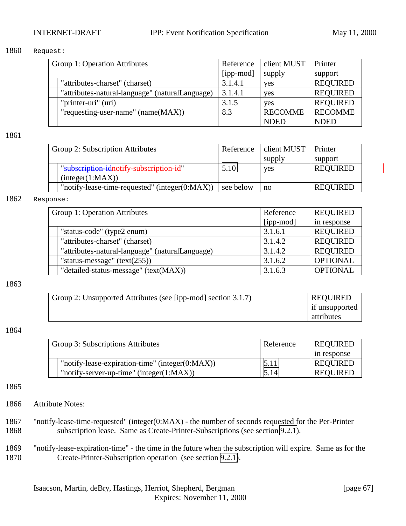#### 1860 Request:

| Group 1: Operation Attributes                   | Reference | client MUST    | Printer         |
|-------------------------------------------------|-----------|----------------|-----------------|
|                                                 | [ipp-mod] | supply         | support         |
| "attributes-charset" (charset)                  | 3.1.4.1   | yes            | <b>REQUIRED</b> |
| "attributes-natural-language" (naturalLanguage) | 3.1.4.1   | yes            | <b>REQUIRED</b> |
| "printer-uri" (uri)                             | 3.1.5     | <b>ves</b>     | <b>REQUIRED</b> |
| "requesting-user-name" (name(MAX))              | 8.3       | <b>RECOMME</b> | <b>RECOMME</b>  |
|                                                 |           | <b>NDED</b>    | <b>NDED</b>     |

1861

| Group 2: Subscription Attributes |                                                    | Reference | client MUST | Printer         |
|----------------------------------|----------------------------------------------------|-----------|-------------|-----------------|
|                                  |                                                    |           | supply      | support         |
|                                  | "subscription-idnotify-subscription-id"            | 5.10      | yes         | <b>REQUIRED</b> |
|                                  | interger(1:MAX)                                    |           |             |                 |
|                                  | "notify-lease-time-requested" (integer $(0:MAX)$ ) | see below | no          | <b>REOUIRED</b> |

#### 1862 Response:

| Group 1: Operation Attributes                   | Reference | <b>REQUIRED</b> |
|-------------------------------------------------|-----------|-----------------|
|                                                 | [ipp-mod] | in response     |
| "status-code" (type2 enum)                      | 3.1.6.1   | <b>REQUIRED</b> |
| "attributes-charset" (charset)                  | 3.1.4.2   | <b>REQUIRED</b> |
| "attributes-natural-language" (naturalLanguage) | 3.1.4.2   | <b>REQUIRED</b> |
| "status-message" $(text(255))$                  | 3.1.6.2   | <b>OPTIONAL</b> |
| "detailed-status-message" (text(MAX))           | 3.1.6.3   | <b>OPTIONAL</b> |

#### 1863

| Group 2: Unsupported Attributes (see [ipp-mod] section 3.1.7) | <b>REQUIRED</b> |
|---------------------------------------------------------------|-----------------|
|                                                               | if unsupported  |
|                                                               | attributes      |

#### 1864

| Group 3: Subscriptions Attributes |                                                     | Reference | <b>REQUIRED</b> |
|-----------------------------------|-----------------------------------------------------|-----------|-----------------|
|                                   |                                                     |           | in response     |
|                                   | "notify-lease-expiration-time" (integer $(0:MAX)$ ) | 5.11      | <b>REQUIRED</b> |
|                                   | "notify-server-up-time" (integer $(1:MAX)$ )        | 5.14      | <b>REQUIRED</b> |

#### 1865

- 1866 Attribute Notes:
- 1867 "notify-lease-time-requested" (integer(0:MAX) the number of seconds requested for the Per-Printer 1868 subscription lease. Same as Create-Printer-Subscriptions (see section [9.2.1\)](#page-59-0).
- 1869 "notify-lease-expiration-time" the time in the future when the subscription will expire. Same as for the 1870 Create-Printer-Subscription operation (see section [9.2.1\)](#page-59-0).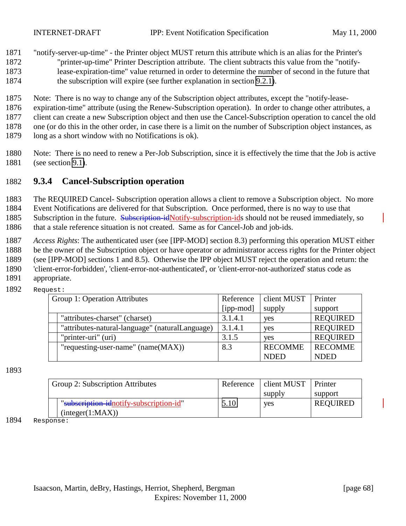#### <span id="page-67-0"></span>1871 "notify-server-up-time" - the Printer object MUST return this attribute which is an alias for the Printer's

- 1872 "printer-up-time" Printer Description attribute. The client subtracts this value from the "notify-1873 lease-expiration-time" value returned in order to determine the number of second in the future that
- 1874 the subscription will expire (see further explanation in section [9.2.1\)](#page-59-0).
- 1875 Note: There is no way to change any of the Subscription object attributes, except the "notify-lease-
- 1876 expiration-time" attribute (using the Renew-Subscription operation). In order to change other attributes, a
- 1877 client can create a new Subscription object and then use the Cancel-Subscription operation to cancel the old
- 1878 one (or do this in the other order, in case there is a limit on the number of Subscription object instances, as
- 1879 long as a short window with no Notifications is ok).
- 1880 Note: There is no need to renew a Per-Job Subscription, since it is effectively the time that the Job is active 1881 (see section [9.1\)](#page-52-0).

# 1882 **9.3.4 Cancel-Subscription operation**

1883 The REQUIRED Cancel- Subscription operation allows a client to remove a Subscription object. No more

1884 Event Notifications are delivered for that Subscription. Once performed, there is no way to use that

- 1885 Subscription in the future. Subscription-idNotify-subscription-ids should not be reused immediately, so 1886 that a stale reference situation is not created. Same as for Cancel-Job and job-ids.
- 
- 1887 *Access Rights*: The authenticated user (see [IPP-MOD] section 8.3) performing this operation MUST either
- 1888 be the owner of the Subscription object or have operator or administrator access rights for the Printer object
- 1889 (see [IPP-MOD] sections 1 and 8.5). Otherwise the IPP object MUST reject the operation and return: the
- 1890 'client-error-forbidden', 'client-error-not-authenticated', or 'client-error-not-authorized' status code as
- 1891 appropriate. 1892 Request:

| Group 1: Operation Attributes                   | Reference | client MUST    | Printer         |
|-------------------------------------------------|-----------|----------------|-----------------|
|                                                 | [ipp-mod] | supply         | support         |
| "attributes-charset" (charset)                  | 3.1.4.1   | yes            | <b>REQUIRED</b> |
| "attributes-natural-language" (naturalLanguage) | 3.1.4.1   | yes            | <b>REQUIRED</b> |
| "printer-uri" (uri)                             | 3.1.5     | yes            | <b>REQUIRED</b> |
| "requesting-user-name" (name(MAX))              | 8.3       | <b>RECOMME</b> | <b>RECOMME</b>  |
|                                                 |           | <b>NDED</b>    | <b>NDED</b>     |

#### 1893

| Group 2: Subscription Attributes        | Reference | client MUST | Printer         |
|-----------------------------------------|-----------|-------------|-----------------|
|                                         |           | supply      | support         |
| "subscription-idnotify-subscription-id" | 5.10      | <b>ves</b>  | <b>REQUIRED</b> |
| (integer(1:MAX))                        |           |             |                 |

1894 Response: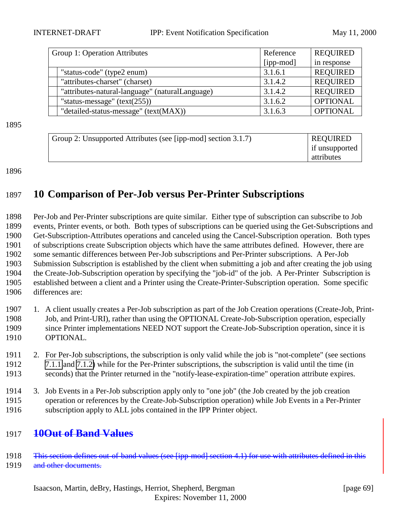| Group 1: Operation Attributes                   | Reference | <b>REQUIRED</b> |
|-------------------------------------------------|-----------|-----------------|
|                                                 | [ipp-mod] | in response     |
| "status-code" (type2 enum)                      | 3.1.6.1   | <b>REQUIRED</b> |
| "attributes-charset" (charset)                  | 3.1.4.2   | <b>REQUIRED</b> |
| "attributes-natural-language" (naturalLanguage) | 3.1.4.2   | <b>REQUIRED</b> |
| "status-message" $(text(255))$                  | 3.1.6.2   | <b>OPTIONAL</b> |
| "detailed-status-message" (text(MAX))           | 3.1.6.3   | <b>OPTIONAL</b> |

1895

| Group 2: Unsupported Attributes (see [ipp-mod] section 3.1.7) | <b>REQUIRED</b> |
|---------------------------------------------------------------|-----------------|
|                                                               | if unsupported  |
|                                                               | attributes      |

#### 1896

# 1897 **10 Comparison of Per-Job versus Per-Printer Subscriptions**

 Per-Job and Per-Printer subscriptions are quite similar. Either type of subscription can subscribe to Job events, Printer events, or both. Both types of subscriptions can be queried using the Get-Subscriptions and Get-Subscription-Attributes operations and canceled using the Cancel-Subscription operation. Both types of subscriptions create Subscription objects which have the same attributes defined. However, there are some semantic differences between Per-Job subscriptions and Per-Printer subscriptions. A Per-Job Submission Subscription is established by the client when submitting a job and after creating the job using the Create-Job-Subscription operation by specifying the "job-id" of the job. A Per-Printer Subscription is established between a client and a Printer using the Create-Printer-Subscription operation. Some specific differences are:

- 1907 1. A client usually creates a Per-Job subscription as part of the Job Creation operations (Create-Job, Print-1908 Job, and Print-URI), rather than using the OPTIONAL Create-Job-Subscription operation, especially 1909 since Printer implementations NEED NOT support the Create-Job-Subscription operation, since it is 1910 OPTIONAL.
- 1911 2. For Per-Job subscriptions, the subscription is only valid while the job is "not-complete" (see sections 1912 [7.1.1](#page-44-0) and [7.1.2\)](#page-46-0) while for the Per-Printer subscriptions, the subscription is valid until the time (in 1913 seconds) that the Printer returned in the "notify-lease-expiration-time" operation attribute expires.
- 1914 3. Job Events in a Per-Job subscription apply only to "one job" (the Job created by the job creation 1915 operation or references by the Create-Job-Subscription operation) while Job Events in a Per-Printer 1916 subscription apply to ALL jobs contained in the IPP Printer object.

### 1917 **10Out of Band Values**

- 1918 This section defines out-of-band values (see [ipp-mod] section 4.1) for use with attributes defined in this
- 1919 and other documents.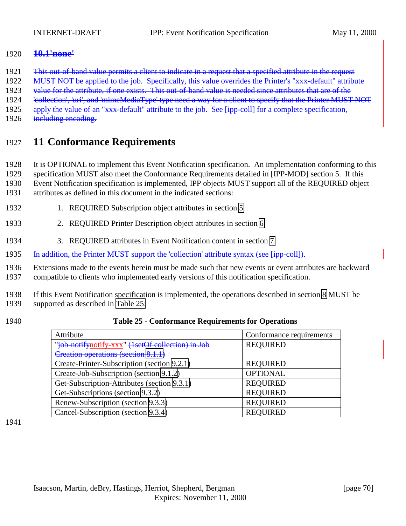### <span id="page-69-0"></span>1920 **10.1'none'**

- 1921 This out-of-band value permits a client to indicate in a request that a specified attribute in the request
- 1922 MUST NOT be applied to the job. Specifically, this value overrides the Printer's "xxx-default" attribute
- 1923 value for the attribute, if one exists. This out-of-band value is needed since attributes that are of the
- 1924 'eollection', 'uri', and 'mimeMediaType' type need a way for a client to specify that the Printer MUST NOT
- 1925 apply the value of an "xxx-default" attribute to the job. See [ipp-coll] for a complete specification,
- 1926 including encoding.

# 1927 **11 Conformance Requirements**

- 1928 It is OPTIONAL to implement this Event Notification specification. An implementation conforming to this
- 1929 specification MUST also meet the Conformance Requirements detailed in [IPP-MOD] section 5. If this
- 1930 Event Notification specification is implemented, IPP objects MUST support all of the REQUIRED object
- 1931 attributes as defined in this document in the indicated sections:
- 1932 1. REQUIRED Subscription object attributes in section [5.](#page-20-0)
- 1933 2. REQUIRED Printer Description object attributes in section [6.](#page-36-0)
- 1934 3. REQUIRED attributes in Event Notification content in section [7.](#page-41-0)
- 1935 In addition, the Printer MUST support the 'collection' attribute syntax (see [ipp-coll]).
- 1936 Extensions made to the events herein must be made such that new events or event attributes are backward 1937 compatible to clients who implemented early versions of this notification specification.
- 1938 If this Event Notification specification is implemented, the operations described in section [8](#page-52-0) MUST be 1939 supported as described in Table 25:
- 
- 1940 **Table 25 Conformance Requirements for Operations**

| Attribute                                         | Conformance requirements |
|---------------------------------------------------|--------------------------|
| "job-notifynotify-xxx" (1setOf collection) in Job | <b>REQUIRED</b>          |
| Creation operations (section 8.1.1)               |                          |
| Create-Printer-Subscription (section 9.2.1)       | <b>REQUIRED</b>          |
| Create-Job-Subscription (section 9.1.2)           | <b>OPTIONAL</b>          |
| Get-Subscription-Attributes (section 9.3.1)       | <b>REQUIRED</b>          |
| Get-Subscriptions (section 9.3.2)                 | <b>REQUIRED</b>          |
| Renew-Subscription (section 9.3.3)                | <b>REQUIRED</b>          |
| Cancel-Subscription (section 9.3.4)               | <b>REOUIRED</b>          |

1941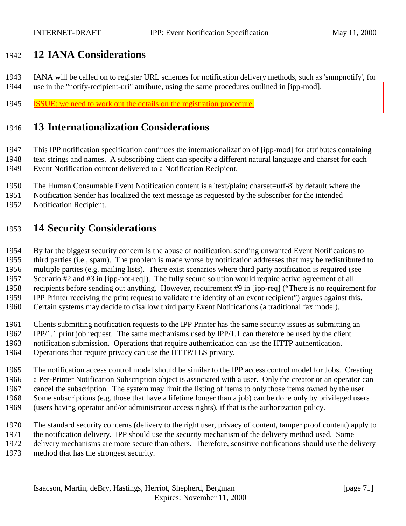# **12 IANA Considerations**

 IANA will be called on to register URL schemes for notification delivery methods, such as 'snmpnotify', for use in the "notify-recipient-uri" attribute, using the same procedures outlined in [ipp-mod].

ISSUE: we need to work out the details on the registration procedure.

# **13 Internationalization Considerations**

 This IPP notification specification continues the internationalization of [ipp-mod] for attributes containing text strings and names. A subscribing client can specify a different natural language and charset for each Event Notification content delivered to a Notification Recipient.

- The Human Consumable Event Notification content is a 'text/plain; charset=utf-8' by default where the
- Notification Sender has localized the text message as requested by the subscriber for the intended
- Notification Recipient.

# **14 Security Considerations**

 By far the biggest security concern is the abuse of notification: sending unwanted Event Notifications to third parties (i.e., spam). The problem is made worse by notification addresses that may be redistributed to multiple parties (e.g. mailing lists). There exist scenarios where third party notification is required (see Scenario #2 and #3 in [ipp-not-req]). The fully secure solution would require active agreement of all recipients before sending out anything. However, requirement #9 in [ipp-req] ("There is no requirement for IPP Printer receiving the print request to validate the identity of an event recipient") argues against this.

- Certain systems may decide to disallow third party Event Notifications (a traditional fax model).
- Clients submitting notification requests to the IPP Printer has the same security issues as submitting an
- IPP/1.1 print job request. The same mechanisms used by IPP/1.1 can therefore be used by the client
- notification submission. Operations that require authentication can use the HTTP authentication.
- Operations that require privacy can use the HTTP/TLS privacy.

 The notification access control model should be similar to the IPP access control model for Jobs. Creating a Per-Printer Notification Subscription object is associated with a user. Only the creator or an operator can cancel the subscription. The system may limit the listing of items to only those items owned by the user. Some subscriptions (e.g. those that have a lifetime longer than a job) can be done only by privileged users (users having operator and/or administrator access rights), if that is the authorization policy.

- The standard security concerns (delivery to the right user, privacy of content, tamper proof content) apply to
- the notification delivery. IPP should use the security mechanism of the delivery method used. Some
- delivery mechanisms are more secure than others. Therefore, sensitive notifications should use the delivery
- method that has the strongest security.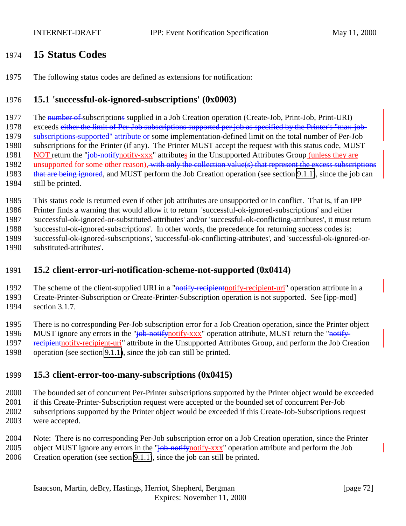# <span id="page-71-0"></span>**15 Status Codes**

The following status codes are defined as extensions for notification:

### **15.1 'successful-ok-ignored-subscriptions' (0x0003)**

1977 The number of subscriptions supplied in a Job Creation operation (Create-Job, Print-Job, Print-URI)

1978 exceeds either the limit of Per-Job subscriptions supported per job as specified by the Printer's "max-job-

1979 subscriptions-supported" attribute or some implementation-defined limit on the total number of Per-Job

 subscriptions for the Printer (if any). The Printer MUST accept the request with this status code, MUST 1981 NOT return the "job-notify-notify-xxx" attributes in the Unsupported Attributes Group (unless they are

1982 unsupported for some other reason), with only the collection value(s) that represent the excess subscriptions

- 1983 that are being ignored, and MUST perform the Job Creation operation (see section [9.1.1\)](#page-52-0), since the job can
- still be printed.

This status code is returned even if other job attributes are unsupported or in conflict. That is, if an IPP

Printer finds a warning that would allow it to return 'successful-ok-ignored-subscriptions' and either

'successful-ok-ignored-or-substituted-attributes' and/or 'successful-ok-conflicting-attributes', it must return

'successful-ok-ignored-subscriptions'. In other words, the precedence for returning success codes is:

'successful-ok-ignored-subscriptions', 'successful-ok-conflicting-attributes', and 'successful-ok-ignored-or-

substituted-attributes'.

### **15.2 client-error-uri-notification-scheme-not-supported (0x0414)**

1992 The scheme of the client-supplied URI in a "notify-recipient notify-recipient-uri" operation attribute in a Create-Printer-Subscription or Create-Printer-Subscription operation is not supported. See [ipp-mod] section 3.1.7.

 There is no corresponding Per-Job subscription error for a Job Creation operation, since the Printer object 1996 MUST ignore any errors in the "job-notify-notify-xxx" operation attribute, MUST return the "notify-1997 recipient to this -recipient-uri<sup>"</sup> attribute in the Unsupported Attributes Group, and perform the Job Creation operation (see section [9.1.1\)](#page-52-0), since the job can still be printed.

# **15.3 client-error-too-many-subscriptions (0x0415)**

 The bounded set of concurrent Per-Printer subscriptions supported by the Printer object would be exceeded if this Create-Printer-Subscription request were accepted or the bounded set of concurrent Per-Job subscriptions supported by the Printer object would be exceeded if this Create-Job-Subscriptions request

were accepted.

Note: There is no corresponding Per-Job subscription error on a Job Creation operation, since the Printer

2005 object MUST ignore any errors in the "job-notify-xxx" operation attribute and perform the Job

Creation operation (see section [9.1.1\)](#page-52-0), since the job can still be printed.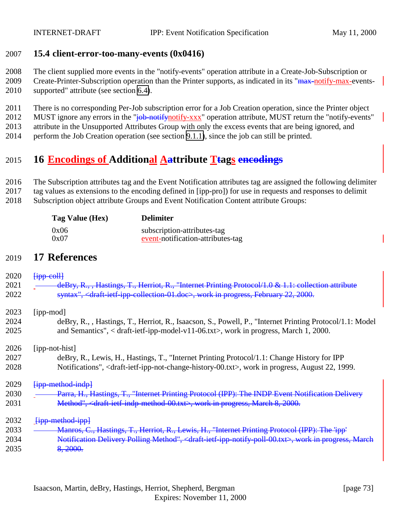#### 2007 **15.4 client-error-too-many-events (0x0416)**

2008 The client supplied more events in the "notify-events" operation attribute in a Create-Job-Subscription or

2009 Create-Printer-Subscription operation than the Printer supports, as indicated in its "max-notify-max-events-2010 supported" attribute (see section [6.4\)](#page-39-0).

2011 There is no corresponding Per-Job subscription error for a Job Creation operation, since the Printer object

2012 MUST ignore any errors in the "job-notify-notify-xxx" operation attribute, MUST return the "notify-events"

2013 attribute in the Unsupported Attributes Group with only the excess events that are being ignored, and

2014 perform the Job Creation operation (see section [9.1.1\)](#page-52-0), since the job can still be printed.

## 2015 **16 Encodings of Additional Aattribute Ttags encodings**

2016 The Subscription attributes tag and the Event Notification attributes tag are assigned the following delimiter

2017 tag values as extensions to the encoding defined in [ipp-pro]) for use in requests and responses to delimit

2018 Subscription object attribute Groups and Event Notification Content attribute Groups:

| Tag Value (Hex) | <b>Delimiter</b>                  |
|-----------------|-----------------------------------|
| 0x06            | subscription-attributes-tag       |
| 0x07            | event-notification-attributes-tag |

### 2019 **17 References**

| 2020 | $H$ <sub>ipp</sub> -coll                                                                                                                  |
|------|-------------------------------------------------------------------------------------------------------------------------------------------|
| 2021 | deBry, R., , Hastings, T., Herriot, R., "Internet Printing Protocol/1.0 & 1.1: collection attribute                                       |
| 2022 | syntax", <draft-ietf-ipp-collection-01.doc>, work in progress, February 22, 2000.</draft-ietf-ipp-collection-01.doc>                      |
| 2023 | [ipp-mod]                                                                                                                                 |
| 2024 | deBry, R., Hastings, T., Herriot, R., Isaacson, S., Powell, P., "Internet Printing Protocol/1.1: Model                                    |
| 2025 | and Semantics", $\langle$ draft-ietf-ipp-model-v11-06.txt $\rangle$ , work in progress, March 1, 2000.                                    |
| 2026 | [ipp-not-hist]                                                                                                                            |
| 2027 | deBry, R., Lewis, H., Hastings, T., "Internet Printing Protocol/1.1: Change History for IPP                                               |
| 2028 | Notifications", <draft-ietf-ipp-not-change-history-00.txt>, work in progress, August 22, 1999.</draft-ietf-ipp-not-change-history-00.txt> |
| 2029 | <del>[ipp-method-indp]</del>                                                                                                              |
| 2030 | Parra, H., Hastings, T., "Internet Printing Protocol (IPP): The INDP Event Notification Delivery                                          |
| 2031 | Method", <draft-ietf-indp-method-00.txt>, work in progress, March 8, 2000.</draft-ietf-indp-method-00.txt>                                |
| 2032 | <b>Hipp-method-ippl</b>                                                                                                                   |
| 2033 | <b>Manros, C., Hastings, T., Herriot, R., Lewis, H., "Internet Printing Protocol (IPP): The 'ipp'</b>                                     |
| 2034 | Notification Delivery Polling Method", <draft-ietf-ipp-notify-poll-00.txt>, work in progress, March</draft-ietf-ipp-notify-poll-00.txt>   |
| 2035 | 8.2000.                                                                                                                                   |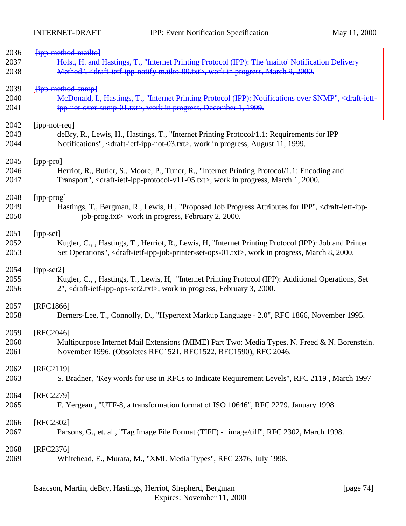| 2036 | <b>Fipp-method-mailtol</b>                                                                                                                 |
|------|--------------------------------------------------------------------------------------------------------------------------------------------|
| 2037 | Holst, H. and Hastings, T., "Internet Printing Protocol (IPP): The 'mailto' Notification Delivery                                          |
| 2038 | Method", <draft-ietf-ipp-notify-mailto-00.txt>, work in progress, March 9, 2000.</draft-ietf-ipp-notify-mailto-00.txt>                     |
| 2039 | <b>Fipp method snmpl</b>                                                                                                                   |
| 2040 | McDonald, I., Hastings, T., "Internet Printing Protocol (IPP): Notifications over SNMP", <draft-ietf-< td=""></draft-ietf-<>               |
| 2041 | ipp-not-over-snmp-01.txt>, work in progress, December 1, 1999.                                                                             |
| 2042 | [ipp-not-req]                                                                                                                              |
| 2043 | deBry, R., Lewis, H., Hastings, T., "Internet Printing Protocol/1.1: Requirements for IPP                                                  |
| 2044 | Notifications", <draft-ietf-ipp-not-03.txt>, work in progress, August 11, 1999.</draft-ietf-ipp-not-03.txt>                                |
| 2045 | [ipp-pro]                                                                                                                                  |
| 2046 | Herriot, R., Butler, S., Moore, P., Tuner, R., "Internet Printing Protocol/1.1: Encoding and                                               |
| 2047 | Transport", <draft-ietf-ipp-protocol-v11-05.txt>, work in progress, March 1, 2000.</draft-ietf-ipp-protocol-v11-05.txt>                    |
| 2048 | [ipp-prog]                                                                                                                                 |
| 2049 | Hastings, T., Bergman, R., Lewis, H., "Proposed Job Progress Attributes for IPP", <draft-ietf-ipp-< td=""></draft-ietf-ipp-<>              |
| 2050 | job-prog.txt> work in progress, February 2, 2000.                                                                                          |
| 2051 | [ipp-set]                                                                                                                                  |
| 2052 | Kugler, C., , Hastings, T., Herriot, R., Lewis, H. "Internet Printing Protocol (IPP): Job and Printer                                      |
| 2053 | Set Operations", <draft-ietf-ipp-job-printer-set-ops-01.txt>, work in progress, March 8, 2000.</draft-ietf-ipp-job-printer-set-ops-01.txt> |
| 2054 | $[ipp-set2]$                                                                                                                               |
| 2055 | Kugler, C., , Hastings, T., Lewis, H. "Internet Printing Protocol (IPP): Additional Operations, Set                                        |
| 2056 | 2", <draft-ietf-ipp-ops-set2.txt>, work in progress, February 3, 2000.</draft-ietf-ipp-ops-set2.txt>                                       |
| 2057 | [RFC1866]                                                                                                                                  |
| 2058 | Berners-Lee, T., Connolly, D., "Hypertext Markup Language - 2.0", RFC 1866, November 1995.                                                 |
| 2059 | [RFC2046]                                                                                                                                  |
| 2060 | Multipurpose Internet Mail Extensions (MIME) Part Two: Media Types. N. Freed & N. Borenstein.                                              |
| 2061 | November 1996. (Obsoletes RFC1521, RFC1522, RFC1590), RFC 2046.                                                                            |
| 2062 | [RFC2119]                                                                                                                                  |
| 2063 | S. Bradner, "Key words for use in RFCs to Indicate Requirement Levels", RFC 2119, March 1997                                               |
| 2064 | [RFC2279]                                                                                                                                  |
| 2065 | F. Yergeau, "UTF-8, a transformation format of ISO 10646", RFC 2279. January 1998.                                                         |
| 2066 | [RFC2302]                                                                                                                                  |
| 2067 | Parsons, G., et. al., "Tag Image File Format (TIFF) - image/tiff", RFC 2302, March 1998.                                                   |
| 2068 | [RFC2376]                                                                                                                                  |
| 2069 | Whitehead, E., Murata, M., "XML Media Types", RFC 2376, July 1998.                                                                         |
|      |                                                                                                                                            |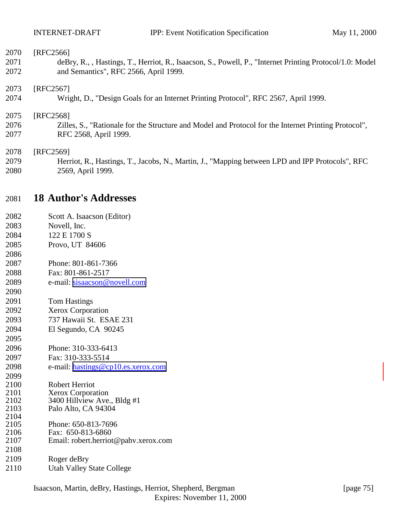| 2070 | [RFC2566]                                                                                                |
|------|----------------------------------------------------------------------------------------------------------|
| 2071 | deBry, R., , Hastings, T., Herriot, R., Isaacson, S., Powell, P., "Internet Printing Protocol/1.0: Model |
| 2072 | and Semantics", RFC 2566, April 1999.                                                                    |
| 2073 | [RFC2567]                                                                                                |
| 2074 | Wright, D., "Design Goals for an Internet Printing Protocol", RFC 2567, April 1999.                      |
| 2075 | [RFC2568]                                                                                                |
| 2076 | Zilles, S., "Rationale for the Structure and Model and Protocol for the Internet Printing Protocol",     |
| 2077 | RFC 2568, April 1999.                                                                                    |
| 2078 | [RFC2569]                                                                                                |
| 2079 | Herriot, R., Hastings, T., Jacobs, N., Martin, J., "Mapping between LPD and IPP Protocols", RFC          |
| 2080 | 2569, April 1999.                                                                                        |

### **18 Author's Addresses**

| 2082 | Scott A. Isaacson (Editor)           |
|------|--------------------------------------|
| 2083 | Novell, Inc.                         |
| 2084 | 122 E 1700 S                         |
| 2085 | Provo, UT 84606                      |
| 2086 |                                      |
| 2087 | Phone: 801-861-7366                  |
| 2088 | Fax: 801-861-2517                    |
| 2089 | e-mail: sisaacson@novell.com         |
| 2090 |                                      |
| 2091 | <b>Tom Hastings</b>                  |
| 2092 | <b>Xerox Corporation</b>             |
| 2093 | 737 Hawaii St. ESAE 231              |
| 2094 | El Segundo, CA 90245                 |
| 2095 |                                      |
| 2096 | Phone: 310-333-6413                  |
| 2097 | Fax: 310-333-5514                    |
| 2098 | e-mail: hastings@cp10.es.xerox.com   |
| 2099 |                                      |
| 2100 | <b>Robert Herriot</b>                |
| 2101 | <b>Xerox Corporation</b>             |
| 2102 | 3400 Hillview Ave., Bldg #1          |
| 2103 | Palo Alto, CA 94304                  |
| 2104 |                                      |
| 2105 | Phone: 650-813-7696                  |
| 2106 | Fax: 650-813-6860                    |
| 2107 | Email: robert.herriot@pahv.xerox.com |
| 2108 |                                      |
| 2109 | Roger deBry                          |
|      |                                      |

Utah Valley State College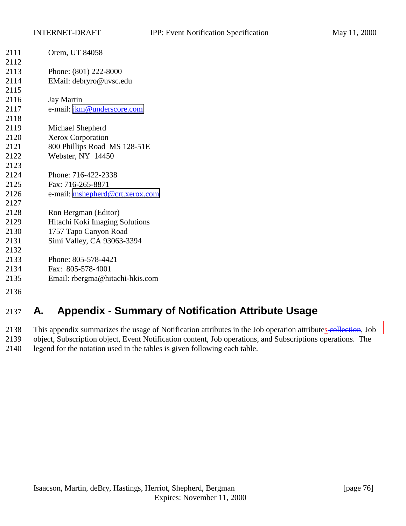| 2111                 | Orem, UT 84058                  |
|----------------------|---------------------------------|
| 2112                 |                                 |
| 2113                 | Phone: (801) 222-8000           |
| 2114                 | EMail: debryro@uvsc.edu         |
| 2115                 |                                 |
| 2116                 | <b>Jay Martin</b>               |
| 2117                 | e-mail: jkm@underscore.com      |
| 2118                 |                                 |
| 2119                 | Michael Shepherd                |
| 2120                 | Xerox Corporation               |
| 2121                 | 800 Phillips Road MS 128-51E    |
| 2122                 | Webster, NY 14450               |
| 2123                 |                                 |
| 2124                 | Phone: 716-422-2338             |
| 2125                 | Fax: 716-265-8871               |
| 2126                 | e-mail: mshepherd@crt.xerox.com |
| 2127                 |                                 |
| 2128                 | Ron Bergman (Editor)            |
| 2129                 | Hitachi Koki Imaging Solutions  |
| 2130                 | 1757 Tapo Canyon Road           |
| 2131                 | Simi Valley, CA 93063-3394      |
| 2132                 |                                 |
| 2133                 | Phone: 805-578-4421             |
| 2134                 | Fax: 805-578-4001               |
| 2135                 | Email: rbergma@hitachi-hkis.com |
| $\sim$ $\sim$ $\sim$ |                                 |

# **A. Appendix - Summary of Notification Attribute Usage**

2138 This appendix summarizes the usage of Notification attributes in the Job operation attributes collection, Job object, Subscription object, Event Notification content, Job operations, and Subscriptions operations. The legend for the notation used in the tables is given following each table.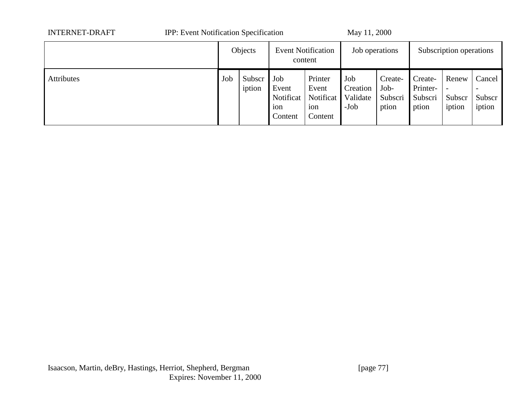| <b>INTERNET-DRAFT</b> | <b>IPP:</b> Event Notification Specification |                  | May 11, 2000                                |                                                 |                                       |                                     |                                         |                           |                                                        |
|-----------------------|----------------------------------------------|------------------|---------------------------------------------|-------------------------------------------------|---------------------------------------|-------------------------------------|-----------------------------------------|---------------------------|--------------------------------------------------------|
|                       |                                              | Objects          | <b>Event Notification</b><br>content        |                                                 | Job operations                        |                                     | Subscription operations                 |                           |                                                        |
| <b>Attributes</b>     | Job                                          | Subscr<br>iption | Job<br>Event<br>Notificat<br>ion<br>Content | Printer<br>Event<br>Notificat<br>ion<br>Content | Job<br>Creation<br>Validate<br>$-Job$ | Create-<br>Job-<br>Subscri<br>ption | Create-<br>Printer-<br>Subscri<br>ption | Renew<br>Subscr<br>iption | Cancel<br>$\overline{\phantom{0}}$<br>Subscr<br>iption |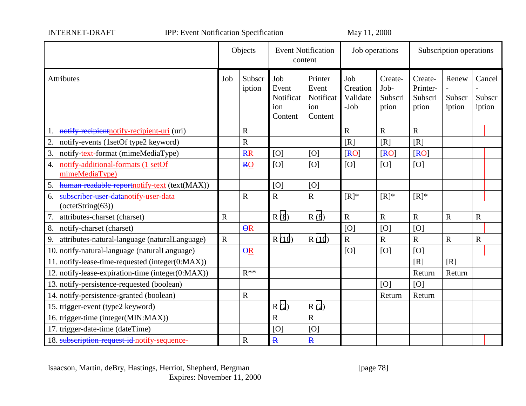| <b>INTERNET-DRAFT</b> |
|-----------------------|
|-----------------------|

IPP: Event Notification Specification May 11, 2000

|                                                                  |             | Objects                 | <b>Event Notification</b><br>content        |                                                 | Job operations                      |                                     | Subscription operations                 |                           |                            |
|------------------------------------------------------------------|-------------|-------------------------|---------------------------------------------|-------------------------------------------------|-------------------------------------|-------------------------------------|-----------------------------------------|---------------------------|----------------------------|
| Attributes                                                       | Job         | Subscr<br>iption        | Job<br>Event<br>Notificat<br>ion<br>Content | Printer<br>Event<br>Notificat<br>ion<br>Content | Job<br>Creation<br>Validate<br>-Job | Create-<br>Job-<br>Subscri<br>ption | Create-<br>Printer-<br>Subscri<br>ption | Renew<br>Subscr<br>iption | Cancel<br>Subscr<br>iption |
| 1. notify-recipient notify-recipient-uri (uri)                   |             | $\mathbf R$             |                                             |                                                 | $\mathbf R$                         | $\mathbf R$                         | $\mathbf R$                             |                           |                            |
| 2. notify-events (1setOf type2 keyword)                          |             | $\mathbf R$             |                                             |                                                 | [R]                                 | [R]                                 | [R]                                     |                           |                            |
| 3. notify-text-format (mimeMediaType)                            |             | <b>RR</b>               | [O]                                         | [O]                                             | [R0]                                | [R0]                                | [R0]                                    |                           |                            |
| 4. notify-additional-formats (1 setOf<br>mimeMediaType)          |             | <b>RO</b>               | [O]                                         | [O]                                             | [O]                                 | [O]                                 | [O]                                     |                           |                            |
| 5. human-readable-reportnotify-text (text(MAX))                  |             |                         | [O]                                         | [O]                                             |                                     |                                     |                                         |                           |                            |
| subscriber-user-datanotify-user-data<br>6.<br>$-octetString(63)$ |             | $\overline{R}$          | $\overline{R}$                              | $\overline{R}$                                  | $[R]^*$                             | $[R]^*$                             | $[R]^*$                                 |                           |                            |
| 7. attributes-charset (charset)                                  | $\mathbf R$ |                         | R(8)                                        | R(8)                                            | $\mathbf R$                         | $\overline{R}$                      | $\mathbf R$                             | ${\bf R}$                 | ${\bf R}$                  |
| 8. notify-charset (charset)                                      |             | $\overline{\Theta}R$    |                                             |                                                 | [O]                                 | [O]                                 | [O]                                     |                           |                            |
| 9. attributes-natural-language (naturalLanguage)                 | $\mathbf R$ |                         | R(10)                                       | R(10)                                           | $\overline{R}$                      | $\mathbf R$                         | $\mathbf R$                             | $\mathbf R$               | $\mathbf R$                |
| 10. notify-natural-language (naturalLanguage)                    |             | $\overline{\mathsf{R}}$ |                                             |                                                 | [O]                                 | [O]                                 | [O]                                     |                           |                            |
| 11. notify-lease-time-requested (integer(0:MAX))                 |             |                         |                                             |                                                 |                                     |                                     | [R]                                     | [R]                       |                            |
| 12. notify-lease-expiration-time (integer(0:MAX))                |             | $R^{**}$                |                                             |                                                 |                                     |                                     | Return                                  | Return                    |                            |
| 13. notify-persistence-requested (boolean)                       |             |                         |                                             |                                                 |                                     | [O]                                 | [O]                                     |                           |                            |
| 14. notify-persistence-granted (boolean)                         |             | ${\bf R}$               |                                             |                                                 |                                     | Return                              | Return                                  |                           |                            |
| 15. trigger-event (type2 keyword)                                |             |                         | R(2)                                        | R(2)                                            |                                     |                                     |                                         |                           |                            |
| 16. trigger-time (integer(MIN:MAX))                              |             |                         | $\mathbf R$                                 | $\mathbf R$                                     |                                     |                                     |                                         |                           |                            |
| 17. trigger-date-time (dateTime)                                 |             |                         | [O]                                         | [O]                                             |                                     |                                     |                                         |                           |                            |
| 18. subscription-request-id-notify-sequence-                     |             | $\mathbf R$             | $\overline{\mathbf{R}}$                     | $\overline{\mathbf{R}}$                         |                                     |                                     |                                         |                           |                            |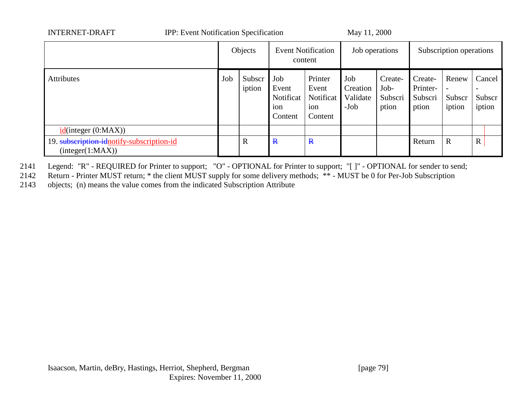| <b>INTERNET-DRAFT</b>                                        | <b>IPP:</b> Event Notification Specification |                  |                                             |                                                 | May 11, 2000   |                                                                              |                         |                                                                                                    |             |  |
|--------------------------------------------------------------|----------------------------------------------|------------------|---------------------------------------------|-------------------------------------------------|----------------|------------------------------------------------------------------------------|-------------------------|----------------------------------------------------------------------------------------------------|-------------|--|
|                                                              |                                              | Objects          | <b>Event Notification</b><br>content        |                                                 | Job operations |                                                                              | Subscription operations |                                                                                                    |             |  |
| <b>Attributes</b>                                            | Job                                          | Subscr<br>iption | Job<br>Event<br>Notificat<br>ion<br>Content | Printer<br>Event<br>Notificat<br>ion<br>Content |                | Job<br>Create-<br>Job-<br>Creation<br>Validate<br>Subscri<br>$-Job$<br>ption |                         | Renew<br>Cancel<br>Create-<br>Printer-<br>Subscri<br>Subscr<br>Subscr<br>iption<br>iption<br>ption |             |  |
| $id$ (integer (0:MAX))                                       |                                              |                  |                                             |                                                 |                |                                                                              |                         |                                                                                                    |             |  |
| 19. subscription-idnotify-subscription-id<br>interger(1:MAX) |                                              | $\mathbf R$      | $\mathbf{R}$                                | $\mathbf{R}$                                    |                |                                                                              | Return                  | $\mathbf R$                                                                                        | $\mathbf R$ |  |

2141 Legend: "R" - REQUIRED for Printer to support; "O" - OPTIONAL for Printer to support; "[ ]" - OPTIONAL for sender to send;

2142 Return - Printer MUST return; \* the client MUST supply for some delivery methods; \*\* - MUST be 0 for Per-Job Subscription

2143 objects; (n) means the value comes from the indicated Subscription Attribute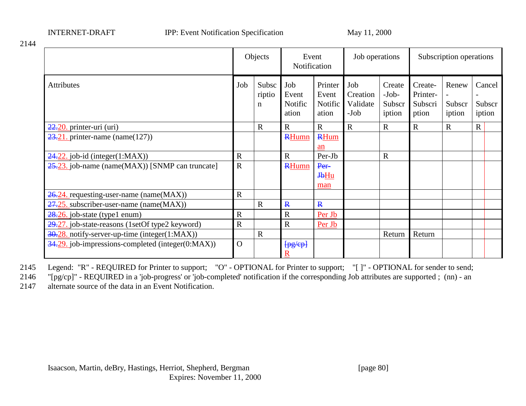INTERNET-DRAFT IPP: Event Notification Specification May 11, 2000

|                                                                |             | Objects              | Event<br>Notification            |                                      | Job operations                      |                                       | Subscription operations                 |                           |             |                            |
|----------------------------------------------------------------|-------------|----------------------|----------------------------------|--------------------------------------|-------------------------------------|---------------------------------------|-----------------------------------------|---------------------------|-------------|----------------------------|
| <b>Attributes</b>                                              | Job         | Subsc<br>riptio<br>n | Job<br>Event<br>Notific<br>ation | Printer<br>Event<br>Notific<br>ation | Job<br>Creation<br>Validate<br>-Job | Create<br>$-Job-$<br>Subscr<br>iption | Create-<br>Printer-<br>Subscri<br>ption | Renew<br>Subscr<br>iption |             | Cancel<br>Subscr<br>iption |
| $22.20$ . printer-uri (uri)                                    |             | $\mathbf R$          | $\mathbf R$                      | $\mathbf{R}$                         | $\mathbf R$                         | $\mathbf R$                           | $\mathbf R$                             | $\mathbf R$               | $\mathbf R$ |                            |
| $23.21$ . printer-name (name(127))                             |             |                      | <b>RHumn</b>                     | <b>RHum</b><br>an                    |                                     |                                       |                                         |                           |             |                            |
| $\frac{24.22}{2}$ job-id (integer(1:MAX))                      | $\mathbf R$ |                      | $\mathbf R$                      | Per-Jb                               |                                     | $\mathbf R$                           |                                         |                           |             |                            |
| $25.23$ . job-name (name(MAX)) [SNMP can truncate]             | $\mathbf R$ |                      | <b>RHumn</b>                     | Per-<br>$H_1$<br>man                 |                                     |                                       |                                         |                           |             |                            |
| $\frac{26.24}{26.24}$ requesting-user-name (name(MAX))         | $\mathbf R$ |                      |                                  |                                      |                                     |                                       |                                         |                           |             |                            |
| $27.25$ . subscriber-user-name (name(MAX))                     |             | $\mathbf R$          | $\mathbf{R}$                     | $\mathbf{R}$                         |                                     |                                       |                                         |                           |             |                            |
| $\frac{28.26}{28.26}$ job-state (type1 enum)                   | $\mathbf R$ |                      | $\mathbf R$                      | Per Jb                               |                                     |                                       |                                         |                           |             |                            |
| 29.27. job-state-reasons (1setOf type2 keyword)                | $\mathbf R$ |                      | $\mathbf R$                      | Per Jb                               |                                     |                                       |                                         |                           |             |                            |
| $\frac{30.28}{100}$ . notify-server-up-time (integer(1:MAX))   |             | $\mathbf R$          |                                  |                                      |                                     | Return                                | Return                                  |                           |             |                            |
| $\frac{34.29}{100}$ job-impressions-completed (integer(0:MAX)) | $\Omega$    |                      | [pg/ep]                          |                                      |                                     |                                       |                                         |                           |             |                            |

2145 Legend: "R" - REQUIRED for Printer to support; "O" - OPTIONAL for Printer to support; "[ ]" - OPTIONAL for sender to send;

2146 "[pg/cp]" - REQUIRED in a 'job-progress' or 'job-completed' notification if the corresponding Job attributes are supported ; (nn) - an

2147 alternate source of the data in an Event Notification.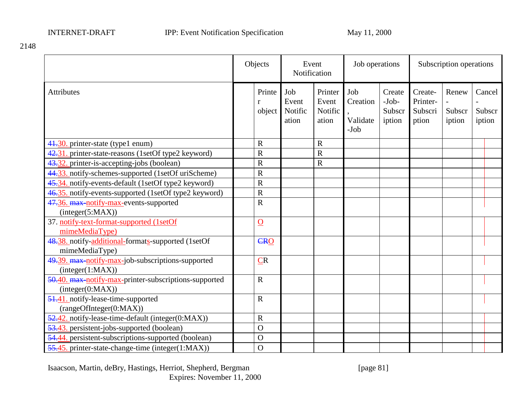|                                                                           | Objects                          |                                  | Event<br>Notification                |                                       | Job operations                        |                                         | Subscription operations   |        |                  |
|---------------------------------------------------------------------------|----------------------------------|----------------------------------|--------------------------------------|---------------------------------------|---------------------------------------|-----------------------------------------|---------------------------|--------|------------------|
| <b>Attributes</b>                                                         | Printe<br>$\mathbf{r}$<br>object | Job<br>Event<br>Notific<br>ation | Printer<br>Event<br>Notific<br>ation | Job<br>Creation<br>Validate<br>$-Job$ | Create<br>$-Job-$<br>Subscr<br>iption | Create-<br>Printer-<br>Subscri<br>ption | Renew<br>Subscr<br>iption | iption | Cancel<br>Subscr |
| 41.30. printer-state (type1 enum)                                         | $\mathbf R$                      |                                  | $\mathbf R$                          |                                       |                                       |                                         |                           |        |                  |
| 42.31. printer-state-reasons (1setOf type2 keyword)                       | $\overline{\text{R}}$            |                                  | $\overline{R}$                       |                                       |                                       |                                         |                           |        |                  |
| 43.32. printer-is-accepting-jobs (boolean)                                | $\overline{\text{R}}$            |                                  | $\overline{R}$                       |                                       |                                       |                                         |                           |        |                  |
| 44.33. notify-schemes-supported (1setOf uriScheme)                        | $\overline{R}$                   |                                  |                                      |                                       |                                       |                                         |                           |        |                  |
| 45.34. notify-events-default (1setOf type2 keyword)                       | $\overline{\text{R}}$            |                                  |                                      |                                       |                                       |                                         |                           |        |                  |
| 46.35. notify-events-supported (1setOf type2 keyword)                     | $\overline{\text{R}}$            |                                  |                                      |                                       |                                       |                                         |                           |        |                  |
| 47.36. max-notify-max-events-supported<br>(integer(5:MAX))                | $\overline{\text{R}}$            |                                  |                                      |                                       |                                       |                                         |                           |        |                  |
| 37. notify-text-format-supported (1setOf<br>mimeMediaType)                | $\overline{0}$                   |                                  |                                      |                                       |                                       |                                         |                           |        |                  |
| 48.38. notify-additional-formats-supported (1setOf<br>mimeMediaType)      | CRO                              |                                  |                                      |                                       |                                       |                                         |                           |        |                  |
| 49.39. max-notify-max-job-subscriptions-supported<br>interger(1:MAX))     | CR                               |                                  |                                      |                                       |                                       |                                         |                           |        |                  |
| 50.40. max-notify-max-printer-subscriptions-supported<br>interger(0:MAX)) | $\mathbf R$                      |                                  |                                      |                                       |                                       |                                         |                           |        |                  |
| 51.41. notify-lease-time-supported<br>(rangeOfInteger(0:MAX))             | $\mathbf R$                      |                                  |                                      |                                       |                                       |                                         |                           |        |                  |
| 52.42. notify-lease-time-default (integer(0:MAX))                         | $\overline{\text{R}}$            |                                  |                                      |                                       |                                       |                                         |                           |        |                  |
| 53.43. persistent-jobs-supported (boolean)                                | $\Omega$                         |                                  |                                      |                                       |                                       |                                         |                           |        |                  |
| 54.44. persistent-subscriptions-supported (boolean)                       | $\mathbf O$                      |                                  |                                      |                                       |                                       |                                         |                           |        |                  |
| 55.45. printer-state-change-time (integer(1:MAX))                         | $\overline{O}$                   |                                  |                                      |                                       |                                       |                                         |                           |        |                  |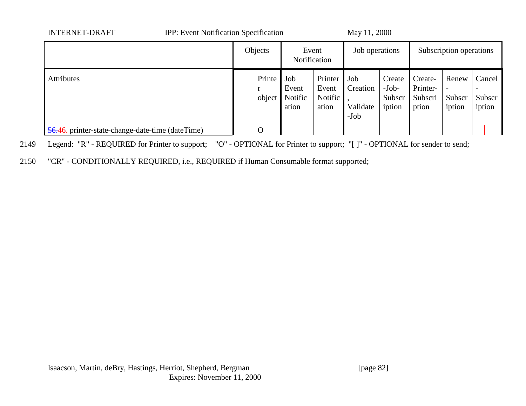| <b>INTERNET-DRAFT</b>                            | <b>IPP:</b> Event Notification Specification |                       |                                  | May 11, 2000                           |                                       |                                       |                                         |                           |        |                  |
|--------------------------------------------------|----------------------------------------------|-----------------------|----------------------------------|----------------------------------------|---------------------------------------|---------------------------------------|-----------------------------------------|---------------------------|--------|------------------|
|                                                  |                                              | Objects               |                                  | Event<br>Notification                  | Job operations                        |                                       |                                         | Subscription operations   |        |                  |
| <b>Attributes</b>                                |                                              | Printe<br>r<br>object | Job<br>Event<br>Notific<br>ation | Printer<br>Event<br>Notific  <br>ation | Job<br>Creation<br>Validate<br>$-Job$ | Create<br>$-Job-$<br>Subscr<br>iption | Create-<br>Printer-<br>Subscri<br>ption | Renew<br>Subscr<br>iption | iption | Cancel<br>Subscr |
| 56.46. printer-state-change-date-time (dateTime) |                                              | O                     |                                  |                                        |                                       |                                       |                                         |                           |        |                  |

2149 Legend: "R" - REQUIRED for Printer to support; "O" - OPTIONAL for Printer to support; "[ ]" - OPTIONAL for sender to send;

2150 "CR" - CONDITIONALLY REQUIRED, i.e., REQUIRED if Human Consumable format supported;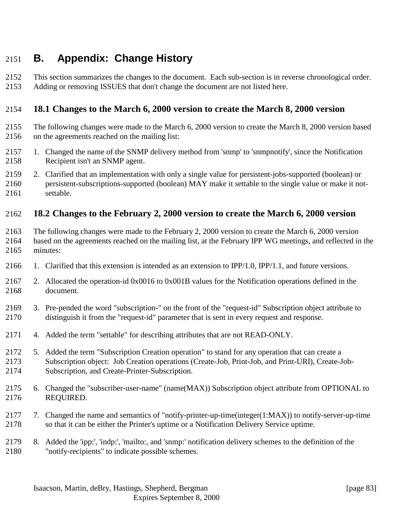## **B. Appendix: Change History**

 This section summarizes the changes to the document. Each sub-section is in reverse chronological order. Adding or removing ISSUES that don't change the document are not listed here.

#### **18.1 Changes to the March 6, 2000 version to create the March 8, 2000 version**

- The following changes were made to the March 6, 2000 version to create the March 8, 2000 version based on the agreements reached on the mailing list:
- 1. Changed the name of the SNMP delivery method from 'snmp' to 'snmpnotify', since the Notification Recipient isn't an SNMP agent.
- 2. Clarified that an implementation with only a single value for persistent-jobs-supported (boolean) or persistent-subscriptions-supported (boolean) MAY make it settable to the single value or make it not-settable.

#### **18.2 Changes to the February 2, 2000 version to create the March 6, 2000 version**

- The following changes were made to the February 2, 2000 version to create the March 6, 2000 version based on the agreements reached on the mailing list, at the February IPP WG meetings, and reflected in the minutes:
- 1. Clarified that this extension is intended as an extension to IPP/1.0, IPP/1.1, and future versions.
- 2. Allocated the operation-id 0x0016 to 0x001B values for the Notification operations defined in the document.
- 3. Pre-pended the word "subscription-" on the front of the "request-id" Subscription object attribute to distinguish it from the "request-id" parameter that is sent in every request and response.
- 4. Added the term "settable" for describing attributes that are not READ-ONLY.
- 5. Added the term "Subscription Creation operation" to stand for any operation that can create a Subscription object: Job Creation operations (Create-Job, Print-Job, and Print-URI), Create-Job-Subscription, and Create-Printer-Subscription.
- 6. Changed the "subscriber-user-name" (name(MAX)) Subscription object attribute from OPTIONAL to REQUIRED.
- 7. Changed the name and semantics of "notify-printer-up-time(integer(1:MAX)) to notify-server-up-time so that it can be either the Printer's uptime or a Notification Delivery Service uptime.
- 8. Added the 'ipp:', 'indp:', 'mailto:, and 'snmp:' notification delivery schemes to the definition of the "notify-recipients" to indicate possible schemes.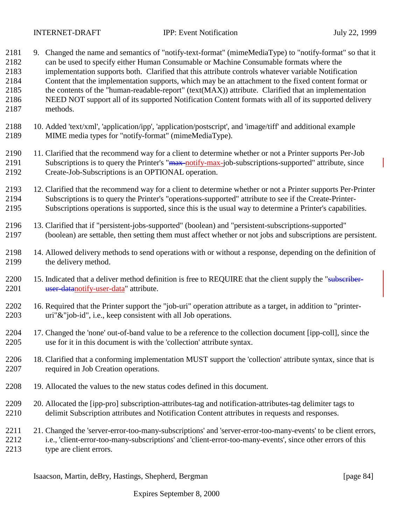| 2181<br>2182<br>2183<br>2184<br>2185<br>2186<br>2187 | 9. Changed the name and semantics of "notify-text-format" (mimeMediaType) to "notify-format" so that it<br>can be used to specify either Human Consumable or Machine Consumable formats where the<br>implementation supports both. Clarified that this attribute controls whatever variable Notification<br>Content that the implementation supports, which may be an attachment to the fixed content format or<br>the contents of the "human-readable-report" (text(MAX)) attribute. Clarified that an implementation<br>NEED NOT support all of its supported Notification Content formats with all of its supported delivery<br>methods. |
|------------------------------------------------------|---------------------------------------------------------------------------------------------------------------------------------------------------------------------------------------------------------------------------------------------------------------------------------------------------------------------------------------------------------------------------------------------------------------------------------------------------------------------------------------------------------------------------------------------------------------------------------------------------------------------------------------------|
| 2188<br>2189                                         | 10. Added 'text/xml', 'application/ipp', 'application/postscript', and 'image/tiff' and additional example<br>MIME media types for "notify-format" (mimeMediaType).                                                                                                                                                                                                                                                                                                                                                                                                                                                                         |
| 2190<br>2191<br>2192                                 | 11. Clarified that the recommend way for a client to determine whether or not a Printer supports Per-Job<br>Subscriptions is to query the Printer's "max-notify-max-job-subscriptions-supported" attribute, since<br>Create-Job-Subscriptions is an OPTIONAL operation.                                                                                                                                                                                                                                                                                                                                                                     |
| 2193<br>2194<br>2195                                 | 12. Clarified that the recommend way for a client to determine whether or not a Printer supports Per-Printer<br>Subscriptions is to query the Printer's "operations-supported" attribute to see if the Create-Printer-<br>Subscriptions operations is supported, since this is the usual way to determine a Printer's capabilities.                                                                                                                                                                                                                                                                                                         |
| 2196<br>2197                                         | 13. Clarified that if "persistent-jobs-supported" (boolean) and "persistent-subscriptions-supported"<br>(boolean) are settable, then setting them must affect whether or not jobs and subscriptions are persistent.                                                                                                                                                                                                                                                                                                                                                                                                                         |
| 2198<br>2199                                         | 14. Allowed delivery methods to send operations with or without a response, depending on the definition of<br>the delivery method.                                                                                                                                                                                                                                                                                                                                                                                                                                                                                                          |
| 2200<br>2201                                         | 15. Indicated that a deliver method definition is free to REQUIRE that the client supply the "subscriber-<br>user-datanotify-user-data" attribute.                                                                                                                                                                                                                                                                                                                                                                                                                                                                                          |
| 2202<br>2203                                         | 16. Required that the Printer support the "job-uri" operation attribute as a target, in addition to "printer-<br>uri"&"job-id", i.e., keep consistent with all Job operations.                                                                                                                                                                                                                                                                                                                                                                                                                                                              |
| 2204<br>2205                                         | 17. Changed the 'none' out-of-band value to be a reference to the collection document [ipp-coll], since the<br>use for it in this document is with the 'collection' attribute syntax.                                                                                                                                                                                                                                                                                                                                                                                                                                                       |
| 2206<br>2207                                         | 18. Clarified that a conforming implementation MUST support the 'collection' attribute syntax, since that is<br>required in Job Creation operations.                                                                                                                                                                                                                                                                                                                                                                                                                                                                                        |
| 2208                                                 | 19. Allocated the values to the new status codes defined in this document.                                                                                                                                                                                                                                                                                                                                                                                                                                                                                                                                                                  |
| 2209<br>2210                                         | 20. Allocated the [ipp-pro] subscription-attributes-tag and notification-attributes-tag delimiter tags to<br>delimit Subscription attributes and Notification Content attributes in requests and responses.                                                                                                                                                                                                                                                                                                                                                                                                                                 |
| 2211<br>2212<br>2213                                 | 21. Changed the 'server-error-too-many-subscriptions' and 'server-error-too-many-events' to be client errors,<br>i.e., 'client-error-too-many-subscriptions' and 'client-error-too-many-events', since other errors of this<br>type are client errors.                                                                                                                                                                                                                                                                                                                                                                                      |

Isaacson, Martin, deBry, Hastings, Shepherd, Bergman [page 84]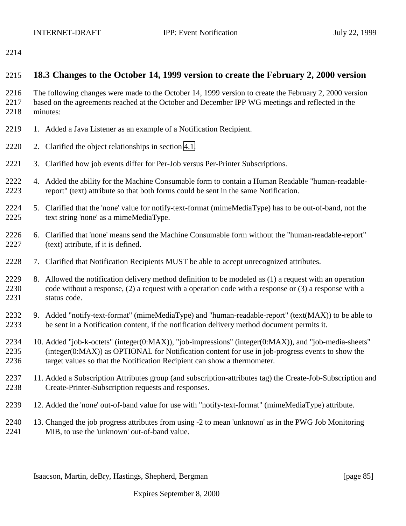#### **18.3 Changes to the October 14, 1999 version to create the February 2, 2000 version**

 The following changes were made to the October 14, 1999 version to create the February 2, 2000 version based on the agreements reached at the October and December IPP WG meetings and reflected in the minutes:

- 2219 1. Added a Java Listener as an example of a Notification Recipient.
- 2. Clarified the object relationships in section [4.1.](#page-19-0)
- 3. Clarified how job events differ for Per-Job versus Per-Printer Subscriptions.
- 4. Added the ability for the Machine Consumable form to contain a Human Readable "human-readable-report" (text) attribute so that both forms could be sent in the same Notification.
- 5. Clarified that the 'none' value for notify-text-format (mimeMediaType) has to be out-of-band, not the text string 'none' as a mimeMediaType.
- 6. Clarified that 'none' means send the Machine Consumable form without the "human-readable-report" (text) attribute, if it is defined.
- 7. Clarified that Notification Recipients MUST be able to accept unrecognized attributes.
- 8. Allowed the notification delivery method definition to be modeled as (1) a request with an operation code without a response, (2) a request with a operation code with a response or (3) a response with a status code.
- 9. Added "notify-text-format" (mimeMediaType) and "human-readable-report" (text(MAX)) to be able to be sent in a Notification content, if the notification delivery method document permits it.
- 10. Added "job-k-octets" (integer(0:MAX)), "job-impressions" (integer(0:MAX)), and "job-media-sheets" (integer(0:MAX)) as OPTIONAL for Notification content for use in job-progress events to show the target values so that the Notification Recipient can show a thermometer.
- 11. Added a Subscription Attributes group (and subscription-attributes tag) the Create-Job-Subscription and Create-Printer-Subscription requests and responses.
- 12. Added the 'none' out-of-band value for use with "notify-text-format" (mimeMediaType) attribute.
- 13. Changed the job progress attributes from using -2 to mean 'unknown' as in the PWG Job Monitoring MIB, to use the 'unknown' out-of-band value.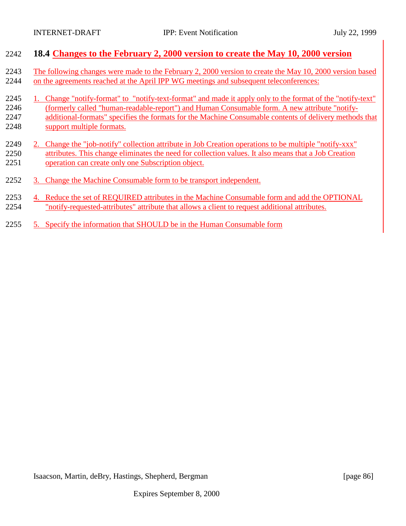| 2242 | 18.4 Changes to the February 2, 2000 version to create the May 10, 2000 version                             |
|------|-------------------------------------------------------------------------------------------------------------|
| 2243 | The following changes were made to the February 2, 2000 version to create the May 10, 2000 version based    |
| 2244 | on the agreements reached at the April IPP WG meetings and subsequent teleconferences:                      |
| 2245 | 1. Change "notify-format" to "notify-text-format" and made it apply only to the format of the "notify-text" |
| 2246 | (formerly called "human-readable-report") and Human Consumable form. A new attribute "notify-               |
| 2247 | additional-formats" specifies the formats for the Machine Consumable contents of delivery methods that      |
| 2248 | support multiple formats.                                                                                   |
| 2249 | 2. Change the "job-notify" collection attribute in Job Creation operations to be multiple "notify-xxx"      |
| 2250 | attributes. This change eliminates the need for collection values. It also means that a Job Creation        |
| 2251 | operation can create only one Subscription object.                                                          |
| 2252 | 3. Change the Machine Consumable form to be transport independent.                                          |
| 2253 | 4. Reduce the set of REQUIRED attributes in the Machine Consumable form and add the OPTIONAL                |
| 2254 | "notify-requested-attributes" attribute that allows a client to request additional attributes.              |
| 2255 | 5. Specify the information that SHOULD be in the Human Consumable form                                      |